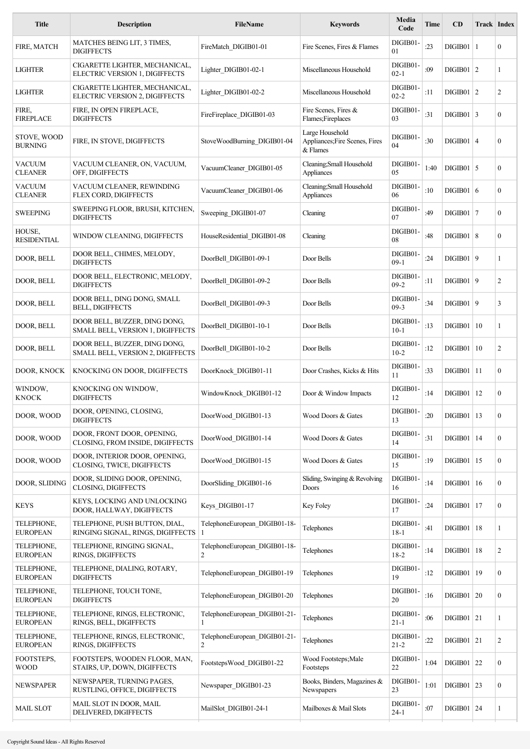| <b>Title</b>                    | <b>Description</b>                                                 | <b>FileName</b>                    | <b>Keywords</b>                                               | Media<br>Code        | Time | CD             |    | Track   Index    |
|---------------------------------|--------------------------------------------------------------------|------------------------------------|---------------------------------------------------------------|----------------------|------|----------------|----|------------------|
| FIRE, MATCH                     | MATCHES BEING LIT, 3 TIMES,<br><b>DIGIFFECTS</b>                   | FireMatch_DIGIB01-01               | Fire Scenes, Fires & Flames                                   | DIGIB01-<br>01       | :23  | $DIGIB01$   1  |    | $\boldsymbol{0}$ |
| <b>LIGHTER</b>                  | CIGARETTE LIGHTER, MECHANICAL,<br>ELECTRIC VERSION 1, DIGIFFECTS   | Lighter DIGIB01-02-1               | Miscellaneous Household                                       | DIGIB01-<br>$02 - 1$ | :09  | $DIGIB01$   2  |    | 1                |
| <b>LIGHTER</b>                  | CIGARETTE LIGHTER, MECHANICAL,<br>ELECTRIC VERSION 2, DIGIFFECTS   | Lighter_DIGIB01-02-2               | Miscellaneous Household                                       | DIGIB01-<br>$02 - 2$ | :11  | $DIGIB01$   2  |    | 2                |
| FIRE,<br><b>FIREPLACE</b>       | FIRE, IN OPEN FIREPLACE,<br><b>DIGIFFECTS</b>                      | FireFireplace DIGIB01-03           | Fire Scenes, Fires &<br>Flames;Fireplaces                     | DIGIB01-<br>03       | :31  | $DIGIB01$ 3    |    | $\mathbf{0}$     |
| STOVE, WOOD<br><b>BURNING</b>   | FIRE, IN STOVE, DIGIFFECTS                                         | StoveWoodBurning DIGIB01-04        | Large Household<br>Appliances; Fire Scenes, Fires<br>& Flames | DIGIB01-<br>04       | :30  | $DIGIB01$   4  |    | $\boldsymbol{0}$ |
| <b>VACUUM</b><br><b>CLEANER</b> | VACUUM CLEANER, ON, VACUUM,<br>OFF, DIGIFFECTS                     | VacuumCleaner_DIGIB01-05           | Cleaning; Small Household<br>Appliances                       | DIGIB01-<br>05       | 1:40 | $DIGIB01$   5  |    | $\mathbf{0}$     |
| <b>VACUUM</b><br><b>CLEANER</b> | VACUUM CLEANER, REWINDING<br>FLEX CORD, DIGIFFECTS                 | VacuumCleaner DIGIB01-06           | Cleaning; Small Household<br>Appliances                       | DIGIB01-<br>06       | :10  | DIGIB01 6      |    | $\mathbf{0}$     |
| <b>SWEEPING</b>                 | SWEEPING FLOOR, BRUSH, KITCHEN,<br><b>DIGIFFECTS</b>               | Sweeping_DIGIB01-07                | Cleaning                                                      | DIGIB01-<br>07       | :49  | $DIGIB01$   7  |    | $\boldsymbol{0}$ |
| HOUSE,<br><b>RESIDENTIAL</b>    | WINDOW CLEANING, DIGIFFECTS                                        | HouseResidential DIGIB01-08        | Cleaning                                                      | DIGIB01-<br>08       | :48  | DIGIB01   8    |    | $\boldsymbol{0}$ |
| DOOR, BELL                      | DOOR BELL, CHIMES, MELODY,<br><b>DIGIFFECTS</b>                    | DoorBell DIGIB01-09-1              | Door Bells                                                    | DIGIB01-<br>$09-1$   | :24  | DIGIB01   9    |    | 1                |
| DOOR, BELL                      | DOOR BELL, ELECTRONIC, MELODY,<br><b>DIGIFFECTS</b>                | DoorBell DIGIB01-09-2              | Door Bells                                                    | DIGIB01-<br>$09-2$   | :11  | DIGIB01   9    |    | $\overline{c}$   |
| DOOR, BELL                      | DOOR BELL, DING DONG, SMALL<br><b>BELL, DIGIFFECTS</b>             | DoorBell DIGIB01-09-3              | Door Bells                                                    | DIGIB01-<br>$09-3$   | :34  | DIGIB01   9    |    | 3                |
| DOOR, BELL                      | DOOR BELL, BUZZER, DING DONG,<br>SMALL BELL, VERSION 1, DIGIFFECTS | DoorBell DIGIB01-10-1              | Door Bells                                                    | DIGIB01-<br>$10-1$   | :13  | DIGIB01        | 10 | 1                |
| DOOR, BELL                      | DOOR BELL, BUZZER, DING DONG,<br>SMALL BELL, VERSION 2, DIGIFFECTS | DoorBell DIGIB01-10-2              | Door Bells                                                    | DIGIB01-<br>$10-2$   | :12  | DIGIB01        | 10 | 2                |
| DOOR, KNOCK                     | KNOCKING ON DOOR, DIGIFFECTS                                       | DoorKnock DIGIB01-11               | Door Crashes, Kicks & Hits                                    | DIGIB01-<br>11       | :33  | $DIGIB01$   11 |    | $\mathbf{0}$     |
| WINDOW,<br><b>KNOCK</b>         | KNOCKING ON WINDOW,<br><b>DIGIFFECTS</b>                           | WindowKnock DIGIB01-12             | Door & Window Impacts                                         | DIGIB01-<br>12       | :14  | DIGIB01        | 12 | $\boldsymbol{0}$ |
| DOOR, WOOD                      | DOOR, OPENING, CLOSING,<br><b>DIGIFFECTS</b>                       | DoorWood_DIGIB01-13                | Wood Doors & Gates                                            | DIGIB01-<br>13       | :20  | DIGIB01   13   |    | $\boldsymbol{0}$ |
| DOOR, WOOD                      | DOOR, FRONT DOOR, OPENING,<br>CLOSING, FROM INSIDE, DIGIFFECTS     | DoorWood DIGIB01-14                | Wood Doors & Gates                                            | DIGIB01-<br>14       | :31  | $DIGIB01$   14 |    | $\boldsymbol{0}$ |
| DOOR, WOOD                      | DOOR, INTERIOR DOOR, OPENING,<br>CLOSING, TWICE, DIGIFFECTS        | DoorWood DIGIB01-15                | Wood Doors & Gates                                            | DIGIB01-<br>15       | :19  | DIGIB01        | 15 | $\mathbf{0}$     |
| DOOR, SLIDING                   | DOOR, SLIDING DOOR, OPENING,<br><b>CLOSING, DIGIFFECTS</b>         | DoorSliding_DIGIB01-16             | Sliding, Swinging & Revolving<br>Doors                        | DIGIB01-<br>16       | :14  | $DIGIB01$   16 |    | $\boldsymbol{0}$ |
| <b>KEYS</b>                     | KEYS, LOCKING AND UNLOCKING<br>DOOR, HALLWAY, DIGIFFECTS           | Keys DIGIB01-17                    | Key Foley                                                     | DIGIB01-<br>17       | :24  | DIGIB01        | 17 | $\mathbf{0}$     |
| TELEPHONE,<br><b>EUROPEAN</b>   | TELEPHONE, PUSH BUTTON, DIAL,<br>RINGING SIGNAL, RINGS, DIGIFFECTS | TelephoneEuropean DIGIB01-18-<br>1 | Telephones                                                    | DIGIB01-<br>$18-1$   | :41  | $DIGIB01$   18 |    | 1                |
| TELEPHONE,<br><b>EUROPEAN</b>   | TELEPHONE, RINGING SIGNAL,<br>RINGS, DIGIFFECTS                    | TelephoneEuropean_DIGIB01-18-<br>2 | Telephones                                                    | DIGIB01-<br>$18-2$   | :14  | DIGIB01        | 18 | $\overline{c}$   |
| TELEPHONE,<br><b>EUROPEAN</b>   | TELEPHONE, DIALING, ROTARY,<br><b>DIGIFFECTS</b>                   | TelephoneEuropean_DIGIB01-19       | Telephones                                                    | DIGIB01-<br>19       | :12  | $DIGIB01$   19 |    | $\boldsymbol{0}$ |
| TELEPHONE,<br><b>EUROPEAN</b>   | TELEPHONE, TOUCH TONE,<br><b>DIGIFFECTS</b>                        | TelephoneEuropean_DIGIB01-20       | Telephones                                                    | DIGIB01-<br>20       | :16  | DIGIB01   20   |    | 0                |
| TELEPHONE,<br><b>EUROPEAN</b>   | TELEPHONE, RINGS, ELECTRONIC,<br>RINGS, BELL, DIGIFFECTS           | TelephoneEuropean_DIGIB01-21-<br>1 | Telephones                                                    | DIGIB01-<br>$21 - 1$ | :06  | $DIGIB01$ 21   |    | 1                |
| TELEPHONE,<br><b>EUROPEAN</b>   | TELEPHONE, RINGS, ELECTRONIC,<br>RINGS, DIGIFFECTS                 | TelephoneEuropean_DIGIB01-21-<br>2 | Telephones                                                    | DIGIB01-<br>$21 - 2$ | :22  | $DIGIB01$ 21   |    | 2                |
| FOOTSTEPS,<br><b>WOOD</b>       | FOOTSTEPS, WOODEN FLOOR, MAN,<br>STAIRS, UP, DOWN, DIGIFFECTS      | FootstepsWood DIGIB01-22           | Wood Footsteps; Male<br>Footsteps                             | DIGIB01-<br>22       | 1:04 | $DIGIB01$ 22   |    | $\mathbf{0}$     |
| NEWSPAPER                       | NEWSPAPER, TURNING PAGES,<br>RUSTLING, OFFICE, DIGIFFECTS          | Newspaper DIGIB01-23               | Books, Binders, Magazines &<br>Newspapers                     | DIGIB01-<br>23       | 1:01 | $DIGIB01$ 23   |    | $\boldsymbol{0}$ |
| <b>MAIL SLOT</b>                | MAIL SLOT IN DOOR, MAIL<br>DELIVERED, DIGIFFECTS                   | MailSlot DIGIB01-24-1              | Mailboxes & Mail Slots                                        | DIGIB01-<br>$24 - 1$ | :07  | $DIGIB01$ 24   |    | 1                |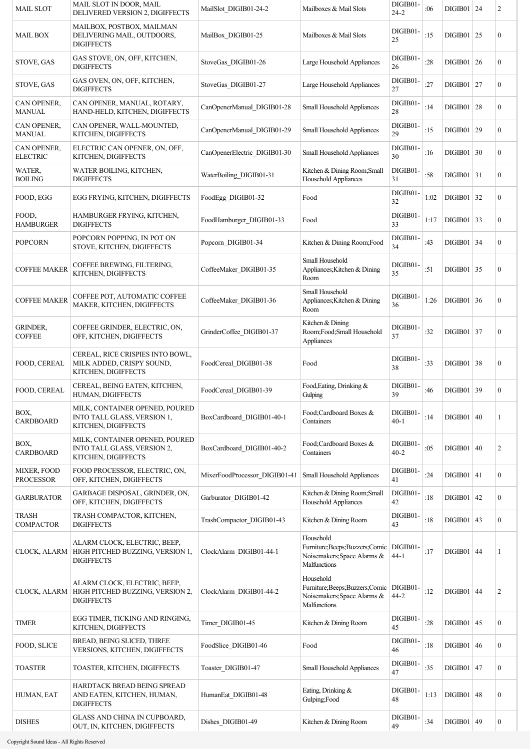| <b>MAIL SLOT</b>                 | MAIL SLOT IN DOOR, MAIL<br>DELIVERED VERSION 2, DIGIFFECTS                            | MailSlot DIGIB01-24-2         | Mailboxes & Mail Slots                                                                       | DIGIB01-<br>$24 - 2$ | :06  | $DIGIB01$   24 |                  | 2                |
|----------------------------------|---------------------------------------------------------------------------------------|-------------------------------|----------------------------------------------------------------------------------------------|----------------------|------|----------------|------------------|------------------|
| <b>MAIL BOX</b>                  | MAILBOX, POSTBOX, MAILMAN<br>DELIVERING MAIL, OUTDOORS,<br><b>DIGIFFECTS</b>          | MailBox DIGIB01-25            | Mailboxes & Mail Slots                                                                       | DIGIB01-<br>25       | :15  | $DIGIB01$   25 |                  | $\boldsymbol{0}$ |
| STOVE, GAS                       | GAS STOVE, ON, OFF, KITCHEN,<br><b>DIGIFFECTS</b>                                     | StoveGas DIGIB01-26           | Large Household Appliances                                                                   | DIGIB01-<br>26       | :28  | DIGIB01 26     |                  | $\overline{0}$   |
| STOVE, GAS                       | GAS OVEN, ON, OFF, KITCHEN,<br><b>DIGIFFECTS</b>                                      | StoveGas DIGIB01-27           | Large Household Appliances                                                                   | DIGIB01-<br>27       | :27  | $DIGIB01$   27 |                  | $\boldsymbol{0}$ |
| CAN OPENER,<br><b>MANUAL</b>     | CAN OPENER, MANUAL, ROTARY,<br>HAND-HELD, KITCHEN, DIGIFFECTS                         | CanOpenerManual DIGIB01-28    | Small Household Appliances                                                                   | DIGIB01<br>28        | :14  | DIGIB01   28   |                  | $\boldsymbol{0}$ |
| CAN OPENER,<br><b>MANUAL</b>     | CAN OPENER, WALL-MOUNTED,<br>KITCHEN, DIGIFFECTS                                      | CanOpenerManual DIGIB01-29    | Small Household Appliances                                                                   | DIGIB01-<br>29       | :15  | DIGIB01   29   |                  | $\boldsymbol{0}$ |
| CAN OPENER.<br><b>ELECTRIC</b>   | ELECTRIC CAN OPENER, ON, OFF,<br>KITCHEN, DIGIFFECTS                                  | CanOpenerElectric DIGIB01-30  | Small Household Appliances                                                                   | DIGIB01-<br>30       | :16  | DIGIB01        | $\vert 30 \vert$ | $\boldsymbol{0}$ |
| WATER,<br><b>BOILING</b>         | WATER BOILING, KITCHEN,<br><b>DIGIFFECTS</b>                                          | WaterBoiling DIGIB01-31       | Kitchen & Dining Room; Small<br>Household Appliances                                         | DIGIB01-<br>31       | :58  | $DIGIB01$ 31   |                  | $\boldsymbol{0}$ |
| FOOD, EGG                        | EGG FRYING, KITCHEN, DIGIFFECTS                                                       | FoodEgg DIGIB01-32            | Food                                                                                         | DIGIB01-<br>32       | 1:02 | $DIGIB01$ 32   |                  | $\boldsymbol{0}$ |
| FOOD,<br><b>HAMBURGER</b>        | HAMBURGER FRYING, KITCHEN,<br><b>DIGIFFECTS</b>                                       | FoodHamburger DIGIB01-33      | Food                                                                                         | DIGIB01-<br>33       | 1:17 | $DIGIB01$ 33   |                  | $\overline{0}$   |
| <b>POPCORN</b>                   | POPCORN POPPING, IN POT ON<br>STOVE, KITCHEN, DIGIFFECTS                              | Popcorn DIGIB01-34            | Kitchen & Dining Room; Food                                                                  | DIGIB01-<br>34       | :43  | $DIGIB01$ 34   |                  | $\overline{0}$   |
| <b>COFFEE MAKER</b>              | COFFEE BREWING, FILTERING,<br>KITCHEN, DIGIFFECTS                                     | CoffeeMaker DIGIB01-35        | Small Household<br>Appliances; Kitchen & Dining<br>Room                                      | DIGIB01-<br>35       | :51  | $DIGIB01$ 35   |                  | $\boldsymbol{0}$ |
| <b>COFFEE MAKER</b>              | COFFEE POT, AUTOMATIC COFFEE<br>MAKER, KITCHEN, DIGIFFECTS                            | CoffeeMaker DIGIB01-36        | Small Household<br>Appliances; Kitchen & Dining<br>Room                                      | DIGIB01-<br>36       | 1:26 | $DIGIB01$ 36   |                  | $\boldsymbol{0}$ |
| <b>GRINDER,</b><br><b>COFFEE</b> | COFFEE GRINDER, ELECTRIC, ON,<br>OFF, KITCHEN, DIGIFFECTS                             | GrinderCoffee_DIGIB01-37      | Kitchen & Dining<br>Room;Food;Small Household<br>Appliances                                  | DIGIB01-<br>37       | :32  | $DIGIB01$ 37   |                  | $\boldsymbol{0}$ |
| FOOD, CEREAL                     | CEREAL, RICE CRISPIES INTO BOWL,<br>MILK ADDED, CRISPY SOUND,<br>KITCHEN, DIGIFFECTS  | FoodCereal DIGIB01-38         | Food                                                                                         | DIGIB01-<br>38       | :33  | DIGIB01        | 38               | $\boldsymbol{0}$ |
| <b>FOOD, CEREAL</b>              | CEREAL, BEING EATEN, KITCHEN,<br>HUMAN, DIGIFFECTS                                    | FoodCereal DIGIB01-39         | Food, Eating, Drinking &<br>Gulping                                                          | DIGIB01<br>39        | :46  | DIGIB01   39   |                  | 0                |
| BOX,<br>CARDBOARD                | MILK, CONTAINER OPENED, POURED<br>INTO TALL GLASS, VERSION 1,<br>KITCHEN, DIGIFFECTS  | BoxCardboard DIGIB01-40-1     | Food;Cardboard Boxes &<br>Containers                                                         | DIGIB01-<br>$40 - 1$ | :14  | DIGIB01   40   |                  | 1                |
| BOX,<br><b>CARDBOARD</b>         | MILK, CONTAINER OPENED, POURED<br>INTO TALL GLASS, VERSION 2,<br>KITCHEN, DIGIFFECTS  | BoxCardboard_DIGIB01-40-2     | Food;Cardboard Boxes &<br>Containers                                                         | DIGIB01-<br>$40 - 2$ | :05  | DIGIB01   40   |                  | 2                |
| MIXER, FOOD<br><b>PROCESSOR</b>  | FOOD PROCESSOR, ELECTRIC, ON,<br>OFF, KITCHEN, DIGIFFECTS                             | MixerFoodProcessor_DIGIB01-41 | Small Household Appliances                                                                   | DIGIB01-<br>41       | :24  | $DIGIB01$ 41   |                  | $\boldsymbol{0}$ |
| <b>GARBURATOR</b>                | GARBAGE DISPOSAL, GRINDER, ON,<br>OFF, KITCHEN, DIGIFFECTS                            | Garburator_DIGIB01-42         | Kitchen & Dining Room;Small<br>Household Appliances                                          | DIGIB01-<br>42       | :18  | $DIGIB01$ 42   |                  | $\boldsymbol{0}$ |
| <b>TRASH</b><br><b>COMPACTOR</b> | TRASH COMPACTOR, KITCHEN,<br><b>DIGIFFECTS</b>                                        | TrashCompactor_DIGIB01-43     | Kitchen & Dining Room                                                                        | DIGIB01-<br>43       | :18  | $DIGIB01$ 43   |                  | $\boldsymbol{0}$ |
| CLOCK, ALARM                     | ALARM CLOCK, ELECTRIC, BEEP,<br>HIGH PITCHED BUZZING, VERSION 1,<br><b>DIGIFFECTS</b> | ClockAlarm DIGIB01-44-1       | Household<br>Furniture; Beeps; Buzzers; Comic<br>Noisemakers; Space Alarms &<br>Malfunctions | DIGIB01-<br>$44 - 1$ | :17  | $DIGIB01$   44 |                  | 1                |
| CLOCK, ALARM                     | ALARM CLOCK, ELECTRIC, BEEP,<br>HIGH PITCHED BUZZING, VERSION 2,<br><b>DIGIFFECTS</b> | ClockAlarm_DIGIB01-44-2       | Household<br>Furniture; Beeps; Buzzers; Comic<br>Noisemakers; Space Alarms &<br>Malfunctions | DIGIB01-<br>$44 - 2$ | :12  | $DIGIB01$   44 |                  | 2                |
| <b>TIMER</b>                     | EGG TIMER, TICKING AND RINGING,<br>KITCHEN, DIGIFFECTS                                | Timer_DIGIB01-45              | Kitchen & Dining Room                                                                        | DIGIB01-<br>45       | :28  | $DIGIB01$ 45   |                  | $\boldsymbol{0}$ |
| FOOD, SLICE                      | BREAD, BEING SLICED, THREE<br>VERSIONS, KITCHEN, DIGIFFECTS                           | FoodSlice DIGIB01-46          | Food                                                                                         | DIGIB01-<br>46       | :18  | $DIGIB01$ 46   |                  | $\boldsymbol{0}$ |
| <b>TOASTER</b>                   | TOASTER, KITCHEN, DIGIFFECTS                                                          | Toaster DIGIB01-47            | Small Household Appliances                                                                   | DIGIB01-<br>47       | :35  | $DIGIB01$   47 |                  | $\boldsymbol{0}$ |
| HUMAN, EAT                       | HARDTACK BREAD BEING SPREAD<br>AND EATEN, KITCHEN, HUMAN,<br><b>DIGIFFECTS</b>        | HumanEat DIGIB01-48           | Eating, Drinking &<br>Gulping;Food                                                           | DIGIB01-<br>48       | 1:13 | DIGIB01   48   |                  | $\boldsymbol{0}$ |
| <b>DISHES</b>                    | GLASS AND CHINA IN CUPBOARD,<br>OUT, IN, KITCHEN, DIGIFFECTS                          | Dishes DIGIB01-49             | Kitchen & Dining Room                                                                        | DIGIB01-<br>49       | :34  | $DIGIB01$ 49   |                  | $\boldsymbol{0}$ |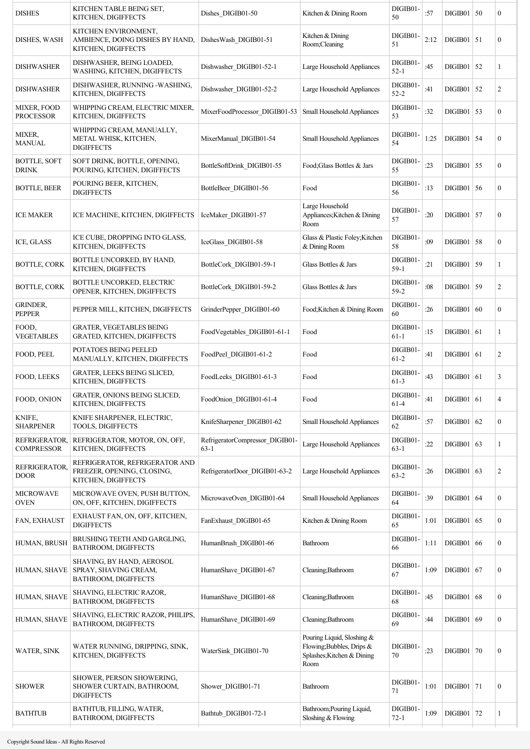| <b>DISHES</b>                          | KITCHEN TABLE BEING SET,<br>KITCHEN, DIGIFFECTS                                     | Dishes DIGIB01-50                         | Kitchen & Dining Room                                                                         | DIGIB01-<br>50       | :57  | $DIGIB01$ 50   |    | 0                |
|----------------------------------------|-------------------------------------------------------------------------------------|-------------------------------------------|-----------------------------------------------------------------------------------------------|----------------------|------|----------------|----|------------------|
| DISHES, WASH                           | KITCHEN ENVIRONMENT,<br>AMBIENCE, DOING DISHES BY HAND,<br>KITCHEN, DIGIFFECTS      | DishesWash DIGIB01-51                     | Kitchen & Dining<br>Room;Cleaning                                                             | DIGIB01-<br>51       | 2:12 | $DIGIB01$   51 |    | 0                |
| <b>DISHWASHER</b>                      | DISHWASHER, BEING LOADED,<br>WASHING, KITCHEN, DIGIFFECTS                           | Dishwasher DIGIB01-52-1                   | Large Household Appliances                                                                    | DIGIB01-<br>$52 - 1$ | :45  | $DIGIB01$ 52   |    | 1                |
| <b>DISHWASHER</b>                      | DISHWASHER, RUNNING -WASHING,<br>KITCHEN, DIGIFFECTS                                | Dishwasher DIGIB01-52-2                   | Large Household Appliances                                                                    | DIGIB01-<br>$52 - 2$ | :41  | DIGIB01        | 52 | 2                |
| <b>MIXER, FOOD</b><br><b>PROCESSOR</b> | WHIPPING CREAM, ELECTRIC MIXER,<br>KITCHEN, DIGIFFECTS                              | MixerFoodProcessor_DIGIB01-53             | Small Household Appliances                                                                    | DIGIB01-<br>53       | :32  | $DIGIB01$ 53   |    | 0                |
| MIXER,<br><b>MANUAL</b>                | WHIPPING CREAM, MANUALLY,<br>METAL WHISK, KITCHEN,<br><b>DIGIFFECTS</b>             | MixerManual DIGIB01-54                    | Small Household Appliances                                                                    | DIGIB01-<br>54       | 1:25 | $DIGIB01$   54 |    | $\boldsymbol{0}$ |
| <b>BOTTLE, SOFT</b><br><b>DRINK</b>    | SOFT DRINK, BOTTLE, OPENING,<br>POURING, KITCHEN, DIGIFFECTS                        | BottleSoftDrink DIGIB01-55                | Food; Glass Bottles & Jars                                                                    | DIGIB01-<br>55       | :23  | DIGIB01        | 55 | $\boldsymbol{0}$ |
| <b>BOTTLE, BEER</b>                    | POURING BEER, KITCHEN,<br><b>DIGIFFECTS</b>                                         | BottleBeer DIGIB01-56                     | Food                                                                                          | DIGIB01-<br>56       | :13  | $DIGIB01$ 56   |    | $\boldsymbol{0}$ |
| <b>ICE MAKER</b>                       | ICE MACHINE, KITCHEN, DIGIFFECTS                                                    | IceMaker DIGIB01-57                       | Large Household<br>Appliances; Kitchen & Dining<br>Room                                       | DIGIB01-<br>57       | :20  | $DIGIB01$ 57   |    | $\mathbf{0}$     |
| ICE, GLASS                             | ICE CUBE, DROPPING INTO GLASS,<br>KITCHEN, DIGIFFECTS                               | IceGlass DIGIB01-58                       | Glass & Plastic Foley; Kitchen<br>& Dining Room                                               | DIGIB01-<br>58       | :09  | $DIGIB01$ 58   |    | 0                |
| <b>BOTTLE, CORK</b>                    | BOTTLE UNCORKED, BY HAND,<br>KITCHEN, DIGIFFECTS                                    | BottleCork DIGIB01-59-1                   | Glass Bottles & Jars                                                                          | DIGIB01-<br>$59-1$   | :21  | $DIGIB01$ 59   |    | 1                |
| <b>BOTTLE, CORK</b>                    | <b>BOTTLE UNCORKED, ELECTRIC</b><br>OPENER, KITCHEN, DIGIFFECTS                     | BottleCork DIGIB01-59-2                   | Glass Bottles & Jars                                                                          | DIGIB01-<br>$59 - 2$ | :08  | $DIGIB01$      | 59 | 2                |
| <b>GRINDER,</b><br><b>PEPPER</b>       | PEPPER MILL, KITCHEN, DIGIFFECTS                                                    | GrinderPepper DIGIB01-60                  | Food; Kitchen & Dining Room                                                                   | DIGIB01-<br>60       | :26  | DIGIB01        | 60 | 0                |
| FOOD,<br><b>VEGETABLES</b>             | <b>GRATER, VEGETABLES BEING</b><br><b>GRATED, KITCHEN, DIGIFFECTS</b>               | FoodVegetables DIGIB01-61-1               | Food                                                                                          | DIGIB01-<br>$61 - 1$ | :15  | DIGIB01        | 61 | 1                |
| FOOD, PEEL                             | <b>POTATOES BEING PEELED</b><br>MANUALLY, KITCHEN, DIGIFFECTS                       | FoodPeel DIGIB01-61-2                     | Food                                                                                          | DIGIB01-<br>$61 - 2$ | :41  | $DIGIB01$      | 61 | $\overline{c}$   |
| FOOD, LEEKS                            | GRATER, LEEKS BEING SLICED,<br>KITCHEN, DIGIFFECTS                                  | FoodLeeks DIGIB01-61-3                    | Food                                                                                          | DIGIB01-<br>$61 - 3$ | :43  | DIGIB01        | 61 | 3                |
| FOOD, ONION                            | GRATER, ONIONS BEING SLICED,<br>KITCHEN, DIGIFFECTS                                 | FoodOnion DIGIB01-61-4                    | Food                                                                                          | DIGIB01-<br>$61-4$   | :41  | DIGIB01   61   |    | $\overline{4}$   |
| KNIFE,<br><b>SHARPENER</b>             | KNIFE SHARPENER, ELECTRIC,<br><b>TOOLS, DIGIFFECTS</b>                              | KnifeSharpener DIGIB01-62                 | <b>Small Household Appliances</b>                                                             | DIGIB01-<br>62       | :57  | DIGIB01        | 62 | $\boldsymbol{0}$ |
| REFRIGERATOR,<br><b>COMPRESSOR</b>     | REFRIGERATOR, MOTOR, ON, OFF,<br>KITCHEN, DIGIFFECTS                                | RefrigeratorCompressor_DIGIB01-<br>$63-1$ | Large Household Appliances                                                                    | DIGIB01-<br>$63 - 1$ | :22  | DIGIB01   63   |    | 1                |
| REFRIGERATOR,<br><b>DOOR</b>           | REFRIGERATOR, REFRIGERATOR AND<br>FREEZER, OPENING, CLOSING,<br>KITCHEN, DIGIFFECTS | RefrigeratorDoor DIGIB01-63-2             | Large Household Appliances                                                                    | DIGIB01-<br>$63 - 2$ | :26  | DIGIB01   63   |    | 2                |
| <b>MICROWAVE</b><br><b>OVEN</b>        | MICROWAVE OVEN, PUSH BUTTON,<br>ON, OFF, KITCHEN, DIGIFFECTS                        | MicrowaveOven DIGIB01-64                  | Small Household Appliances                                                                    | DIGIB01-<br>64       | :39  | DIGIB01   64   |    | 0                |
| FAN, EXHAUST                           | EXHAUST FAN, ON, OFF, KITCHEN,<br><b>DIGIFFECTS</b>                                 | FanExhaust DIGIB01-65                     | Kitchen & Dining Room                                                                         | DIGIB01-<br>65       | 1:01 | DIGIB01        | 65 | $\boldsymbol{0}$ |
| HUMAN, BRUSH                           | BRUSHING TEETH AND GARGLING,<br>BATHROOM, DIGIFFECTS                                | HumanBrush DIGIB01-66                     | Bathroom                                                                                      | DIGIB01-<br>66       | 1:11 | DIGIB01        | 66 | $\boldsymbol{0}$ |
| HUMAN, SHAVE                           | SHAVING, BY HAND, AEROSOL<br>SPRAY, SHAVING CREAM,<br>BATHROOM, DIGIFFECTS          | HumanShave DIGIB01-67                     | Cleaning; Bathroom                                                                            | DIGIB01-<br>67       | 1:09 | $DIGIB01$ 67   |    | $\boldsymbol{0}$ |
| HUMAN, SHAVE                           | SHAVING, ELECTRIC RAZOR,<br>BATHROOM, DIGIFFECTS                                    | HumanShave DIGIB01-68                     | Cleaning; Bathroom                                                                            | DIGIB01-<br>68       | :45  | DIGIB01        | 68 | $\boldsymbol{0}$ |
| HUMAN, SHAVE                           | SHAVING, ELECTRIC RAZOR, PHILIPS,<br>BATHROOM, DIGIFFECTS                           | HumanShave_DIGIB01-69                     | Cleaning; Bathroom                                                                            | DIGIB01-<br>69       | :44  | DIGIB01        | 69 | $\boldsymbol{0}$ |
| WATER, SINK                            | WATER RUNNING, DRIPPING, SINK,<br>KITCHEN, DIGIFFECTS                               | WaterSink DIGIB01-70                      | Pouring Liquid, Sloshing &<br>Flowing; Bubbles, Drips &<br>Splashes; Kitchen & Dining<br>Room | DIGIB01-<br>70       | :23  | DIGIB01        | 70 | $\mathbf{0}$     |
| <b>SHOWER</b>                          | SHOWER, PERSON SHOWERING,<br>SHOWER CURTAIN, BATHROOM,<br><b>DIGIFFECTS</b>         | Shower DIGIB01-71                         | Bathroom                                                                                      | DIGIB01-<br>71       | 1:01 | $DIGIB01$   71 |    | $\boldsymbol{0}$ |
| <b>BATHTUB</b>                         | BATHTUB, FILLING, WATER,<br>BATHROOM, DIGIFFECTS                                    | Bathtub DIGIB01-72-1                      | Bathroom; Pouring Liquid,<br>Sloshing & Flowing                                               | DIGIB01-<br>$72 - 1$ | 1:09 | $DIGIB01$ 72   |    | 1                |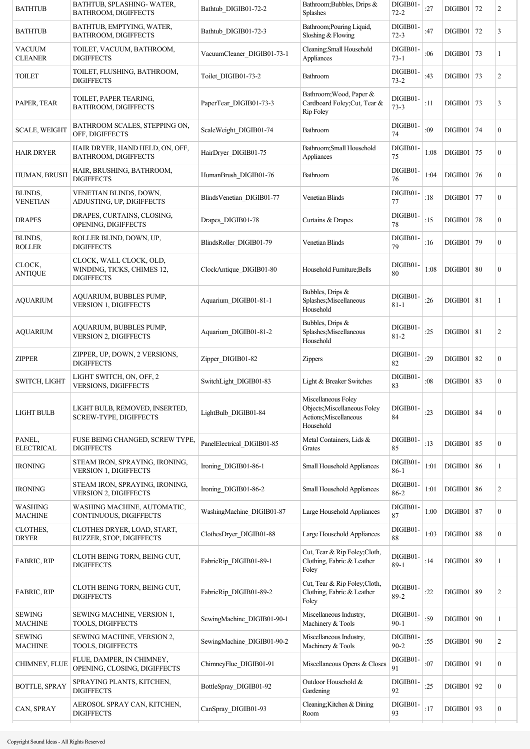| <b>BATHTUB</b>                  | BATHTUB, SPLASHING-WATER,<br>BATHROOM, DIGIFFECTS                          | Bathtub DIGIB01-72-2       | Bathroom; Bubbles, Drips &<br><b>Splashes</b>                                              | DIGIB01-<br>$72 - 2$ | :27  | DIGIB01      | 72         | $\overline{c}$   |
|---------------------------------|----------------------------------------------------------------------------|----------------------------|--------------------------------------------------------------------------------------------|----------------------|------|--------------|------------|------------------|
| <b>BATHTUB</b>                  | BATHTUB, EMPTYING, WATER,<br>BATHROOM, DIGIFFECTS                          | Bathtub DIGIB01-72-3       | Bathroom; Pouring Liquid,<br>Sloshing & Flowing                                            | DIGIB01-<br>$72 - 3$ | :47  | DIGIB01      | 72         | 3                |
| <b>VACUUM</b><br><b>CLEANER</b> | TOILET, VACUUM, BATHROOM,<br><b>DIGIFFECTS</b>                             | VacuumCleaner_DIGIB01-73-1 | Cleaning; Small Household<br>Appliances                                                    | DIGIB01-<br>$73 - 1$ | :06  | DIGIB01      | 73         | 1                |
| <b>TOILET</b>                   | TOILET, FLUSHING, BATHROOM,<br><b>DIGIFFECTS</b>                           | Toilet DIGIB01-73-2        | Bathroom                                                                                   | DIGIB01-<br>$73 - 2$ | :43  | DIGIB01      | 73         | 2                |
| PAPER, TEAR                     | TOILET, PAPER TEARING,<br>BATHROOM, DIGIFFECTS                             | PaperTear DIGIB01-73-3     | Bathroom; Wood, Paper &<br>Cardboard Foley; Cut, Tear &<br><b>Rip Foley</b>                | DIGIB01-<br>$73 - 3$ | :11  | DIGIB01      | 73         | 3                |
| <b>SCALE, WEIGHT</b>            | BATHROOM SCALES, STEPPING ON,<br>OFF, DIGIFFECTS                           | ScaleWeight DIGIB01-74     | Bathroom                                                                                   | DIGIB01-<br>74       | :09  | DIGIB01      | 74         | $\boldsymbol{0}$ |
| <b>HAIR DRYER</b>               | HAIR DRYER, HAND HELD, ON, OFF,<br>BATHROOM, DIGIFFECTS                    | HairDryer DIGIB01-75       | Bathroom; Small Household<br>Appliances                                                    | DIGIB01-<br>75       | 1:08 | DIGIB01      | 75         | $\boldsymbol{0}$ |
| HUMAN, BRUSH                    | HAIR, BRUSHING, BATHROOM,<br><b>DIGIFFECTS</b>                             | HumanBrush DIGIB01-76      | Bathroom                                                                                   | DIGIB01-<br>76       | 1:04 | DIGIB01      | 76         | $\boldsymbol{0}$ |
| BLINDS,<br><b>VENETIAN</b>      | VENETIAN BLINDS, DOWN,<br>ADJUSTING, UP, DIGIFFECTS                        | BlindsVenetian DIGIB01-77  | <b>Venetian Blinds</b>                                                                     | DIGIB01-<br>77       | :18  | DIGIB01      | 77         | $\mathbf{0}$     |
| <b>DRAPES</b>                   | DRAPES, CURTAINS, CLOSING,<br>OPENING, DIGIFFECTS                          | Drapes DIGIB01-78          | Curtains & Drapes                                                                          | DIGIB01-<br>78       | :15  | DIGIB01      | 78         | $\overline{0}$   |
| BLINDS,<br><b>ROLLER</b>        | ROLLER BLIND, DOWN, UP,<br><b>DIGIFFECTS</b>                               | BlindsRoller DIGIB01-79    | <b>Venetian Blinds</b>                                                                     | DIGIB01-<br>79       | :16  | DIGIB01      | 79         | $\overline{0}$   |
| CLOCK,<br><b>ANTIQUE</b>        | CLOCK, WALL CLOCK, OLD,<br>WINDING, TICKS, CHIMES 12,<br><b>DIGIFFECTS</b> | ClockAntique DIGIB01-80    | Household Furniture; Bells                                                                 | DIGIB01-<br>80       | 1:08 | DIGIB01      | 80         | $\mathbf{0}$     |
| <b>AQUARIUM</b>                 | AQUARIUM, BUBBLES PUMP,<br>VERSION 1, DIGIFFECTS                           | Aquarium DIGIB01-81-1      | Bubbles, Drips &<br>Splashes; Miscellaneous<br>Household                                   | DIGIB01-<br>$81 - 1$ | :26  | DIGIB01      | 81         | 1                |
| <b>AQUARIUM</b>                 | AQUARIUM, BUBBLES PUMP,<br>VERSION 2, DIGIFFECTS                           | Aquarium DIGIB01-81-2      | Bubbles, Drips &<br>Splashes; Miscellaneous<br>Household                                   | DIGIB01-<br>$81 - 2$ | :25  | DIGIB01      | 81         | $\overline{c}$   |
| <b>ZIPPER</b>                   | ZIPPER, UP, DOWN, 2 VERSIONS,<br><b>DIGIFFECTS</b>                         | Zipper DIGIB01-82          | Zippers                                                                                    | DIGIB01-<br>82       | :29  | DIGIB01      | 82         | $\mathbf{0}$     |
| SWITCH, LIGHT                   | LIGHT SWITCH, ON, OFF, 2<br><b>VERSIONS, DIGIFFECTS</b>                    | SwitchLight DIGIB01-83     | Light & Breaker Switches                                                                   | DIGIB01-<br>83       | :08  | DIGIB01      | 83         | $\boldsymbol{0}$ |
| LIGHT BULB                      | LIGHT BULB, REMOVED, INSERTED,<br>SCREW-TYPE, DIGIFFECTS                   | LightBulb DIGIB01-84       | Miscellaneous Foley<br>Objects; Miscellaneous Foley<br>Actions; Miscellaneous<br>Household | DIGIB01-<br>84       | :23  | DIGIB01   84 |            | $\boldsymbol{0}$ |
| PANEL,<br><b>ELECTRICAL</b>     | FUSE BEING CHANGED, SCREW TYPE,<br><b>DIGIFFECTS</b>                       | PanelElectrical_DIGIB01-85 | Metal Containers, Lids &<br>Grates                                                         | DIGIB01-<br>85       | :13  | DIGIB01      | 85         | $\boldsymbol{0}$ |
| <b>IRONING</b>                  | STEAM IRON, SPRAYING, IRONING,<br>VERSION 1, DIGIFFECTS                    | Ironing DIGIB01-86-1       | <b>Small Household Appliances</b>                                                          | DIGIB01-<br>$86 - 1$ | 1:01 | DIGIB01      | 86         | 1                |
| <b>IRONING</b>                  | STEAM IRON, SPRAYING, IRONING,<br>VERSION 2, DIGIFFECTS                    | Ironing DIGIB01-86-2       | Small Household Appliances                                                                 | DIGIB01-<br>$86 - 2$ | 1:01 | DIGIB01      | 86         | $\overline{c}$   |
| WASHING<br><b>MACHINE</b>       | WASHING MACHINE, AUTOMATIC,<br>CONTINUOUS, DIGIFFECTS                      | WashingMachine DIGIB01-87  | Large Household Appliances                                                                 | DIGIB01-<br>87       | 1:00 | DIGIB01      | 87         | $\mathbf{0}$     |
| CLOTHES,<br><b>DRYER</b>        | CLOTHES DRYER, LOAD, START,<br>BUZZER, STOP, DIGIFFECTS                    | ClothesDryer_DIGIB01-88    | Large Household Appliances                                                                 | DIGIB01-<br>88       | 1:03 | DIGIB01      | 88         | $\boldsymbol{0}$ |
| <b>FABRIC, RIP</b>              | CLOTH BEING TORN, BEING CUT,<br><b>DIGIFFECTS</b>                          | FabricRip DIGIB01-89-1     | Cut, Tear & Rip Foley; Cloth,<br>Clothing, Fabric & Leather<br>Foley                       | DIGIB01-<br>$89-1$   | :14  | DIGIB01      | 89         | 1                |
| <b>FABRIC, RIP</b>              | CLOTH BEING TORN, BEING CUT,<br><b>DIGIFFECTS</b>                          | FabricRip_DIGIB01-89-2     | Cut, Tear & Rip Foley; Cloth,<br>Clothing, Fabric & Leather<br>Foley                       | DIGIB01-<br>$89 - 2$ | :22  | DIGIB01      | 89         | $\overline{c}$   |
| <b>SEWING</b><br><b>MACHINE</b> | SEWING MACHINE, VERSION 1,<br>TOOLS, DIGIFFECTS                            | SewingMachine DIGIB01-90-1 | Miscellaneous Industry,<br>Machinery & Tools                                               | DIGIB01<br>$90 - 1$  | :59  | $DIGIB01$    | $\vert$ 90 | 1                |
| <b>SEWING</b><br><b>MACHINE</b> | SEWING MACHINE, VERSION 2,<br>TOOLS, DIGIFFECTS                            | SewingMachine DIGIB01-90-2 | Miscellaneous Industry,<br>Machinery & Tools                                               | DIGIB01-<br>$90 - 2$ | :55  | DIGIB01      | $\vert$ 90 | 2                |
| CHIMNEY, FLUE                   | FLUE, DAMPER, IN CHIMNEY,<br>OPENING, CLOSING, DIGIFFECTS                  | ChimneyFlue DIGIB01-91     | Miscellaneous Opens & Closes                                                               | DIGIB01<br>91        | :07  | DIGIB01      | 91         | $\boldsymbol{0}$ |
| <b>BOTTLE, SPRAY</b>            | SPRAYING PLANTS, KITCHEN,<br><b>DIGIFFECTS</b>                             | BottleSpray DIGIB01-92     | Outdoor Household &<br>Gardening                                                           | DIGIB01-<br>92       | :25  | DIGIB01      | 92         | $\boldsymbol{0}$ |
| CAN, SPRAY                      | AEROSOL SPRAY CAN, KITCHEN,<br><b>DIGIFFECTS</b>                           | CanSpray DIGIB01-93        | Cleaning; Kitchen & Dining<br>Room                                                         | DIGIB01-<br>93       | :17  | DIGIB01      | 93         | $\boldsymbol{0}$ |
|                                 |                                                                            |                            |                                                                                            |                      |      |              |            |                  |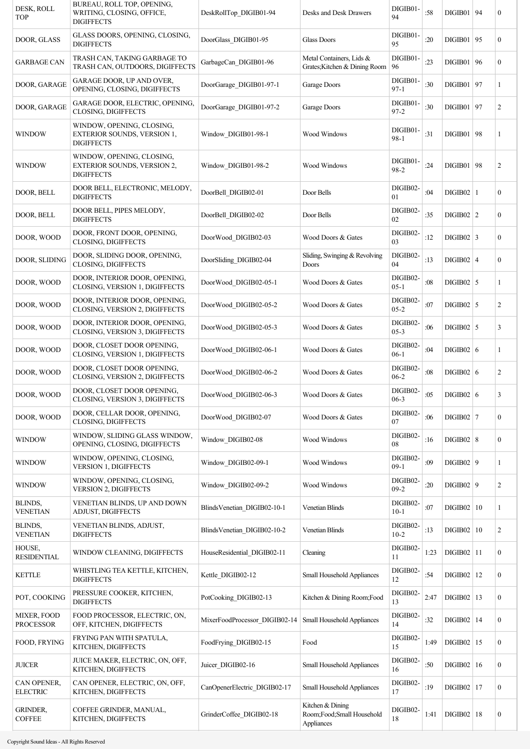| DESK, ROLL<br><b>TOP</b>        | BUREAU, ROLL TOP, OPENING,<br>WRITING, CLOSING, OFFICE,<br><b>DIGIFFECTS</b>  | DeskRollTop DIGIB01-94        | Desks and Desk Drawers                                      | DIGIB01-<br>94       | :58  | DIGIB01   94   |    | 0                |
|---------------------------------|-------------------------------------------------------------------------------|-------------------------------|-------------------------------------------------------------|----------------------|------|----------------|----|------------------|
| DOOR, GLASS                     | GLASS DOORS, OPENING, CLOSING,<br><b>DIGIFFECTS</b>                           | DoorGlass DIGIB01-95          | <b>Glass Doors</b>                                          | DIGIB01-<br>95       | :20  | DIGIB01 95     |    | $\boldsymbol{0}$ |
| <b>GARBAGE CAN</b>              | TRASH CAN, TAKING GARBAGE TO<br>TRASH CAN, OUTDOORS, DIGIFFECTS               | GarbageCan DIGIB01-96         | Metal Containers, Lids &<br>Grates; Kitchen & Dining Room   | DIGIB01-<br>96       | :23  | DIGIB01        | 96 | $\boldsymbol{0}$ |
| DOOR, GARAGE                    | GARAGE DOOR, UP AND OVER,<br>OPENING, CLOSING, DIGIFFECTS                     | DoorGarage DIGIB01-97-1       | Garage Doors                                                | DIGIB01-<br>$97 - 1$ | :30  | DIGIB01        | 97 | 1                |
| DOOR, GARAGE                    | GARAGE DOOR, ELECTRIC, OPENING,<br>CLOSING, DIGIFFECTS                        | DoorGarage DIGIB01-97-2       | Garage Doors                                                | DIGIB01-<br>$97 - 2$ | :30  | DIGIB01        | 97 | 2                |
| <b>WINDOW</b>                   | WINDOW, OPENING, CLOSING,<br>EXTERIOR SOUNDS, VERSION 1,<br><b>DIGIFFECTS</b> | Window DIGIB01-98-1           | Wood Windows                                                | DIGIB01-<br>$98 - 1$ | :31  | DIGIB01        | 98 | 1                |
| <b>WINDOW</b>                   | WINDOW, OPENING, CLOSING,<br>EXTERIOR SOUNDS, VERSION 2,<br><b>DIGIFFECTS</b> | Window DIGIB01-98-2           | Wood Windows                                                | DIGIB01-<br>98-2     | :24  | DIGIB01        | 98 | 2                |
| DOOR, BELL                      | DOOR BELL, ELECTRONIC, MELODY,<br><b>DIGIFFECTS</b>                           | DoorBell DIGIB02-01           | Door Bells                                                  | DIGIB02-<br>01       | :04  | $DIGIB02$   1  |    | $\boldsymbol{0}$ |
| DOOR, BELL                      | DOOR BELL, PIPES MELODY,<br><b>DIGIFFECTS</b>                                 | DoorBell DIGIB02-02           | Door Bells                                                  | DIGIB02-<br>02       | :35  | $DIGIB02$   2  |    | 0                |
| DOOR, WOOD                      | DOOR, FRONT DOOR, OPENING,<br>CLOSING, DIGIFFECTS                             | DoorWood DIGIB02-03           | Wood Doors & Gates                                          | DIGIB02-<br>03       | :12  | $DIGIB02$ 3    |    | 0                |
| DOOR, SLIDING                   | DOOR, SLIDING DOOR, OPENING,<br>CLOSING, DIGIFFECTS                           | DoorSliding DIGIB02-04        | Sliding, Swinging & Revolving<br>Doors                      | DIGIB02-<br>04       | :13  | $DIGIB02$   4  |    | $\boldsymbol{0}$ |
| DOOR, WOOD                      | DOOR, INTERIOR DOOR, OPENING,<br>CLOSING, VERSION 1, DIGIFFECTS               | DoorWood DIGIB02-05-1         | Wood Doors & Gates                                          | DIGIB02-<br>$05 - 1$ | :08  | $DIGIB02$ 5    |    | 1                |
| DOOR, WOOD                      | DOOR, INTERIOR DOOR, OPENING,<br>CLOSING, VERSION 2, DIGIFFECTS               | DoorWood DIGIB02-05-2         | Wood Doors & Gates                                          | DIGIB02-<br>$05 - 2$ | :07  | $DIGIB02$ 5    |    | 2                |
| DOOR, WOOD                      | DOOR, INTERIOR DOOR, OPENING,<br>CLOSING, VERSION 3, DIGIFFECTS               | DoorWood DIGIB02-05-3         | Wood Doors & Gates                                          | DIGIB02-<br>$05 - 3$ | :06  | $DIGIB02$   5  |    | 3                |
| DOOR, WOOD                      | DOOR, CLOSET DOOR OPENING,<br>CLOSING, VERSION 1, DIGIFFECTS                  | DoorWood DIGIB02-06-1         | Wood Doors & Gates                                          | DIGIB02-<br>$06-1$   | :04  | DIGIB02 6      |    | 1                |
| DOOR, WOOD                      | DOOR, CLOSET DOOR OPENING,<br>CLOSING, VERSION 2, DIGIFFECTS                  | DoorWood DIGIB02-06-2         | Wood Doors & Gates                                          | DIGIB02-<br>$06 - 2$ | :08  | DIGIB02 6      |    | 2                |
| DOOR, WOOD                      | DOOR, CLOSET DOOR OPENING,<br>CLOSING, VERSION 3, DIGIFFECTS                  | DoorWood DIGIB02-06-3         | Wood Doors & Gates                                          | DIGIB02-<br>$06 - 3$ | :05  | DIGIB02   6    |    | 3                |
| DOOR, WOOD                      | DOOR, CELLAR DOOR, OPENING,<br>CLOSING, DIGIFFECTS                            | DoorWood_DIGIB02-07           | Wood Doors & Gates                                          | DIGIB02-<br>07       | :06  | $DIGIB02$   7  |    | 0                |
| <b>WINDOW</b>                   | WINDOW, SLIDING GLASS WINDOW,<br>OPENING, CLOSING, DIGIFFECTS                 | Window_DIGIB02-08             | Wood Windows                                                | DIGIB02-<br>08       | :16  | DIGIB02   8    |    | $\mathbf{0}$     |
| <b>WINDOW</b>                   | WINDOW, OPENING, CLOSING,<br>VERSION 1, DIGIFFECTS                            | Window DIGIB02-09-1           | Wood Windows                                                | DIGIB02-<br>$09-1$   | :09  | $DIGIB02$   9  |    | 1                |
| <b>WINDOW</b>                   | WINDOW, OPENING, CLOSING,<br><b>VERSION 2, DIGIFFECTS</b>                     | Window_DIGIB02-09-2           | Wood Windows                                                | DIGIB02-<br>$09 - 2$ | :20  | $DIGIB02$   9  |    | $\overline{c}$   |
| BLINDS,<br><b>VENETIAN</b>      | VENETIAN BLINDS, UP AND DOWN<br>ADJUST, DIGIFFECTS                            | BlindsVenetian DIGIB02-10-1   | Venetian Blinds                                             | DIGIB02-<br>$10-1$   | :07  | DIGIB02   10   |    | 1                |
| BLINDS,<br><b>VENETIAN</b>      | VENETIAN BLINDS, ADJUST,<br><b>DIGIFFECTS</b>                                 | BlindsVenetian_DIGIB02-10-2   | <b>Venetian Blinds</b>                                      | DIGIB02-<br>$10-2$   | :13  | DIGIB02   10   |    | $\overline{c}$   |
| HOUSE,<br><b>RESIDENTIAL</b>    | WINDOW CLEANING, DIGIFFECTS                                                   | HouseResidential DIGIB02-11   | Cleaning                                                    | DIGIB02-<br>11       | 1:23 | $DIGIB02$   11 |    | $\boldsymbol{0}$ |
| <b>KETTLE</b>                   | WHISTLING TEA KETTLE, KITCHEN,<br><b>DIGIFFECTS</b>                           | Kettle_DIGIB02-12             | Small Household Appliances                                  | DIGIB02-<br>12       | :54  | $DIGIB02$   12 |    | $\boldsymbol{0}$ |
| POT, COOKING                    | PRESSURE COOKER, KITCHEN,<br><b>DIGIFFECTS</b>                                | PotCooking_DIGIB02-13         | Kitchen & Dining Room; Food                                 | DIGIB02-<br>13       | 2:47 | $DIGIB02$   13 |    | 0                |
| MIXER, FOOD<br><b>PROCESSOR</b> | FOOD PROCESSOR, ELECTRIC, ON,<br>OFF, KITCHEN, DIGIFFECTS                     | MixerFoodProcessor_DIGIB02-14 | Small Household Appliances                                  | DIGIB02-<br>14       | :32  | $DIGIB02$   14 |    | 0                |
| FOOD, FRYING                    | FRYING PAN WITH SPATULA,<br>KITCHEN, DIGIFFECTS                               | FoodFrying_DIGIB02-15         | Food                                                        | DIGIB02-<br>15       | 1:49 | $DIGIB02$   15 |    | 0                |
| <b>JUICER</b>                   | JUICE MAKER, ELECTRIC, ON, OFF,<br>KITCHEN, DIGIFFECTS                        | Juicer_DIGIB02-16             | Small Household Appliances                                  | DIGIB02-<br>16       | :50  | DIGIB02   16   |    | $\boldsymbol{0}$ |
| CAN OPENER,<br><b>ELECTRIC</b>  | CAN OPENER, ELECTRIC, ON, OFF,<br>KITCHEN, DIGIFFECTS                         | CanOpenerElectric_DIGIB02-17  | Small Household Appliances                                  | DIGIB02-<br>17       | :19  | $DIGIB02$   17 |    | 0                |
| GRINDER,<br><b>COFFEE</b>       | COFFEE GRINDER, MANUAL,<br>KITCHEN, DIGIFFECTS                                | GrinderCoffee DIGIB02-18      | Kitchen & Dining<br>Room;Food;Small Household<br>Appliances | DIGIB02-<br>18       | 1:41 | $DIGIB02$   18 |    | $\boldsymbol{0}$ |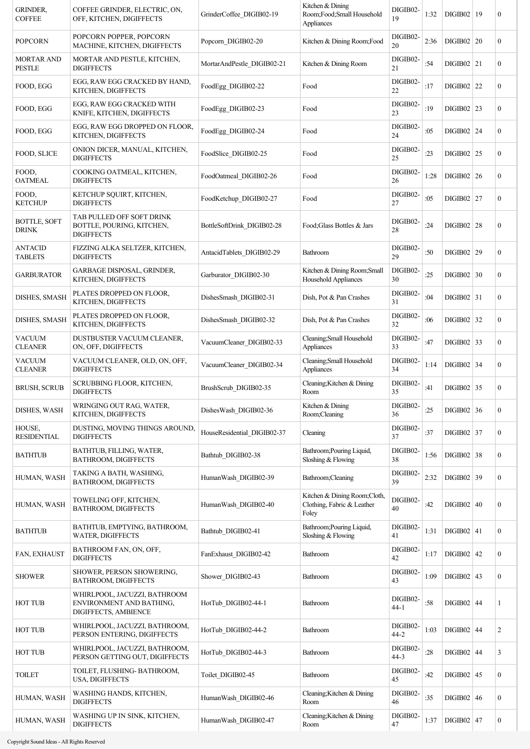| <b>GRINDER,</b><br><b>COFFEE</b>    | COFFEE GRINDER, ELECTRIC, ON,<br>OFF, KITCHEN, DIGIFFECTS                        | GrinderCoffee DIGIB02-19    | Kitchen & Dining<br>Room;Food;Small Household<br>Appliances         | DIGIB02-<br>19       | 1:32 | DIGIB02   19   | $\overline{0}$   |
|-------------------------------------|----------------------------------------------------------------------------------|-----------------------------|---------------------------------------------------------------------|----------------------|------|----------------|------------------|
| <b>POPCORN</b>                      | POPCORN POPPER, POPCORN<br>MACHINE, KITCHEN, DIGIFFECTS                          | Popcorn DIGIB02-20          | Kitchen & Dining Room; Food                                         | DIGIB02-<br>20       | 2:36 | DIGIB02   20   | $\overline{0}$   |
| <b>MORTAR AND</b><br><b>PESTLE</b>  | MORTAR AND PESTLE, KITCHEN,<br><b>DIGIFFECTS</b>                                 | MortarAndPestle DIGIB02-21  | Kitchen & Dining Room                                               | DIGIB02-<br>21       | :54  | $DIGIB02$   21 | $\overline{0}$   |
| FOOD, EGG                           | EGG, RAW EGG CRACKED BY HAND,<br>KITCHEN, DIGIFFECTS                             | FoodEgg DIGIB02-22          | Food                                                                | DIGIB02-<br>22       | :17  | DIGIB02   22   | $\overline{0}$   |
| FOOD, EGG                           | EGG, RAW EGG CRACKED WITH<br>KNIFE, KITCHEN, DIGIFFECTS                          | FoodEgg DIGIB02-23          | Food                                                                | DIGIB02-<br>23       | :19  | $DIGIB02$   23 | $\overline{0}$   |
| FOOD, EGG                           | EGG, RAW EGG DROPPED ON FLOOR,<br>KITCHEN, DIGIFFECTS                            | FoodEgg DIGIB02-24          | Food                                                                | DIGIB02-<br>24       | :05  | $DIGIB02$   24 | $\overline{0}$   |
| FOOD, SLICE                         | ONION DICER, MANUAL, KITCHEN,<br><b>DIGIFFECTS</b>                               | FoodSlice DIGIB02-25        | Food                                                                | DIGIB02-<br>25       | : 23 | $DIGIB02$   25 | $\mathbf{0}$     |
| FOOD,<br><b>OATMEAL</b>             | COOKING OATMEAL, KITCHEN,<br><b>DIGIFFECTS</b>                                   | FoodOatmeal DIGIB02-26      | Food                                                                | DIGIB02-<br>26       | 1:28 | $DIGIB02$ 26   | $\mathbf{0}$     |
| FOOD,<br><b>KETCHUP</b>             | KETCHUP SQUIRT, KITCHEN,<br><b>DIGIFFECTS</b>                                    | FoodKetchup DIGIB02-27      | Food                                                                | DIGIB02-<br>27       | :05  | DIGIB02   27   | $\mathbf{0}$     |
| <b>BOTTLE, SOFT</b><br><b>DRINK</b> | TAB PULLED OFF SOFT DRINK<br>BOTTLE, POURING, KITCHEN,<br><b>DIGIFFECTS</b>      | BottleSoftDrink DIGIB02-28  | Food; Glass Bottles & Jars                                          | DIGIB02-<br>28       | :24  | DIGIB02 28     | $\mathbf{0}$     |
| <b>ANTACID</b><br><b>TABLETS</b>    | FIZZING ALKA SELTZER, KITCHEN,<br><b>DIGIFFECTS</b>                              | AntacidTablets DIGIB02-29   | Bathroom                                                            | DIGIB02-<br>29       | :50  | DIGIB02   29   | $\overline{0}$   |
| <b>GARBURATOR</b>                   | GARBAGE DISPOSAL, GRINDER,<br>KITCHEN, DIGIFFECTS                                | Garburator DIGIB02-30       | Kitchen & Dining Room; Small<br>Household Appliances                | DIGIB02-<br>30       | :25  | $DIGIB02$ 30   | $\mathbf{0}$     |
| <b>DISHES, SMASH</b>                | PLATES DROPPED ON FLOOR,<br>KITCHEN, DIGIFFECTS                                  | DishesSmash DIGIB02-31      | Dish, Pot & Pan Crashes                                             | DIGIB02-<br>31       | :04  | $DIGIB02$ 31   | $\overline{0}$   |
| <b>DISHES, SMASH</b>                | PLATES DROPPED ON FLOOR,<br>KITCHEN, DIGIFFECTS                                  | DishesSmash DIGIB02-32      | Dish, Pot & Pan Crashes                                             | DIGIB02-<br>32       | :06  | DIGIB02 32     | $\overline{0}$   |
| <b>VACUUM</b><br><b>CLEANER</b>     | DUSTBUSTER VACUUM CLEANER,<br>ON, OFF, DIGIFFECTS                                | VacuumCleaner_DIGIB02-33    | Cleaning; Small Household<br>Appliances                             | DIGIB02-<br>33       | :47  | $DIGIB02$ 33   | $\mathbf{0}$     |
| <b>VACUUM</b><br><b>CLEANER</b>     | VACUUM CLEANER, OLD, ON, OFF,<br><b>DIGIFFECTS</b>                               | VacuumCleaner_DIGIB02-34    | Cleaning; Small Household<br>Appliances                             | DIGIB02-<br>34       | 1:14 | $DIGIB02$ 34   | $\boldsymbol{0}$ |
| <b>BRUSH, SCRUB</b>                 | SCRUBBING FLOOR, KITCHEN,<br><b>DIGIFFECTS</b>                                   | BrushScrub DIGIB02-35       | Cleaning; Kitchen & Dining<br>Room                                  | DIGIB02-<br>35       | :41  | $DIGIB02$ 35   | $\boldsymbol{0}$ |
| <b>DISHES, WASH</b>                 | WRINGING OUT RAG, WATER,<br>KITCHEN. DIGIFFECTS                                  | DishesWash DIGIB02-36       | Kitchen & Dining<br>Room;Cleaning                                   | DIGIB02-<br>36       | :25  | $DIGIB02$ 36   | $\overline{0}$   |
| HOUSE,<br><b>RESIDENTIAL</b>        | DUSTING, MOVING THINGS AROUND,<br><b>DIGIFFECTS</b>                              | HouseResidential DIGIB02-37 | Cleaning                                                            | DIGIB02-<br>37       | :37  | DIGIB02 37     | $\boldsymbol{0}$ |
| <b>BATHTUB</b>                      | BATHTUB, FILLING, WATER,<br>BATHROOM, DIGIFFECTS                                 | Bathtub DIGIB02-38          | Bathroom; Pouring Liquid,<br>Sloshing & Flowing                     | DIGIB02-<br>38       | 1:56 | $DIGIB02$ 38   | $\overline{0}$   |
| HUMAN, WASH                         | TAKING A BATH, WASHING,<br>BATHROOM, DIGIFFECTS                                  | HumanWash DIGIB02-39        | Bathroom;Cleaning                                                   | DIGIB02-<br>39       | 2:32 | $DIGIB02$ 39   | $\overline{0}$   |
| HUMAN, WASH                         | TOWELING OFF, KITCHEN,<br>BATHROOM, DIGIFFECTS                                   | HumanWash DIGIB02-40        | Kitchen & Dining Room;Cloth,<br>Clothing, Fabric & Leather<br>Foley | DIGIB02-<br>40       | :42  | DIGIB02   40   | $\overline{0}$   |
| <b>BATHTUB</b>                      | BATHTUB, EMPTYING, BATHROOM,<br><b>WATER, DIGIFFECTS</b>                         | Bathtub DIGIB02-41          | Bathroom; Pouring Liquid,<br>Sloshing & Flowing                     | DIGIB02-<br>41       | 1:31 | $DIGIB02$ 41   | $\boldsymbol{0}$ |
| FAN, EXHAUST                        | BATHROOM FAN, ON, OFF,<br><b>DIGIFFECTS</b>                                      | FanExhaust DIGIB02-42       | Bathroom                                                            | DIGIB02-<br>42       | 1:17 | $DIGIB02$ 42   | $\overline{0}$   |
| <b>SHOWER</b>                       | SHOWER, PERSON SHOWERING,<br>BATHROOM, DIGIFFECTS                                | Shower DIGIB02-43           | Bathroom                                                            | DIGIB02-<br>43       | 1:09 | $DIGIB02$   43 | $\overline{0}$   |
| <b>HOT TUB</b>                      | WHIRLPOOL, JACUZZI, BATHROOM<br>ENVIRONMENT AND BATHING,<br>DIGIFFECTS, AMBIENCE | HotTub DIGIB02-44-1         | Bathroom                                                            | DIGIB02-<br>$44-1$   | :58  | $DIGIB02$ 44   | 1                |
| <b>HOT TUB</b>                      | WHIRLPOOL, JACUZZI, BATHROOM,<br>PERSON ENTERING, DIGIFFECTS                     | HotTub DIGIB02-44-2         | Bathroom                                                            | DIGIB02-<br>$44 - 2$ | 1:03 | $DIGIB02$ 44   | 2                |
| <b>HOT TUB</b>                      | WHIRLPOOL, JACUZZI, BATHROOM,<br>PERSON GETTING OUT, DIGIFFECTS                  | HotTub DIGIB02-44-3         | Bathroom                                                            | DIGIB02-<br>$44 - 3$ | :28  | $DIGIB02$ 44   | 3                |
| <b>TOILET</b>                       | TOILET, FLUSHING-BATHROOM,<br>USA, DIGIFFECTS                                    | Toilet DIGIB02-45           | Bathroom                                                            | DIGIB02-<br>45       | :42  | $DIGIB02$ 45   | $\overline{0}$   |
| HUMAN, WASH                         | WASHING HANDS, KITCHEN,<br><b>DIGIFFECTS</b>                                     | HumanWash DIGIB02-46        | Cleaning; Kitchen & Dining<br>Room                                  | DIGIB02-<br>46       | :35  | $DIGIB02$ 46   | $\overline{0}$   |
| HUMAN, WASH                         | WASHING UP IN SINK, KITCHEN,<br><b>DIGIFFECTS</b>                                | HumanWash DIGIB02-47        | Cleaning; Kitchen & Dining<br>Room                                  | DIGIB02-<br>47       | 1:37 | $DIGIB02$ 47   | $\boldsymbol{0}$ |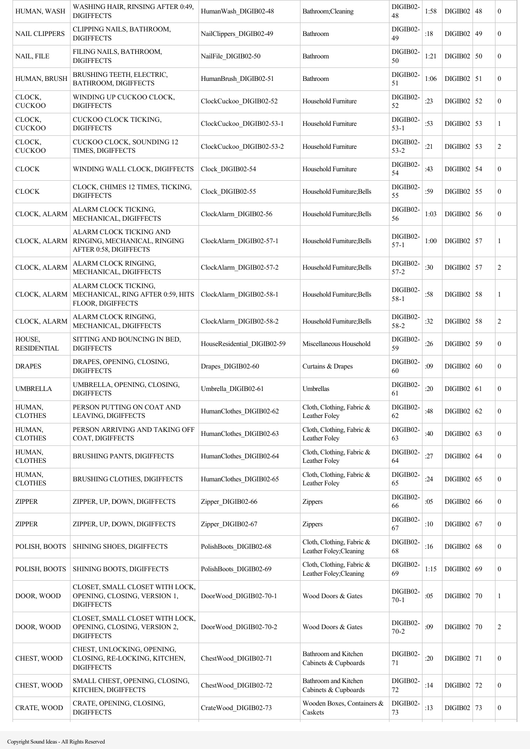| HUMAN, WASH                  | WASHING HAIR, RINSING AFTER 0:49,<br><b>DIGIFFECTS</b>                               | HumanWash DIGIB02-48        | Bathroom; Cleaning                                   | DIGIB02-<br>48       | 1:58 | DIGIB02   48   | $\boldsymbol{0}$ |
|------------------------------|--------------------------------------------------------------------------------------|-----------------------------|------------------------------------------------------|----------------------|------|----------------|------------------|
| <b>NAIL CLIPPERS</b>         | CLIPPING NAILS, BATHROOM,<br><b>DIGIFFECTS</b>                                       | NailClippers_DIGIB02-49     | Bathroom                                             | DIGIB02-<br>49       | :18  | $DIGIB02$ 49   | $\boldsymbol{0}$ |
| NAIL, FILE                   | FILING NAILS, BATHROOM,<br><b>DIGIFFECTS</b>                                         | NailFile_DIGIB02-50         | Bathroom                                             | DIGIB02-<br>50       | 1:21 | DIGIB02   50   | $\boldsymbol{0}$ |
| HUMAN, BRUSH                 | BRUSHING TEETH, ELECTRIC,<br>BATHROOM, DIGIFFECTS                                    | HumanBrush DIGIB02-51       | Bathroom                                             | DIGIB02-<br>51       | 1:06 | $DIGIB02$ 51   | $\boldsymbol{0}$ |
| CLOCK,<br><b>CUCKOO</b>      | WINDING UP CUCKOO CLOCK.<br><b>DIGIFFECTS</b>                                        | ClockCuckoo DIGIB02-52      | Household Furniture                                  | DIGIB02-<br>52       | :23  | $DIGIB02$ 52   | $\boldsymbol{0}$ |
| CLOCK,<br><b>CUCKOO</b>      | CUCKOO CLOCK TICKING,<br><b>DIGIFFECTS</b>                                           | ClockCuckoo_DIGIB02-53-1    | Household Furniture                                  | DIGIB02-<br>$53 - 1$ | :53  | $DIGIB02$ 53   | 1                |
| CLOCK,<br><b>CUCKOO</b>      | CUCKOO CLOCK, SOUNDING 12<br>TIMES, DIGIFFECTS                                       | ClockCuckoo DIGIB02-53-2    | Household Furniture                                  | DIGIB02-<br>$53 - 2$ | :21  | $DIGIB02$   53 | 2                |
| <b>CLOCK</b>                 | WINDING WALL CLOCK, DIGIFFECTS                                                       | Clock DIGIB02-54            | Household Furniture                                  | DIGIB02-<br>54       | :43  | DIGIB02 54     | $\overline{0}$   |
| <b>CLOCK</b>                 | CLOCK, CHIMES 12 TIMES, TICKING,<br><b>DIGIFFECTS</b>                                | Clock DIGIB02-55            | Household Furniture; Bells                           | DIGIB02-<br>55       | :59  | $DIGIB02$ 55   | $\boldsymbol{0}$ |
| CLOCK, ALARM                 | ALARM CLOCK TICKING,<br>MECHANICAL, DIGIFFECTS                                       | ClockAlarm DIGIB02-56       | Household Furniture; Bells                           | DIGIB02-<br>56       | 1:03 | $DIGIB02$ 56   | $\boldsymbol{0}$ |
| CLOCK, ALARM                 | ALARM CLOCK TICKING AND<br>RINGING, MECHANICAL, RINGING<br>AFTER 0:58, DIGIFFECTS    | ClockAlarm DIGIB02-57-1     | Household Furniture; Bells                           | DIGIB02-<br>$57-1$   | 1:00 | $DIGIB02$ 57   | 1                |
| CLOCK, ALARM                 | ALARM CLOCK RINGING,<br>MECHANICAL, DIGIFFECTS                                       | ClockAlarm DIGIB02-57-2     | Household Furniture; Bells                           | DIGIB02-<br>$57 - 2$ | :30  | $DIGIB02$ 57   | 2                |
| CLOCK, ALARM                 | ALARM CLOCK TICKING,<br>MECHANICAL, RING AFTER 0:59, HITS<br>FLOOR, DIGIFFECTS       | ClockAlarm DIGIB02-58-1     | Household Furniture; Bells                           | DIGIB02-<br>$58 - 1$ | :58  | $DIGIB02$ 58   | 1                |
| CLOCK, ALARM                 | ALARM CLOCK RINGING,<br>MECHANICAL, DIGIFFECTS                                       | ClockAlarm DIGIB02-58-2     | Household Furniture; Bells                           | DIGIB02-<br>58-2     | :32  | $DIGIB02$ 58   | 2                |
| HOUSE,<br><b>RESIDENTIAL</b> | SITTING AND BOUNCING IN BED,<br><b>DIGIFFECTS</b>                                    | HouseResidential DIGIB02-59 | Miscellaneous Household                              | DIGIB02-<br>59       | :26  | DIGIB02 59     | $\boldsymbol{0}$ |
| <b>DRAPES</b>                | DRAPES, OPENING, CLOSING,<br><b>DIGIFFECTS</b>                                       | Drapes DIGIB02-60           | Curtains & Drapes                                    | DIGIB02-<br>60       | :09  | DIGIB02   60   | $\boldsymbol{0}$ |
| <b>UMBRELLA</b>              | UMBRELLA, OPENING, CLOSING,<br><b>DIGIFFECTS</b>                                     | Umbrella DIGIB02-61         | Umbrellas                                            | DIGIB02-<br>61       | :20  | $DIGIB02$ 61   | $\boldsymbol{0}$ |
| HUMAN,<br><b>CLOTHES</b>     | PERSON PUTTING ON COAT AND<br>LEAVING, DIGIFFECTS                                    | HumanClothes DIGIB02-62     | Cloth, Clothing, Fabric &<br>Leather Foley           | DIGIB02-<br>62       | :48  | $DIGIB02$ 62   | $\boldsymbol{0}$ |
| HUMAN,<br><b>CLOTHES</b>     | PERSON ARRIVING AND TAKING OFF<br>COAT, DIGIFFECTS                                   | HumanClothes_DIGIB02-63     | Cloth, Clothing, Fabric &<br>Leather Foley           | DIGIB02-<br>63       | :40  | DIGIB02   63   | $\boldsymbol{0}$ |
| HUMAN,<br><b>CLOTHES</b>     | BRUSHING PANTS, DIGIFFECTS                                                           | HumanClothes DIGIB02-64     | Cloth, Clothing, Fabric &<br>Leather Foley           | DIGIB02-<br>64       | :27  | $DIGIB02$ 64   | $\boldsymbol{0}$ |
| HUMAN,<br><b>CLOTHES</b>     | BRUSHING CLOTHES, DIGIFFECTS                                                         | HumanClothes DIGIB02-65     | Cloth, Clothing, Fabric &<br>Leather Foley           | DIGIB02-<br>65       | :24  | DIGIB02   65   | $\boldsymbol{0}$ |
| <b>ZIPPER</b>                | ZIPPER, UP, DOWN, DIGIFFECTS                                                         | Zipper DIGIB02-66           | <b>Zippers</b>                                       | DIGIB02-<br>66       | :05  | DIGIB02   66   | $\boldsymbol{0}$ |
| <b>ZIPPER</b>                | ZIPPER, UP, DOWN, DIGIFFECTS                                                         | Zipper DIGIB02-67           | Zippers                                              | DIGIB02-<br>67       | :10  | DIGIB02   67   | $\boldsymbol{0}$ |
| POLISH, BOOTS                | SHINING SHOES, DIGIFFECTS                                                            | PolishBoots DIGIB02-68      | Cloth, Clothing, Fabric &<br>Leather Foley; Cleaning | DIGIB02-<br>68       | :16  | DIGIB02   68   | $\boldsymbol{0}$ |
| POLISH, BOOTS                | SHINING BOOTS, DIGIFFECTS                                                            | PolishBoots DIGIB02-69      | Cloth, Clothing, Fabric &<br>Leather Foley; Cleaning | DIGIB02-<br>69       | 1:15 | $DIGIB02$ 69   | $\boldsymbol{0}$ |
| DOOR, WOOD                   | CLOSET, SMALL CLOSET WITH LOCK,<br>OPENING, CLOSING, VERSION 1,<br><b>DIGIFFECTS</b> | DoorWood DIGIB02-70-1       | Wood Doors & Gates                                   | DIGIB02-<br>$70 - 1$ | :05  | DIGIB02   70   | 1                |
| DOOR, WOOD                   | CLOSET, SMALL CLOSET WITH LOCK,<br>OPENING, CLOSING, VERSION 2,<br><b>DIGIFFECTS</b> | DoorWood DIGIB02-70-2       | Wood Doors & Gates                                   | DIGIB02-<br>$70 - 2$ | :09  | $DIGIB02$ 70   | 2                |
| CHEST, WOOD                  | CHEST, UNLOCKING, OPENING,<br>CLOSING, RE-LOCKING, KITCHEN,<br><b>DIGIFFECTS</b>     | ChestWood DIGIB02-71        | Bathroom and Kitchen<br>Cabinets & Cupboards         | DIGIB02-<br>71       | :20  | $DIGIB02$   71 | $\boldsymbol{0}$ |
| CHEST, WOOD                  | SMALL CHEST, OPENING, CLOSING,<br>KITCHEN, DIGIFFECTS                                | ChestWood DIGIB02-72        | Bathroom and Kitchen<br>Cabinets & Cupboards         | DIGIB02-<br>$72\,$   | :14  | DIGIB02 72     | $\boldsymbol{0}$ |
| CRATE, WOOD                  | CRATE, OPENING, CLOSING,<br><b>DIGIFFECTS</b>                                        | CrateWood_DIGIB02-73        | Wooden Boxes, Containers &<br>Caskets                | DIGIB02-<br>73       | :13  | $DIGIB02$ 73   | $\boldsymbol{0}$ |
|                              |                                                                                      |                             |                                                      |                      |      |                |                  |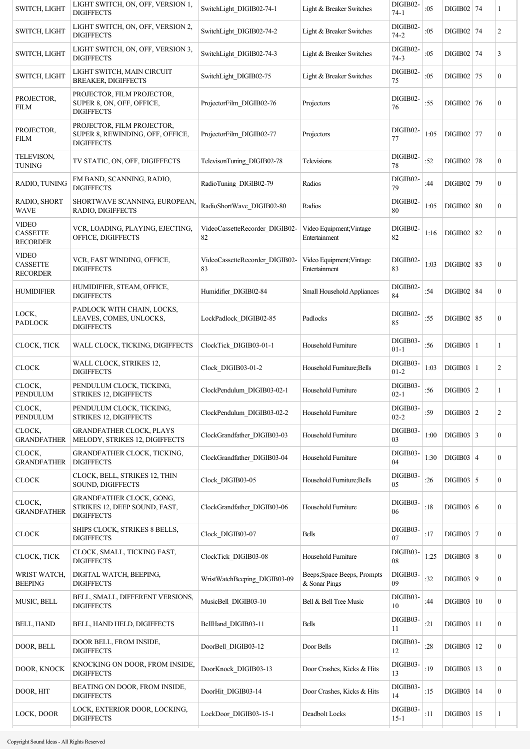| SWITCH, LIGHT                                      | LIGHT SWITCH, ON, OFF, VERSION 1,<br><b>DIGIFFECTS</b>                              | SwitchLight DIGIB02-74-1             | Light & Breaker Switches                     | DIGIB02-<br>$74 - 1$ | :05  | $DIGIB02$ 74   |            | 1                |
|----------------------------------------------------|-------------------------------------------------------------------------------------|--------------------------------------|----------------------------------------------|----------------------|------|----------------|------------|------------------|
| SWITCH, LIGHT                                      | LIGHT SWITCH, ON, OFF, VERSION 2,<br><b>DIGIFFECTS</b>                              | SwitchLight DIGIB02-74-2             | Light & Breaker Switches                     | DIGIB02-<br>$74 - 2$ | :05  | $DIGIB02$ 74   |            | 2                |
| SWITCH, LIGHT                                      | LIGHT SWITCH, ON, OFF, VERSION 3,<br><b>DIGIFFECTS</b>                              | SwitchLight DIGIB02-74-3             | Light & Breaker Switches                     | DIGIB02-<br>$74-3$   | :05  | DIGIB02   74   |            | 3                |
| SWITCH, LIGHT                                      | LIGHT SWITCH, MAIN CIRCUIT<br><b>BREAKER, DIGIFFECTS</b>                            | SwitchLight DIGIB02-75               | Light & Breaker Switches                     | DIGIB02-<br>75       | :05  | DIGIB02 75     |            | $\boldsymbol{0}$ |
| PROJECTOR.<br><b>FILM</b>                          | PROJECTOR, FILM PROJECTOR,<br>SUPER 8, ON, OFF, OFFICE,<br><b>DIGIFFECTS</b>        | ProjectorFilm DIGIB02-76             | Projectors                                   | DIGIB02-<br>76       | :55  | DIGIB02 76     |            | $\boldsymbol{0}$ |
| PROJECTOR,<br><b>FILM</b>                          | PROJECTOR, FILM PROJECTOR,<br>SUPER 8, REWINDING, OFF, OFFICE,<br><b>DIGIFFECTS</b> | ProjectorFilm DIGIB02-77             | Projectors                                   | DIGIB02-<br>77       | 1:05 | $DIGIB02$   77 |            | $\boldsymbol{0}$ |
| TELEVISON,<br><b>TUNING</b>                        | TV STATIC, ON, OFF, DIGIFFECTS                                                      | TelevisonTuning DIGIB02-78           | Televisions                                  | DIGIB02-<br>78       | :52  | DIGIB02 78     |            | $\boldsymbol{0}$ |
| RADIO, TUNING                                      | FM BAND, SCANNING, RADIO,<br><b>DIGIFFECTS</b>                                      | RadioTuning_DIGIB02-79               | Radios                                       | DIGIB02-<br>79       | :44  | DIGIB02 79     |            | $\boldsymbol{0}$ |
| RADIO, SHORT<br><b>WAVE</b>                        | SHORTWAVE SCANNING, EUROPEAN,<br>RADIO, DIGIFFECTS                                  | RadioShortWave_DIGIB02-80            | Radios                                       | DIGIB02-<br>80       | 1:05 | DIGIB02   80   |            | $\overline{0}$   |
| <b>VIDEO</b><br><b>CASSETTE</b><br><b>RECORDER</b> | VCR, LOADING, PLAYING, EJECTING,<br>OFFICE, DIGIFFECTS                              | VideoCassetteRecorder_DIGIB02-<br>82 | Video Equipment; Vintage<br>Entertainment    | DIGIB02-<br>82       | 1:16 | $DIGIB02$ 82   |            | $\overline{0}$   |
| <b>VIDEO</b><br><b>CASSETTE</b><br><b>RECORDER</b> | VCR, FAST WINDING, OFFICE,<br><b>DIGIFFECTS</b>                                     | VideoCassetteRecorder DIGIB02-<br>83 | Video Equipment; Vintage<br>Entertainment    | DIGIB02-<br>83       | 1:03 | DIGIB02   83   |            | $\boldsymbol{0}$ |
| <b>HUMIDIFIER</b>                                  | HUMIDIFIER, STEAM, OFFICE,<br><b>DIGIFFECTS</b>                                     | Humidifier DIGIB02-84                | Small Household Appliances                   | DIGIB02-<br>84       | :54  | DIGIB02   84   |            | $\boldsymbol{0}$ |
| LOCK,<br><b>PADLOCK</b>                            | PADLOCK WITH CHAIN, LOCKS,<br>LEAVES, COMES, UNLOCKS,<br><b>DIGIFFECTS</b>          | LockPadlock DIGIB02-85               | Padlocks                                     | DIGIB02-<br>85       | :55  | DIGIB02   85   |            | $\overline{0}$   |
| CLOCK, TICK                                        | WALL CLOCK, TICKING, DIGIFFECTS                                                     | ClockTick DIGIB03-01-1               | Household Furniture                          | DIGIB03-<br>$01 - 1$ | :56  | $DIGIB03$   1  |            | 1                |
| <b>CLOCK</b>                                       | WALL CLOCK, STRIKES 12,<br><b>DIGIFFECTS</b>                                        | Clock_DIGIB03-01-2                   | Household Furniture; Bells                   | DIGIB03-<br>$01 - 2$ | 1:03 | $DIGIB03$   1  |            | 2                |
| CLOCK,<br>PENDULUM                                 | PENDULUM CLOCK, TICKING,<br>STRIKES 12, DIGIFFECTS                                  | ClockPendulum DIGIB03-02-1           | Household Furniture                          | DIGIB03-<br>$02 - 1$ | :56  | $DIGIB03$   2  |            | 1                |
| CLOCK,<br>PENDULUM                                 | PENDULUM CLOCK, TICKING,<br>STRIKES 12, DIGIFFECTS                                  | ClockPendulum DIGIB03-02-2           | Household Furniture                          | DIGIB03-<br>$02 - 2$ | :59  | $DIGIB03$ 2    |            | 2                |
| CLOCK,<br><b>GRANDFATHER</b>                       | <b>GRANDFATHER CLOCK, PLAYS</b><br>MELODY, STRIKES 12, DIGIFFECTS                   | ClockGrandfather_DIGIB03-03          | Household Furniture                          | DIGIB03-<br>03       | 1:00 | $DIGIB03$ 3    |            | $\boldsymbol{0}$ |
| CLOCK,<br><b>GRANDFATHER</b>                       | <b>GRANDFATHER CLOCK, TICKING,</b><br><b>DIGIFFECTS</b>                             | ClockGrandfather DIGIB03-04          | Household Furniture                          | DIGIB03-<br>04       | 1:30 | $DIGIB03$ 4    |            | $\boldsymbol{0}$ |
| <b>CLOCK</b>                                       | CLOCK, BELL, STRIKES 12, THIN<br>SOUND, DIGIFFECTS                                  | Clock_DIGIB03-05                     | Household Furniture; Bells                   | DIGIB03-<br>05       | :26  | $DIGIB03$ 5    |            | $\boldsymbol{0}$ |
| CLOCK,<br><b>GRANDFATHER</b>                       | GRANDFATHER CLOCK, GONG,<br>STRIKES 12, DEEP SOUND, FAST,<br><b>DIGIFFECTS</b>      | ClockGrandfather DIGIB03-06          | Household Furniture                          | DIGIB03-<br>06       | :18  | DIGIB03   6    |            | $\boldsymbol{0}$ |
| <b>CLOCK</b>                                       | SHIPS CLOCK, STRIKES 8 BELLS,<br><b>DIGIFFECTS</b>                                  | Clock DIGIB03-07                     | <b>Bells</b>                                 | DIGIB03-<br>07       | :17  | $DIGIB03$   7  |            | $\boldsymbol{0}$ |
| CLOCK, TICK                                        | CLOCK, SMALL, TICKING FAST,<br><b>DIGIFFECTS</b>                                    | ClockTick DIGIB03-08                 | Household Furniture                          | DIGIB03-<br>08       | 1:25 | DIGIB03   8    |            | $\boldsymbol{0}$ |
| WRIST WATCH,<br><b>BEEPING</b>                     | DIGITAL WATCH, BEEPING,<br><b>DIGIFFECTS</b>                                        | WristWatchBeeping DIGIB03-09         | Beeps; Space Beeps, Prompts<br>& Sonar Pings | DIGIB03-<br>09       | :32  | $DIGIB03$   9  |            | $\boldsymbol{0}$ |
| MUSIC, BELL                                        | BELL, SMALL, DIFFERENT VERSIONS,<br><b>DIGIFFECTS</b>                               | MusicBell DIGIB03-10                 | Bell & Bell Tree Music                       | DIGIB03-<br>10       | :44  | DIGIB03   10   |            | $\boldsymbol{0}$ |
| <b>BELL, HAND</b>                                  | BELL, HAND HELD, DIGIFFECTS                                                         | BellHand DIGIB03-11                  | <b>Bells</b>                                 | DIGIB03-<br>11       | :21  | $DIGIB03$   11 |            | $\overline{0}$   |
| DOOR, BELL                                         | DOOR BELL, FROM INSIDE,<br><b>DIGIFFECTS</b>                                        | DoorBell_DIGIB03-12                  | Door Bells                                   | DIGIB03-<br>12       | :28  | DIGIB03        | $\vert$ 12 | $\overline{0}$   |
| DOOR, KNOCK                                        | KNOCKING ON DOOR, FROM INSIDE,<br><b>DIGIFFECTS</b>                                 | DoorKnock_DIGIB03-13                 | Door Crashes, Kicks & Hits                   | DIGIB03-<br>13       | :19  | $DIGIB03$   13 |            | $\overline{0}$   |
| DOOR, HIT                                          | BEATING ON DOOR, FROM INSIDE,<br><b>DIGIFFECTS</b>                                  | DoorHit_DIGIB03-14                   | Door Crashes, Kicks & Hits                   | DIGIB03-<br>14       | :15  | $DIGIB03$   14 |            | $\boldsymbol{0}$ |
| LOCK, DOOR                                         | LOCK, EXTERIOR DOOR, LOCKING,<br><b>DIGIFFECTS</b>                                  | LockDoor DIGIB03-15-1                | Deadbolt Locks                               | DIGIB03-<br>$15 - 1$ | :11  | $DIGIB03$   15 |            | 1                |
|                                                    |                                                                                     |                                      |                                              |                      |      |                |            |                  |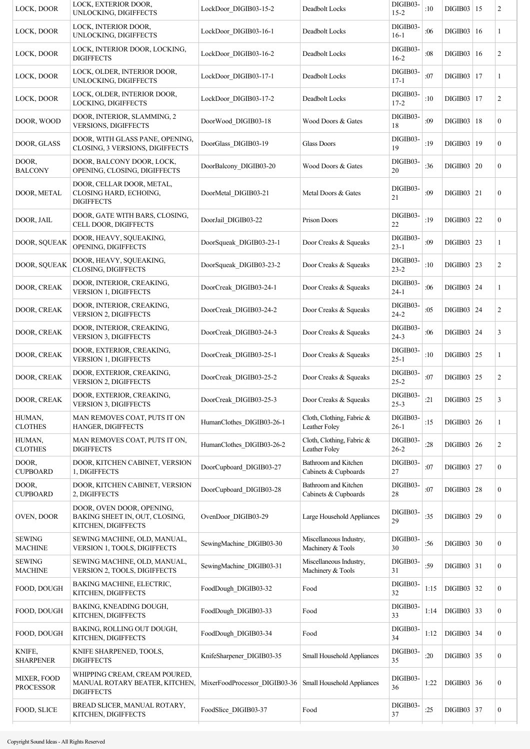| LOCK, DOOR                      | LOCK, EXTERIOR DOOR,<br>UNLOCKING, DIGIFFECTS                                        | LockDoor DIGIB03-15-2         | Deadbolt Locks                                    | DIGIB03-<br>$15 - 2$ | :10  | $DIGIB03$   15 | 2                |
|---------------------------------|--------------------------------------------------------------------------------------|-------------------------------|---------------------------------------------------|----------------------|------|----------------|------------------|
| LOCK, DOOR                      | LOCK, INTERIOR DOOR,<br>UNLOCKING, DIGIFFECTS                                        | LockDoor DIGIB03-16-1         | Deadbolt Locks                                    | DIGIB03-<br>$16-1$   | :06  | DIGIB03   16   | 1                |
| LOCK, DOOR                      | LOCK, INTERIOR DOOR, LOCKING,<br><b>DIGIFFECTS</b>                                   | LockDoor DIGIB03-16-2         | Deadbolt Locks                                    | DIGIB03-<br>$16-2$   | :08  | DIGIB03   16   | 2                |
| LOCK, DOOR                      | LOCK, OLDER, INTERIOR DOOR,<br>UNLOCKING, DIGIFFECTS                                 | LockDoor DIGIB03-17-1         | Deadbolt Locks                                    | DIGIB03-<br>$17 - 1$ | :07  | DIGIB03   17   | 1                |
| LOCK, DOOR                      | LOCK, OLDER, INTERIOR DOOR,<br>LOCKING, DIGIFFECTS                                   | LockDoor DIGIB03-17-2         | Deadbolt Locks                                    | DIGIB03-<br>$17 - 2$ | :10  | DIGIB03   17   | $\overline{c}$   |
| DOOR, WOOD                      | DOOR, INTERIOR, SLAMMING, 2<br><b>VERSIONS, DIGIFFECTS</b>                           | DoorWood DIGIB03-18           | Wood Doors & Gates                                | DIGIB03-<br>18       | :09  | DIGIB03   18   | $\boldsymbol{0}$ |
| DOOR, GLASS                     | DOOR, WITH GLASS PANE, OPENING,<br>CLOSING, 3 VERSIONS, DIGIFFECTS                   | DoorGlass DIGIB03-19          | <b>Glass Doors</b>                                | DIGIB03-<br>19       | :19  | DIGIB03   19   | $\boldsymbol{0}$ |
| DOOR,<br><b>BALCONY</b>         | DOOR, BALCONY DOOR, LOCK,<br>OPENING, CLOSING, DIGIFFECTS                            | DoorBalcony DIGIB03-20        | Wood Doors & Gates                                | DIGIB03-<br>20       | :36  | DIGIB03   20   | $\boldsymbol{0}$ |
| DOOR, METAL                     | DOOR, CELLAR DOOR, METAL,<br>CLOSING HARD, ECHOING,<br><b>DIGIFFECTS</b>             | DoorMetal DIGIB03-21          | Metal Doors & Gates                               | DIGIB03-<br>21       | :09  | $DIGIB03$   21 | $\boldsymbol{0}$ |
| DOOR, JAIL                      | DOOR, GATE WITH BARS, CLOSING,<br>CELL DOOR, DIGIFFECTS                              | DoorJail_DIGIB03-22           | <b>Prison Doors</b>                               | DIGIB03-<br>22       | :19  | $DIGIB03$ 22   | $\boldsymbol{0}$ |
| DOOR, SQUEAK                    | DOOR, HEAVY, SQUEAKING,<br>OPENING, DIGIFFECTS                                       | DoorSqueak DIGIB03-23-1       | Door Creaks & Squeaks                             | DIGIB03-<br>$23 - 1$ | :09  | $DIGIB03$   23 | 1                |
| DOOR, SQUEAK                    | DOOR, HEAVY, SQUEAKING,<br>CLOSING, DIGIFFECTS                                       | DoorSqueak DIGIB03-23-2       | Door Creaks & Squeaks                             | DIGIB03-<br>$23 - 2$ | :10  | $DIGIB03$   23 | $\overline{c}$   |
| DOOR, CREAK                     | DOOR, INTERIOR, CREAKING,<br><b>VERSION 1, DIGIFFECTS</b>                            | DoorCreak DIGIB03-24-1        | Door Creaks & Squeaks                             | DIGIB03-<br>$24-1$   | :06  | DIGIB03   24   | 1                |
| DOOR, CREAK                     | DOOR, INTERIOR, CREAKING,<br>VERSION 2, DIGIFFECTS                                   | DoorCreak DIGIB03-24-2        | Door Creaks & Squeaks                             | DIGIB03-<br>$24 - 2$ | :05  | DIGIB03   24   | 2                |
| DOOR, CREAK                     | DOOR, INTERIOR, CREAKING,<br>VERSION 3, DIGIFFECTS                                   | DoorCreak DIGIB03-24-3        | Door Creaks & Squeaks                             | DIGIB03-<br>$24 - 3$ | :06  | DIGIB03   24   | 3                |
| DOOR, CREAK                     | DOOR, EXTERIOR, CREAKING,<br>VERSION 1, DIGIFFECTS                                   | DoorCreak DIGIB03-25-1        | Door Creaks & Squeaks                             | DIGIB03-<br>$25 - 1$ | :10  | $DIGIB03$   25 | 1                |
| DOOR, CREAK                     | DOOR, EXTERIOR, CREAKING,<br>VERSION 2, DIGIFFECTS                                   | DoorCreak DIGIB03-25-2        | Door Creaks & Squeaks                             | DIGIB03-<br>$25 - 2$ | :07  | $DIGIB03$   25 | 2                |
| DOOR, CREAK                     | DOOR, EXTERIOR, CREAKING,<br><b>VERSION 3, DIGIFFECTS</b>                            | DoorCreak DIGIB03-25-3        | Door Creaks & Squeaks                             | DIGIB03-<br>$25 - 3$ | :21  | $DIGIB03$ 25   | 3                |
| HUMAN,<br><b>CLOTHES</b>        | MAN REMOVES COAT, PUTS IT ON<br>HANGER, DIGIFFECTS                                   | HumanClothes DIGIB03-26-1     | Cloth, Clothing, Fabric &<br>Leather Foley        | DIGIB03-<br>$26-1$   | :15  | DIGIB03   26   | 1                |
| HUMAN,<br><b>CLOTHES</b>        | MAN REMOVES COAT, PUTS IT ON,<br><b>DIGIFFECTS</b>                                   | HumanClothes DIGIB03-26-2     | Cloth, Clothing, Fabric &<br><b>Leather Foley</b> | DIGIB03-<br>$26 - 2$ | :28  | DIGIB03   26   | $\overline{c}$   |
| DOOR,<br><b>CUPBOARD</b>        | DOOR, KITCHEN CABINET, VERSION<br>1, DIGIFFECTS                                      | DoorCupboard DIGIB03-27       | Bathroom and Kitchen<br>Cabinets & Cupboards      | DIGIB03-<br>27       | :07  | $DIGIB03$ 27   | $\boldsymbol{0}$ |
| DOOR,<br><b>CUPBOARD</b>        | DOOR, KITCHEN CABINET, VERSION<br>2, DIGIFFECTS                                      | DoorCupboard_DIGIB03-28       | Bathroom and Kitchen<br>Cabinets & Cupboards      | DIGIB03-<br>28       | :07  | $DIGIB03$ 28   | $\mathbf{0}$     |
| OVEN, DOOR                      | DOOR, OVEN DOOR, OPENING,<br>BAKING SHEET IN, OUT, CLOSING,<br>KITCHEN, DIGIFFECTS   | OvenDoor DIGIB03-29           | Large Household Appliances                        | DIGIB03-<br>29       | :35  | $DIGIB03$ 29   | $\boldsymbol{0}$ |
| <b>SEWING</b><br><b>MACHINE</b> | SEWING MACHINE, OLD, MANUAL,<br>VERSION 1, TOOLS, DIGIFFECTS                         | SewingMachine DIGIB03-30      | Miscellaneous Industry,<br>Machinery & Tools      | DIGIB03-<br>30       | :56  | $DIGIB03$ 30   | $\boldsymbol{0}$ |
| <b>SEWING</b><br><b>MACHINE</b> | SEWING MACHINE, OLD, MANUAL,<br>VERSION 2, TOOLS, DIGIFFECTS                         | SewingMachine DIGIB03-31      | Miscellaneous Industry,<br>Machinery & Tools      | DIGIB03-<br>31       | :59  | $DIGIB03$ 31   | $\boldsymbol{0}$ |
| FOOD, DOUGH                     | BAKING MACHINE, ELECTRIC,<br>KITCHEN, DIGIFFECTS                                     | FoodDough_DIGIB03-32          | Food                                              | DIGIB03-<br>32       | 1:15 | $DIGIB03$ 32   | $\boldsymbol{0}$ |
| FOOD, DOUGH                     | BAKING, KNEADING DOUGH,<br>KITCHEN, DIGIFFECTS                                       | FoodDough DIGIB03-33          | Food                                              | DIGIB03-<br>33       | 1:14 | $DIGIB03$ 33   | $\boldsymbol{0}$ |
| FOOD, DOUGH                     | BAKING, ROLLING OUT DOUGH,<br>KITCHEN, DIGIFFECTS                                    | FoodDough DIGIB03-34          | Food                                              | DIGIB03-<br>34       | 1:12 | DIGIB03   34   | $\boldsymbol{0}$ |
| KNIFE,<br><b>SHARPENER</b>      | KNIFE SHARPENED, TOOLS,<br><b>DIGIFFECTS</b>                                         | KnifeSharpener_DIGIB03-35     | Small Household Appliances                        | DIGIB03-<br>35       | :20  | DIGIB03   35   | $\boldsymbol{0}$ |
| MIXER, FOOD<br><b>PROCESSOR</b> | WHIPPING CREAM, CREAM POURED,<br>MANUAL ROTARY BEATER, KITCHEN,<br><b>DIGIFFECTS</b> | MixerFoodProcessor DIGIB03-36 | Small Household Appliances                        | DIGIB03-<br>36       | 1:22 | DIGIB03   36   | $\boldsymbol{0}$ |
| FOOD, SLICE                     | BREAD SLICER, MANUAL ROTARY,<br>KITCHEN, DIGIFFECTS                                  | FoodSlice DIGIB03-37          | Food                                              | DIGIB03-<br>37       | :25  | $DIGIB03$ 37   | $\boldsymbol{0}$ |
|                                 |                                                                                      |                               |                                                   |                      |      |                |                  |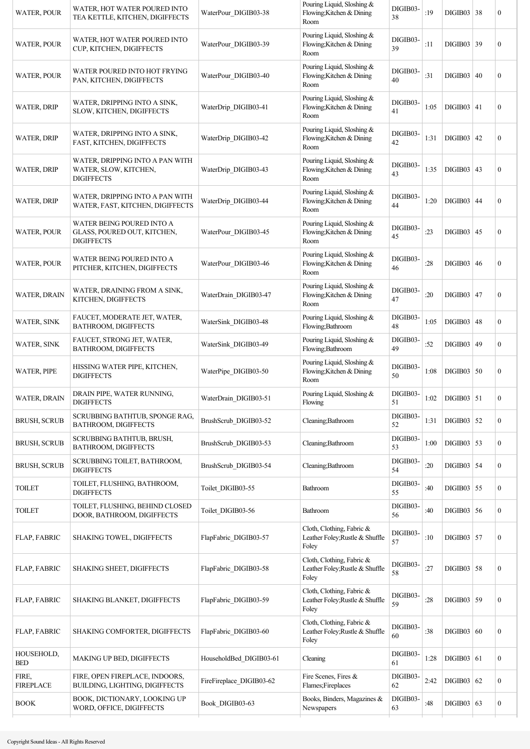| <b>WATER, POUR</b>        | WATER, HOT WATER POURED INTO<br>TEA KETTLE, KITCHEN, DIGIFFECTS               | WaterPour DIGIB03-38     | Pouring Liquid, Sloshing &<br>Flowing; Kitchen & Dining<br>Room       | DIGIB03-<br>38 | :19  | DIGIB03   38      |    | $\mathbf{0}$     |
|---------------------------|-------------------------------------------------------------------------------|--------------------------|-----------------------------------------------------------------------|----------------|------|-------------------|----|------------------|
| <b>WATER, POUR</b>        | WATER, HOT WATER POURED INTO<br>CUP, KITCHEN, DIGIFFECTS                      | WaterPour DIGIB03-39     | Pouring Liquid, Sloshing &<br>Flowing; Kitchen & Dining<br>Room       | DIGIB03-<br>39 | :11  | DIGIB03 39        |    | $\boldsymbol{0}$ |
| <b>WATER, POUR</b>        | WATER POURED INTO HOT FRYING<br>PAN, KITCHEN, DIGIFFECTS                      | WaterPour DIGIB03-40     | Pouring Liquid, Sloshing &<br>Flowing; Kitchen & Dining<br>Room       | DIGIB03-<br>40 | :31  | DIGIB03   40      |    | $\boldsymbol{0}$ |
| <b>WATER, DRIP</b>        | WATER, DRIPPING INTO A SINK,<br>SLOW, KITCHEN, DIGIFFECTS                     | WaterDrip DIGIB03-41     | Pouring Liquid, Sloshing &<br>Flowing; Kitchen & Dining<br>Room       | DIGIB03-<br>41 | 1:05 | $DIGIB03$   41    |    | $\boldsymbol{0}$ |
| <b>WATER, DRIP</b>        | WATER, DRIPPING INTO A SINK,<br>FAST, KITCHEN, DIGIFFECTS                     | WaterDrip DIGIB03-42     | Pouring Liquid, Sloshing &<br>Flowing; Kitchen & Dining<br>Room       | DIGIB03-<br>42 | 1:31 | $DIGIB03 \mid 42$ |    | $\boldsymbol{0}$ |
| <b>WATER, DRIP</b>        | WATER, DRIPPING INTO A PAN WITH<br>WATER, SLOW, KITCHEN,<br><b>DIGIFFECTS</b> | WaterDrip DIGIB03-43     | Pouring Liquid, Sloshing &<br>Flowing; Kitchen & Dining<br>Room       | DIGIB03-<br>43 | 1:35 | DIGIB03   43      |    | $\boldsymbol{0}$ |
| <b>WATER, DRIP</b>        | WATER, DRIPPING INTO A PAN WITH<br>WATER, FAST, KITCHEN, DIGIFFECTS           | WaterDrip DIGIB03-44     | Pouring Liquid, Sloshing &<br>Flowing; Kitchen & Dining<br>Room       | DIGIB03-<br>44 | 1:20 | $DIGIB03$ 44      |    | $\boldsymbol{0}$ |
| <b>WATER, POUR</b>        | WATER BEING POURED INTO A<br>GLASS, POURED OUT, KITCHEN,<br><b>DIGIFFECTS</b> | WaterPour DIGIB03-45     | Pouring Liquid, Sloshing &<br>Flowing; Kitchen & Dining<br>Room       | DIGIB03-<br>45 | :23  | DIGIB03           | 45 | 0                |
| <b>WATER, POUR</b>        | WATER BEING POURED INTO A<br>PITCHER, KITCHEN, DIGIFFECTS                     | WaterPour DIGIB03-46     | Pouring Liquid, Sloshing &<br>Flowing; Kitchen & Dining<br>Room       | DIGIB03-<br>46 | :28  | DIGIB03   46      |    | $\boldsymbol{0}$ |
| <b>WATER, DRAIN</b>       | WATER, DRAINING FROM A SINK,<br>KITCHEN, DIGIFFECTS                           | WaterDrain DIGIB03-47    | Pouring Liquid, Sloshing &<br>Flowing; Kitchen & Dining<br>Room       | DIGIB03-<br>47 | :20  | $DIGIB03$   47    |    | $\boldsymbol{0}$ |
| <b>WATER, SINK</b>        | FAUCET, MODERATE JET, WATER,<br>BATHROOM, DIGIFFECTS                          | WaterSink DIGIB03-48     | Pouring Liquid, Sloshing &<br>Flowing;Bathroom                        | DIGIB03-<br>48 | 1:05 | DIGIB03           | 48 | $\bf{0}$         |
| <b>WATER, SINK</b>        | FAUCET, STRONG JET, WATER,<br>BATHROOM, DIGIFFECTS                            | WaterSink DIGIB03-49     | Pouring Liquid, Sloshing &<br>Flowing; Bathroom                       | DIGIB03-<br>49 | :52  | DIGIB03           | 49 | $\boldsymbol{0}$ |
| <b>WATER, PIPE</b>        | HISSING WATER PIPE, KITCHEN,<br><b>DIGIFFECTS</b>                             | WaterPipe_DIGIB03-50     | Pouring Liquid, Sloshing &<br>Flowing; Kitchen & Dining<br>Room       | DIGIB03-<br>50 | 1:08 | $DIGIB03$ 50      |    | $\boldsymbol{0}$ |
| WATER, DRAIN              | DRAIN PIPE, WATER RUNNING,<br><b>DIGIFFECTS</b>                               | WaterDrain DIGIB03-51    | Pouring Liquid, Sloshing &<br>Flowing                                 | DIGIB03-<br>51 | 1:02 | $DIGIB03$ 51      |    | $\theta$         |
| <b>BRUSH, SCRUB</b>       | SCRUBBING BATHTUB, SPONGE RAG,<br>BATHROOM, DIGIFFECTS                        | BrushScrub DIGIB03-52    | Cleaning;Bathroom                                                     | DIGIB03-<br>52 | 1:31 | $DIGIB03$ 52      |    | $\boldsymbol{0}$ |
| <b>BRUSH, SCRUB</b>       | SCRUBBING BATHTUB, BRUSH,<br><b>BATHROOM, DIGIFFECTS</b>                      | BrushScrub DIGIB03-53    | Cleaning; Bathroom                                                    | DIGIB03-<br>53 | 1:00 | $DIGIB03$ 53      |    | $\boldsymbol{0}$ |
| <b>BRUSH, SCRUB</b>       | SCRUBBING TOILET, BATHROOM,<br><b>DIGIFFECTS</b>                              | BrushScrub DIGIB03-54    | Cleaning;Bathroom                                                     | DIGIB03-<br>54 | :20  | $DIGIB03$ 54      |    | $\boldsymbol{0}$ |
| <b>TOILET</b>             | TOILET, FLUSHING, BATHROOM,<br><b>DIGIFFECTS</b>                              | Toilet DIGIB03-55        | Bathroom                                                              | DIGIB03-<br>55 | :40  | $DIGIB03$ 55      |    | $\boldsymbol{0}$ |
| <b>TOILET</b>             | TOILET, FLUSHING, BEHIND CLOSED<br>DOOR, BATHROOM, DIGIFFECTS                 | Toilet_DIGIB03-56        | Bathroom                                                              | DIGIB03-<br>56 | :40  | $DIGIB03$ 56      |    | $\boldsymbol{0}$ |
| <b>FLAP, FABRIC</b>       | <b>SHAKING TOWEL, DIGIFFECTS</b>                                              | FlapFabric DIGIB03-57    | Cloth, Clothing, Fabric &<br>Leather Foley; Rustle & Shuffle<br>Foley | DIGIB03-<br>57 | :10  | $DIGIB03$ 57      |    | $\boldsymbol{0}$ |
| <b>FLAP, FABRIC</b>       | <b>SHAKING SHEET, DIGIFFECTS</b>                                              | FlapFabric DIGIB03-58    | Cloth, Clothing, Fabric &<br>Leather Foley; Rustle & Shuffle<br>Foley | DIGIB03-<br>58 | :27  | $DIGIB03$ 58      |    | $\boldsymbol{0}$ |
| FLAP, FABRIC              | SHAKING BLANKET, DIGIFFECTS                                                   | FlapFabric DIGIB03-59    | Cloth, Clothing, Fabric &<br>Leather Foley; Rustle & Shuffle<br>Foley | DIGIB03-<br>59 | :28  | $DIGIB03$ 59      |    | $\boldsymbol{0}$ |
| FLAP, FABRIC              | SHAKING COMFORTER, DIGIFFECTS                                                 | FlapFabric DIGIB03-60    | Cloth, Clothing, Fabric &<br>Leather Foley; Rustle & Shuffle<br>Foley | DIGIB03-<br>60 | :38  | DIGIB03   60      |    | $\boldsymbol{0}$ |
| HOUSEHOLD,<br><b>BED</b>  | MAKING UP BED, DIGIFFECTS                                                     | HouseholdBed DIGIB03-61  | Cleaning                                                              | DIGIB03-<br>61 | 1:28 | DIGIB03   61      |    | $\boldsymbol{0}$ |
| FIRE,<br><b>FIREPLACE</b> | FIRE, OPEN FIREPLACE, INDOORS,<br>BUILDING, LIGHTING, DIGIFFECTS              | FireFireplace DIGIB03-62 | Fire Scenes, Fires &<br>Flames;Fireplaces                             | DIGIB03-<br>62 | 2:42 | DIGIB03           | 62 | $\boldsymbol{0}$ |
| <b>BOOK</b>               | BOOK, DICTIONARY, LOOKING UP<br>WORD, OFFICE, DIGIFFECTS                      | Book DIGIB03-63          | Books, Binders, Magazines &<br>Newspapers                             | DIGIB03-<br>63 | :48  | $DIGIB03$ 63      |    | $\boldsymbol{0}$ |
|                           |                                                                               |                          |                                                                       |                |      |                   |    |                  |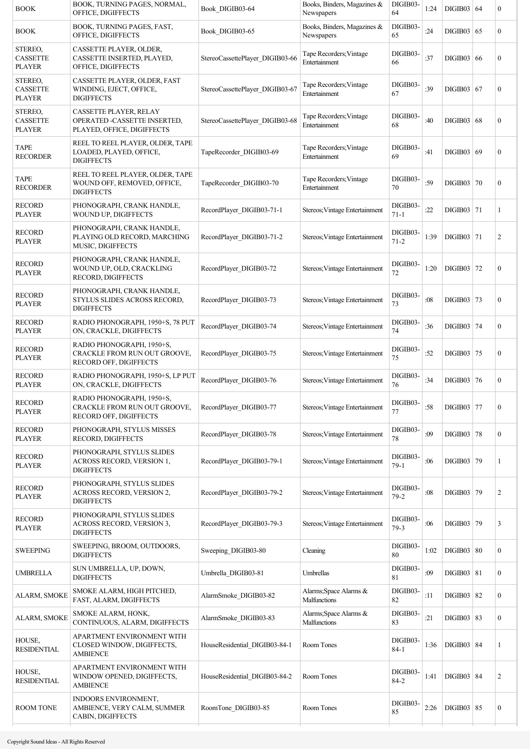| BOOK                                        | BOOK, TURNING PAGES, NORMAL,<br>OFFICE, DIGIFFECTS                                         | Book DIGIB03-64                 | Books, Binders, Magazines &<br>Newspapers | DIGIB03-<br>64       | 1:24 | DIGIB03   64      |     | $\boldsymbol{0}$ |
|---------------------------------------------|--------------------------------------------------------------------------------------------|---------------------------------|-------------------------------------------|----------------------|------|-------------------|-----|------------------|
| <b>BOOK</b>                                 | BOOK, TURNING PAGES, FAST,<br>OFFICE, DIGIFFECTS                                           | Book DIGIB03-65                 | Books, Binders, Magazines &<br>Newspapers | DIGIB03-<br>65       | :24  | DIGIB03   65      |     | $\boldsymbol{0}$ |
| STEREO,<br><b>CASSETTE</b><br><b>PLAYER</b> | CASSETTE PLAYER, OLDER,<br>CASSETTE INSERTED, PLAYED,<br>OFFICE, DIGIFFECTS                | StereoCassettePlayer DIGIB03-66 | Tape Recorders; Vintage<br>Entertainment  | DIGIB03-<br>66       | :37  | DIGIB03           | -66 | $\boldsymbol{0}$ |
| STEREO,<br><b>CASSETTE</b><br><b>PLAYER</b> | CASSETTE PLAYER, OLDER, FAST<br>WINDING, EJECT, OFFICE,<br><b>DIGIFFECTS</b>               | StereoCassettePlayer_DIGIB03-67 | Tape Recorders; Vintage<br>Entertainment  | DIGIB03-<br>67       | :39  | DIGIB03   67      |     | $\mathbf{0}$     |
| STEREO,<br><b>CASSETTE</b><br><b>PLAYER</b> | CASSETTE PLAYER, RELAY<br>OPERATED -CASSETTE INSERTED,<br>PLAYED, OFFICE, DIGIFFECTS       | StereoCassettePlayer_DIGIB03-68 | Tape Recorders; Vintage<br>Entertainment  | DIGIB03-<br>68       | :40  | DIGIB03           | 68  | $\boldsymbol{0}$ |
| <b>TAPE</b><br><b>RECORDER</b>              | REEL TO REEL PLAYER, OLDER, TAPE<br>LOADED, PLAYED, OFFICE,<br><b>DIGIFFECTS</b>           | TapeRecorder DIGIB03-69         | Tape Recorders; Vintage<br>Entertainment  | DIGIB03-<br>69       | :41  | DIGIB03   69      |     | $\boldsymbol{0}$ |
| <b>TAPE</b><br><b>RECORDER</b>              | REEL TO REEL PLAYER, OLDER, TAPE<br>WOUND OFF, REMOVED, OFFICE,<br><b>DIGIFFECTS</b>       | TapeRecorder DIGIB03-70         | Tape Recorders; Vintage<br>Entertainment  | DIGIB03-<br>70       | :59  | <b>DIGIB03 70</b> |     | $\boldsymbol{0}$ |
| <b>RECORD</b><br><b>PLAYER</b>              | PHONOGRAPH, CRANK HANDLE,<br>WOUND UP, DIGIFFECTS                                          | RecordPlayer DIGIB03-71-1       | Stereos; Vintage Entertainment            | DIGIB03-<br>$71 - 1$ | :22  | DIGIB03 71        |     | 1                |
| <b>RECORD</b><br><b>PLAYER</b>              | PHONOGRAPH, CRANK HANDLE,<br>PLAYING OLD RECORD, MARCHING<br>MUSIC, DIGIFFECTS             | RecordPlayer DIGIB03-71-2       | Stereos; Vintage Entertainment            | DIGIB03-<br>$71 - 2$ | 1:39 | $DIGIB03$   71    |     | 2                |
| <b>RECORD</b><br><b>PLAYER</b>              | PHONOGRAPH, CRANK HANDLE,<br>WOUND UP, OLD, CRACKLING<br>RECORD, DIGIFFECTS                | RecordPlayer DIGIB03-72         | Stereos; Vintage Entertainment            | DIGIB03-<br>72       | 1:20 | DIGIB03           | 72  | $\boldsymbol{0}$ |
| <b>RECORD</b><br><b>PLAYER</b>              | PHONOGRAPH, CRANK HANDLE,<br>STYLUS SLIDES ACROSS RECORD,<br><b>DIGIFFECTS</b>             | RecordPlayer DIGIB03-73         | Stereos; Vintage Entertainment            | DIGIB03-<br>73       | :08  | DIGIB03 73        |     | $\boldsymbol{0}$ |
| <b>RECORD</b><br><b>PLAYER</b>              | RADIO PHONOGRAPH, 1950+S, 78 PUT<br>ON, CRACKLE, DIGIFFECTS                                | RecordPlayer DIGIB03-74         | Stereos; Vintage Entertainment            | DIGIB03-<br>74       | :36  | DIGIB03   74      |     | $\mathbf{0}$     |
| <b>RECORD</b><br><b>PLAYER</b>              | RADIO PHONOGRAPH, 1950+S,<br>CRACKLE FROM RUN OUT GROOVE,<br>RECORD OFF, DIGIFFECTS        | RecordPlayer DIGIB03-75         | Stereos; Vintage Entertainment            | DIGIB03-<br>75       | :52  | DIGIB03           | 75  | $\boldsymbol{0}$ |
| <b>RECORD</b><br>PLAYER                     | RADIO PHONOGRAPH, 1950+S, LP PUT<br>ON, CRACKLE, DIGIFFECTS                                | RecordPlayer DIGIB03-76         | Stereos; Vintage Entertainment            | DIGIB03-<br>76       | :34  | DIGIB03 76        |     | $\boldsymbol{0}$ |
| <b>RECORD</b><br>PLAYER                     | RADIO PHONOGRAPH, 1950+S,<br><b>CRACKLE FROM RUN OUT GROOVE,</b><br>RECORD OFF, DIGIFFECTS | RecordPlayer DIGIB03-77         | Stereos; Vintage Entertainment            | DIGIB03-<br>77       | :58  | DIGIB03 77        |     | $\boldsymbol{0}$ |
| <b>RECORD</b><br><b>PLAYER</b>              | PHONOGRAPH, STYLUS MISSES<br>RECORD, DIGIFFECTS                                            | RecordPlayer DIGIB03-78         | Stereos; Vintage Entertainment            | DIGIB03-<br>78       | :09  | <b>DIGIB03 78</b> |     | $\boldsymbol{0}$ |
| <b>RECORD</b><br><b>PLAYER</b>              | PHONOGRAPH, STYLUS SLIDES<br>ACROSS RECORD, VERSION 1,<br><b>DIGIFFECTS</b>                | RecordPlayer DIGIB03-79-1       | Stereos; Vintage Entertainment            | DIGIB03-<br>$79-1$   | :06  | DIGIB03 79        |     | 1                |
| <b>RECORD</b><br>PLAYER                     | PHONOGRAPH, STYLUS SLIDES<br>ACROSS RECORD, VERSION 2,<br><b>DIGIFFECTS</b>                | RecordPlayer DIGIB03-79-2       | Stereos; Vintage Entertainment            | DIGIB03-<br>$79 - 2$ | :08  | DIGIB03 79        |     | $\overline{c}$   |
| <b>RECORD</b><br><b>PLAYER</b>              | PHONOGRAPH, STYLUS SLIDES<br>ACROSS RECORD, VERSION 3,<br><b>DIGIFFECTS</b>                | RecordPlayer DIGIB03-79-3       | Stereos; Vintage Entertainment            | DIGIB03-<br>$79-3$   | :06  | DIGIB03 79        |     | 3                |
| <b>SWEEPING</b>                             | SWEEPING, BROOM, OUTDOORS,<br><b>DIGIFFECTS</b>                                            | Sweeping DIGIB03-80             | Cleaning                                  | DIGIB03-<br>80       | 1:02 | DIGIB03   80      |     | $\boldsymbol{0}$ |
| UMBRELLA                                    | SUN UMBRELLA, UP, DOWN,<br><b>DIGIFFECTS</b>                                               | Umbrella_DIGIB03-81             | Umbrellas                                 | DIGIB03-<br>81       | :09  | DIGIB03   81      |     | $\boldsymbol{0}$ |
| ALARM, SMOKE                                | SMOKE ALARM, HIGH PITCHED,<br>FAST, ALARM, DIGIFFECTS                                      | AlarmSmoke DIGIB03-82           | Alarms; Space Alarms &<br>Malfunctions    | DIGIB03-<br>82       | :11  | <b>DIGIB03 82</b> |     | $\boldsymbol{0}$ |
| ALARM, SMOKE                                | SMOKE ALARM, HONK,<br>CONTINUOUS, ALARM, DIGIFFECTS                                        | AlarmSmoke DIGIB03-83           | Alarms; Space Alarms &<br>Malfunctions    | DIGIB03-<br>83       | :21  | $DIGIB03$ 83      |     | $\boldsymbol{0}$ |
| HOUSE,<br><b>RESIDENTIAL</b>                | APARTMENT ENVIRONMENT WITH<br>CLOSED WINDOW, DIGIFFECTS,<br>AMBIENCE                       | HouseResidential DIGIB03-84-1   | Room Tones                                | DIGIB03-<br>$84 - 1$ | 1:36 | DIGIB03   84      |     | 1                |
| HOUSE,<br>RESIDENTIAL                       | APARTMENT ENVIRONMENT WITH<br>WINDOW OPENED, DIGIFFECTS,<br><b>AMBIENCE</b>                | HouseResidential DIGIB03-84-2   | Room Tones                                | DIGIB03-<br>$84 - 2$ | 1:41 | DIGIB03   84      |     | $\overline{c}$   |
| ROOM TONE                                   | INDOORS ENVIRONMENT,<br>AMBIENCE, VERY CALM, SUMMER<br>CABIN, DIGIFFECTS                   | RoomTone DIGIB03-85             | Room Tones                                | DIGIB03-<br>85       | 2:26 | $DIGIB03$ 85      |     | $\boldsymbol{0}$ |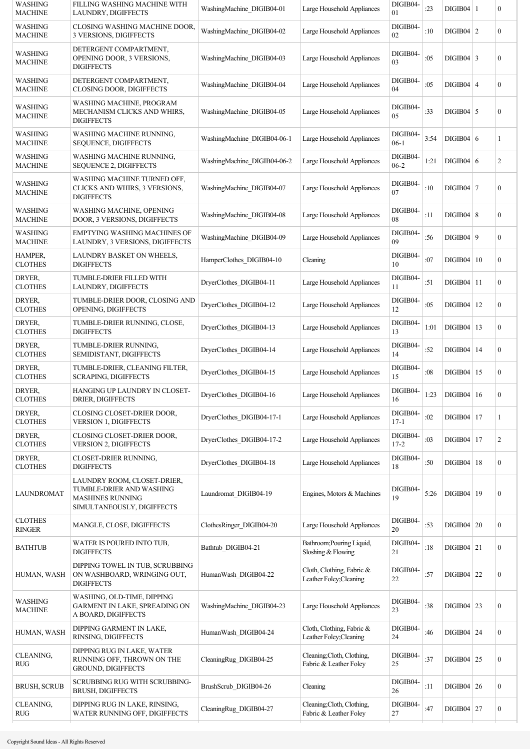| <b>WASHING</b><br>MACHINE        | FILLING WASHING MACHINE WITH<br>LAUNDRY, DIGIFFECTS                                                              | WashingMachine DIGIB04-01   | Large Household Appliances                           | DIGIB04-<br>01       | : 23 | $DIGIB04$   1     |    | $\boldsymbol{0}$ |
|----------------------------------|------------------------------------------------------------------------------------------------------------------|-----------------------------|------------------------------------------------------|----------------------|------|-------------------|----|------------------|
| <b>WASHING</b><br><b>MACHINE</b> | CLOSING WASHING MACHINE DOOR,<br>3 VERSIONS, DIGIFFECTS                                                          | WashingMachine DIGIB04-02   | Large Household Appliances                           | DIGIB04-<br>02       | :10  | $DIGIB04$   2     |    | $\boldsymbol{0}$ |
| WASHING<br><b>MACHINE</b>        | DETERGENT COMPARTMENT,<br>OPENING DOOR, 3 VERSIONS,<br><b>DIGIFFECTS</b>                                         | WashingMachine DIGIB04-03   | Large Household Appliances                           | DIGIB04-<br>03       | :05  | $DIGIB04$ 3       |    | $\boldsymbol{0}$ |
| WASHING<br><b>MACHINE</b>        | DETERGENT COMPARTMENT,<br><b>CLOSING DOOR, DIGIFFECTS</b>                                                        | WashingMachine DIGIB04-04   | Large Household Appliances                           | DIGIB04-<br>04       | :05  | $DIGIB04 \mid 4$  |    | $\boldsymbol{0}$ |
| <b>WASHING</b><br><b>MACHINE</b> | WASHING MACHINE, PROGRAM<br>MECHANISM CLICKS AND WHIRS,<br><b>DIGIFFECTS</b>                                     | WashingMachine DIGIB04-05   | Large Household Appliances                           | DIGIB04-<br>05       | :33  | $DIGIB04$ 5       |    | $\boldsymbol{0}$ |
| WASHING<br><b>MACHINE</b>        | WASHING MACHINE RUNNING,<br><b>SEQUENCE, DIGIFFECTS</b>                                                          | WashingMachine DIGIB04-06-1 | Large Household Appliances                           | DIGIB04-<br>$06-1$   | 3:54 | DIGIB04 6         |    | 1                |
| WASHING<br>MACHINE               | WASHING MACHINE RUNNING,<br>SEQUENCE 2, DIGIFFECTS                                                               | WashingMachine DIGIB04-06-2 | Large Household Appliances                           | DIGIB04-<br>$06-2$   | 1:21 | DIGIB04 6         |    | 2                |
| WASHING<br><b>MACHINE</b>        | WASHING MACHINE TURNED OFF,<br>CLICKS AND WHIRS, 3 VERSIONS,<br><b>DIGIFFECTS</b>                                | WashingMachine DIGIB04-07   | Large Household Appliances                           | DIGIB04-<br>07       | :10  | $DIGIB04$   7     |    | $\boldsymbol{0}$ |
| WASHING<br>MACHINE               | WASHING MACHINE, OPENING<br>DOOR, 3 VERSIONS, DIGIFFECTS                                                         | WashingMachine DIGIB04-08   | Large Household Appliances                           | DIGIB04-<br>08       | :11  | DIGIB04   8       |    | $\boldsymbol{0}$ |
| WASHING<br><b>MACHINE</b>        | <b>EMPTYING WASHING MACHINES OF</b><br>LAUNDRY, 3 VERSIONS, DIGIFFECTS                                           | WashingMachine DIGIB04-09   | Large Household Appliances                           | DIGIB04-<br>09       | :56  | DIGIB04   9       |    | $\boldsymbol{0}$ |
| HAMPER,<br><b>CLOTHES</b>        | LAUNDRY BASKET ON WHEELS,<br><b>DIGIFFECTS</b>                                                                   | HamperClothes DIGIB04-10    | Cleaning                                             | DIGIB04-<br>10       | :07  | DIGIB04           | 10 | $\boldsymbol{0}$ |
| DRYER,<br><b>CLOTHES</b>         | TUMBLE-DRIER FILLED WITH<br>LAUNDRY, DIGIFFECTS                                                                  | DryerClothes DIGIB04-11     | Large Household Appliances                           | DIGIB04-<br>11       | :51  | DIGIB04           | 11 | $\boldsymbol{0}$ |
| DRYER,<br><b>CLOTHES</b>         | TUMBLE-DRIER DOOR, CLOSING AND<br>OPENING, DIGIFFECTS                                                            | DryerClothes_DIGIB04-12     | Large Household Appliances                           | DIGIB04-<br>12       | :05  | $DIGIB04$   12    |    | $\boldsymbol{0}$ |
| DRYER,<br><b>CLOTHES</b>         | TUMBLE-DRIER RUNNING, CLOSE,<br><b>DIGIFFECTS</b>                                                                | DryerClothes_DIGIB04-13     | Large Household Appliances                           | DIGIB04-<br>13       | 1:01 | $DIGIB04$   13    |    | $\overline{0}$   |
| DRYER.<br><b>CLOTHES</b>         | TUMBLE-DRIER RUNNING,<br>SEMIDISTANT, DIGIFFECTS                                                                 | DryerClothes DIGIB04-14     | Large Household Appliances                           | DIGIB04-<br>14       | :52  | $DIGIB04$   14    |    | $\boldsymbol{0}$ |
| DRYER,<br><b>CLOTHES</b>         | TUMBLE-DRIER, CLEANING FILTER,<br><b>SCRAPING, DIGIFFECTS</b>                                                    | DryerClothes_DIGIB04-15     | Large Household Appliances                           | DIGIB04-<br>15       | :08  | DIGIB04           | 15 | $\boldsymbol{0}$ |
| DRYER,<br><b>CLOTHES</b>         | HANGING UP LAUNDRY IN CLOSET-<br>DRIER, DIGIFFECTS                                                               | DryerClothes DIGIB04-16     | Large Household Appliances                           | DIGIB04-<br>16       | 1:23 | DIGIB04   16      |    | 0                |
| DRYER,<br><b>CLOTHES</b>         | CLOSING CLOSET-DRIER DOOR,<br><b>VERSION 1, DIGIFFECTS</b>                                                       | DryerClothes DIGIB04-17-1   | Large Household Appliances                           | DIGIB04-<br>$17 - 1$ | :02  | $DIGIB04$   17    |    | 1                |
| DRYER.<br><b>CLOTHES</b>         | CLOSING CLOSET-DRIER DOOR,<br>VERSION 2, DIGIFFECTS                                                              | DryerClothes DIGIB04-17-2   | Large Household Appliances                           | DIGIB04-<br>$17 - 2$ | :03  | $DIGIB04$   17    |    | 2                |
| DRYER,<br><b>CLOTHES</b>         | CLOSET-DRIER RUNNING,<br><b>DIGIFFECTS</b>                                                                       | DryerClothes DIGIB04-18     | Large Household Appliances                           | DIGIB04-<br>18       | :50  | $DIGIB04$   18    |    | $\boldsymbol{0}$ |
| LAUNDROMAT                       | LAUNDRY ROOM, CLOSET-DRIER,<br>TUMBLE-DRIER AND WASHING<br><b>MASHINES RUNNING</b><br>SIMULTANEOUSLY, DIGIFFECTS | Laundromat DIGIB04-19       | Engines, Motors & Machines                           | DIGIB04-<br>19       | 5:26 | DIGIB04   19      |    | $\boldsymbol{0}$ |
| <b>CLOTHES</b><br><b>RINGER</b>  | MANGLE, CLOSE, DIGIFFECTS                                                                                        | ClothesRinger DIGIB04-20    | Large Household Appliances                           | DIGIB04-<br>20       | :53  | $DIGIB04$ 20      |    | $\boldsymbol{0}$ |
| BATHTUB                          | WATER IS POURED INTO TUB,<br><b>DIGIFFECTS</b>                                                                   | Bathtub_DIGIB04-21          | Bathroom; Pouring Liquid,<br>Sloshing & Flowing      | DIGIB04-<br>21       | :18  | $DIGIB04$ 21      |    | $\boldsymbol{0}$ |
| HUMAN, WASH                      | DIPPING TOWEL IN TUB, SCRUBBING<br>ON WASHBOARD, WRINGING OUT,<br><b>DIGIFFECTS</b>                              | HumanWash DIGIB04-22        | Cloth, Clothing, Fabric &<br>Leather Foley; Cleaning | DIGIB04-<br>22       | :57  | $DIGIB04$   22    |    | $\boldsymbol{0}$ |
| <b>WASHING</b><br><b>MACHINE</b> | WASHING, OLD-TIME, DIPPING<br>GARMENT IN LAKE, SPREADING ON<br>A BOARD, DIGIFFECTS                               | WashingMachine DIGIB04-23   | Large Household Appliances                           | DIGIB04-<br>23       | :38  | $DIGIB04$ 23      |    | $\boldsymbol{0}$ |
| HUMAN, WASH                      | DIPPING GARMENT IN LAKE,<br>RINSING, DIGIFFECTS                                                                  | HumanWash DIGIB04-24        | Cloth, Clothing, Fabric &<br>Leather Foley; Cleaning | DIGIB04-<br>24       | :46  | $DIGIB04$   24    |    | $\boldsymbol{0}$ |
| CLEANING,<br>RUG                 | DIPPING RUG IN LAKE, WATER<br>RUNNING OFF, THROWN ON THE<br>GROUND, DIGIFFECTS                                   | CleaningRug DIGIB04-25      | Cleaning; Cloth, Clothing,<br>Fabric & Leather Foley | DIGIB04-<br>25       | :37  | $DIGIB04$   25    |    | $\boldsymbol{0}$ |
| <b>BRUSH, SCRUB</b>              | SCRUBBING RUG WITH SCRUBBING-<br><b>BRUSH, DIGIFFECTS</b>                                                        | BrushScrub DIGIB04-26       | Cleaning                                             | DIGIB04-<br>26       | :11  | $DIGIB04 \mid 26$ |    | $\boldsymbol{0}$ |
| CLEANING,<br>$\mathsf{RUG}$      | DIPPING RUG IN LAKE, RINSING,<br>WATER RUNNING OFF, DIGIFFECTS                                                   | CleaningRug DIGIB04-27      | Cleaning; Cloth, Clothing,<br>Fabric & Leather Foley | DIGIB04-<br>27       | :47  | $DIGIB04$ 27      |    | $\boldsymbol{0}$ |
|                                  |                                                                                                                  |                             |                                                      |                      |      |                   |    |                  |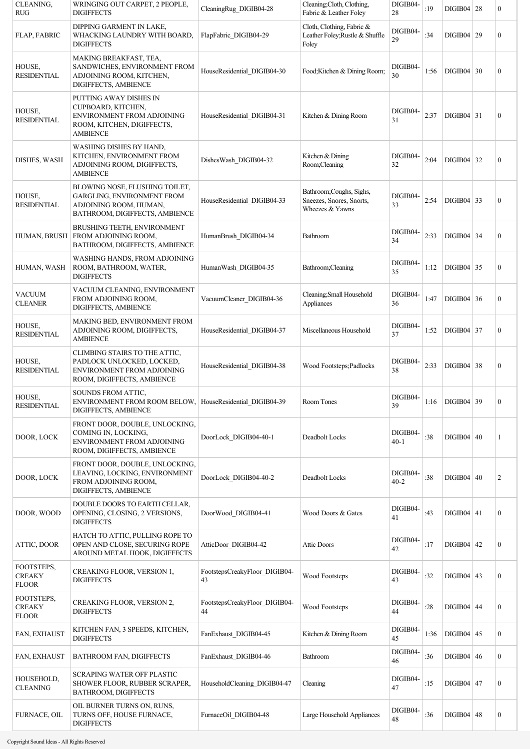| CLEANING,<br><b>RUG</b>                     | WRINGING OUT CARPET, 2 PEOPLE,<br><b>DIGIFFECTS</b>                                                                             | CleaningRug DIGIB04-28              | Cleaning; Cloth, Clothing,<br>Fabric & Leather Foley                    | DIGIB04-<br>28       | :19  | DIGIB04   28      |    | $\boldsymbol{0}$ |
|---------------------------------------------|---------------------------------------------------------------------------------------------------------------------------------|-------------------------------------|-------------------------------------------------------------------------|----------------------|------|-------------------|----|------------------|
| FLAP, FABRIC                                | DIPPING GARMENT IN LAKE,<br>WHACKING LAUNDRY WITH BOARD,<br><b>DIGIFFECTS</b>                                                   | FlapFabric DIGIB04-29               | Cloth, Clothing, Fabric &<br>Leather Foley; Rustle & Shuffle<br>Foley   | DIGIB04-<br>29       | :34  | DIGIB04           | 29 | 0                |
| HOUSE,<br><b>RESIDENTIAL</b>                | MAKING BREAKFAST, TEA,<br>SANDWICHES, ENVIRONMENT FROM<br>ADJOINING ROOM, KITCHEN,<br>DIGIFFECTS, AMBIENCE                      | HouseResidential_DIGIB04-30         | Food;Kitchen & Dining Room;                                             | DIGIB04-<br>30       | 1:56 | $DIGIB04 \mid 30$ |    | $\boldsymbol{0}$ |
| HOUSE,<br><b>RESIDENTIAL</b>                | PUTTING AWAY DISHES IN<br>CUPBOARD, KITCHEN,<br>ENVIRONMENT FROM ADJOINING<br>ROOM, KITCHEN, DIGIFFECTS,<br><b>AMBIENCE</b>     | HouseResidential DIGIB04-31         | Kitchen & Dining Room                                                   | DIGIB04-<br>31       | 2:37 | $DIGIB04$ 31      |    | $\boldsymbol{0}$ |
| DISHES, WASH                                | WASHING DISHES BY HAND,<br>KITCHEN, ENVIRONMENT FROM<br>ADJOINING ROOM, DIGIFFECTS,<br><b>AMBIENCE</b>                          | DishesWash_DIGIB04-32               | Kitchen & Dining<br>Room;Cleaning                                       | DIGIB04-<br>32       | 2:04 | $DIGIB04$ 32      |    | $\boldsymbol{0}$ |
| HOUSE,<br><b>RESIDENTIAL</b>                | BLOWING NOSE, FLUSHING TOILET,<br><b>GARGLING, ENVIRONMENT FROM</b><br>ADJOINING ROOM, HUMAN,<br>BATHROOM, DIGIFFECTS, AMBIENCE | HouseResidential DIGIB04-33         | Bathroom; Coughs, Sighs,<br>Sneezes, Snores, Snorts,<br>Wheezes & Yawns | DIGIB04-<br>33       | 2:54 | $DIGIB04$ 33      |    | $\boldsymbol{0}$ |
| HUMAN, BRUSH                                | <b>BRUSHING TEETH, ENVIRONMENT</b><br>FROM ADJOINING ROOM,<br>BATHROOM, DIGIFFECTS, AMBIENCE                                    | HumanBrush DIGIB04-34               | Bathroom                                                                | DIGIB04-<br>34       | 2:33 | $DIGIB04$ 34      |    | $\boldsymbol{0}$ |
| HUMAN, WASH                                 | WASHING HANDS, FROM ADJOINING<br>ROOM, BATHROOM, WATER,<br><b>DIGIFFECTS</b>                                                    | HumanWash DIGIB04-35                | Bathroom;Cleaning                                                       | DIGIB04-<br>35       | 1:12 | $DIGIB04$ 35      |    | 0                |
| <b>VACUUM</b><br><b>CLEANER</b>             | VACUUM CLEANING, ENVIRONMENT<br>FROM ADJOINING ROOM,<br>DIGIFFECTS, AMBIENCE                                                    | VacuumCleaner DIGIB04-36            | Cleaning; Small Household<br>Appliances                                 | DIGIB04-<br>36       | 1:47 | $DIGIB04 \mid 36$ |    | $\boldsymbol{0}$ |
| HOUSE,<br><b>RESIDENTIAL</b>                | MAKING BED, ENVIRONMENT FROM<br>ADJOINING ROOM, DIGIFFECTS,<br><b>AMBIENCE</b>                                                  | HouseResidential DIGIB04-37         | Miscellaneous Household                                                 | DIGIB04-<br>37       | 1:52 | $DIGIB04$ 37      |    | $\boldsymbol{0}$ |
| HOUSE,<br><b>RESIDENTIAL</b>                | CLIMBING STAIRS TO THE ATTIC,<br>PADLOCK UNLOCKED, LOCKED,<br>ENVIRONMENT FROM ADJOINING<br>ROOM, DIGIFFECTS, AMBIENCE          | HouseResidential DIGIB04-38         | Wood Footsteps; Padlocks                                                | DIGIB04-<br>38       | 2:33 | $DIGIB04 \mid 38$ |    | $\boldsymbol{0}$ |
| HOUSE,<br><b>RESIDENTIAL</b>                | SOUNDS FROM ATTIC,<br>ENVIRONMENT FROM ROOM BELOW, HouseResidential_DIGIB04-39<br>DIGIFFECTS, AMBIENCE                          |                                     | Room Tones                                                              | DIGIB04-<br>39       | 1:16 | $DIGIB04$ 39      |    | $\boldsymbol{0}$ |
| DOOR, LOCK                                  | FRONT DOOR, DOUBLE, UNLOCKING,<br>COMING IN, LOCKING,<br>ENVIRONMENT FROM ADJOINING<br>ROOM, DIGIFFECTS, AMBIENCE               | DoorLock DIGIB04-40-1               | Deadbolt Locks                                                          | DIGIB04-<br>$40 - 1$ | :38  | $DIGIB04 \mid 40$ |    | 1                |
| DOOR, LOCK                                  | FRONT DOOR, DOUBLE, UNLOCKING,<br>LEAVING, LOCKING, ENVIRONMENT<br>FROM ADJOINING ROOM,<br>DIGIFFECTS, AMBIENCE                 | DoorLock DIGIB04-40-2               | Deadbolt Locks                                                          | DIGIB04-<br>$40 - 2$ | :38  | DIGIB04   40      |    | 2                |
| DOOR, WOOD                                  | DOUBLE DOORS TO EARTH CELLAR,<br>OPENING, CLOSING, 2 VERSIONS,<br><b>DIGIFFECTS</b>                                             | DoorWood DIGIB04-41                 | Wood Doors & Gates                                                      | DIGIB04-<br>41       | :43  | $DIGIB04$   41    |    | $\boldsymbol{0}$ |
| ATTIC, DOOR                                 | HATCH TO ATTIC, PULLING ROPE TO<br>OPEN AND CLOSE, SECURING ROPE<br>AROUND METAL HOOK, DIGIFFECTS                               | AtticDoor DIGIB04-42                | <b>Attic Doors</b>                                                      | DIGIB04-<br>42       | :17  | $DIGIB04 \mid 42$ |    | $\boldsymbol{0}$ |
| FOOTSTEPS,<br><b>CREAKY</b><br><b>FLOOR</b> | CREAKING FLOOR, VERSION 1,<br><b>DIGIFFECTS</b>                                                                                 | FootstepsCreakyFloor_DIGIB04-<br>43 | Wood Footsteps                                                          | DIGIB04-<br>43       | :32  | $DIGIB04 \mid 43$ |    | $\boldsymbol{0}$ |
| FOOTSTEPS,<br><b>CREAKY</b><br><b>FLOOR</b> | CREAKING FLOOR, VERSION 2,<br><b>DIGIFFECTS</b>                                                                                 | FootstepsCreakyFloor_DIGIB04-<br>44 | Wood Footsteps                                                          | DIGIB04-<br>44       | :28  | $DIGIB04 \mid 44$ |    | $\boldsymbol{0}$ |
| FAN, EXHAUST                                | KITCHEN FAN, 3 SPEEDS, KITCHEN,<br><b>DIGIFFECTS</b>                                                                            | FanExhaust_DIGIB04-45               | Kitchen & Dining Room                                                   | DIGIB04-<br>45       | 1:36 | $DIGIB04$ 45      |    | 0                |
| FAN, EXHAUST                                | BATHROOM FAN, DIGIFFECTS                                                                                                        | FanExhaust DIGIB04-46               | Bathroom                                                                | DIGIB04-<br>46       | :36  | $DIGIB04 \mid 46$ |    | 0                |
| HOUSEHOLD,<br><b>CLEANING</b>               | SCRAPING WATER OFF PLASTIC<br>SHOWER FLOOR, RUBBER SCRAPER,<br>BATHROOM, DIGIFFECTS                                             | HouseholdCleaning_DIGIB04-47        | Cleaning                                                                | DIGIB04-<br>47       | :15  | $DIGIB04$   47    |    | $\boldsymbol{0}$ |
| <b>FURNACE, OIL</b>                         | OIL BURNER TURNS ON, RUNS,<br>TURNS OFF, HOUSE FURNACE,<br><b>DIGIFFECTS</b>                                                    | FurnaceOil DIGIB04-48               | Large Household Appliances                                              | DIGIB04-<br>48       | :36  | $DIGIB04$ 48      |    | $\boldsymbol{0}$ |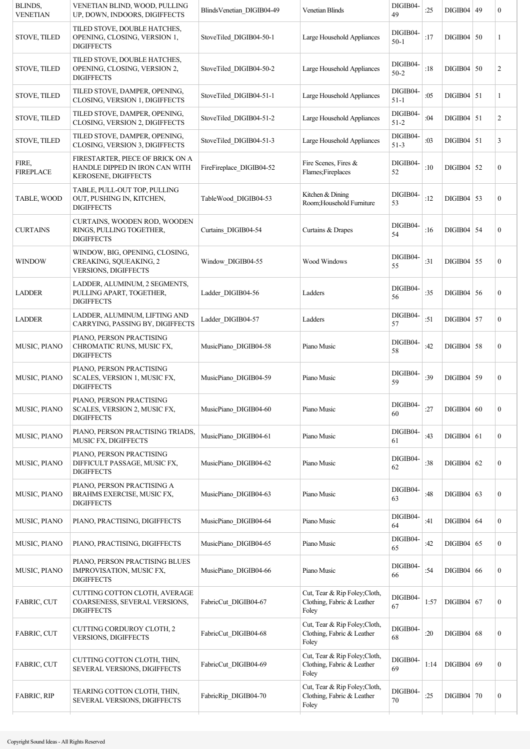| BLINDS,<br><b>VENETIAN</b> | VENETIAN BLIND, WOOD, PULLING<br>UP, DOWN, INDOORS, DIGIFFECTS                             | BlindsVenetian DIGIB04-49 | <b>Venetian Blinds</b>                                               | DIGIB04-<br>49       | :25  | DIGIB04   49 | $\boldsymbol{0}$ |
|----------------------------|--------------------------------------------------------------------------------------------|---------------------------|----------------------------------------------------------------------|----------------------|------|--------------|------------------|
| <b>STOVE, TILED</b>        | TILED STOVE, DOUBLE HATCHES,<br>OPENING, CLOSING, VERSION 1,<br><b>DIGIFFECTS</b>          | StoveTiled DIGIB04-50-1   | Large Household Appliances                                           | DIGIB04-<br>$50-1$   | :17  | $DIGIB04$ 50 | 1                |
| <b>STOVE, TILED</b>        | TILED STOVE, DOUBLE HATCHES,<br>OPENING, CLOSING, VERSION 2,<br><b>DIGIFFECTS</b>          | StoveTiled DIGIB04-50-2   | Large Household Appliances                                           | DIGIB04-<br>$50 - 2$ | :18  | $DIGIB04$ 50 | 2                |
| <b>STOVE, TILED</b>        | TILED STOVE, DAMPER, OPENING,<br>CLOSING, VERSION 1, DIGIFFECTS                            | StoveTiled DIGIB04-51-1   | Large Household Appliances                                           | DIGIB04-<br>$51 - 1$ | :05  | $DIGIB04$ 51 | 1                |
| <b>STOVE, TILED</b>        | TILED STOVE, DAMPER, OPENING,<br>CLOSING, VERSION 2, DIGIFFECTS                            | StoveTiled DIGIB04-51-2   | Large Household Appliances                                           | DIGIB04-<br>$51 - 2$ | :04  | $DIGIB04$ 51 | $\overline{c}$   |
| <b>STOVE, TILED</b>        | TILED STOVE, DAMPER, OPENING,<br>CLOSING, VERSION 3, DIGIFFECTS                            | StoveTiled DIGIB04-51-3   | Large Household Appliances                                           | DIGIB04-<br>$51 - 3$ | :03  | $DIGIB04$ 51 | 3                |
| FIRE,<br><b>FIREPLACE</b>  | FIRESTARTER, PIECE OF BRICK ON A<br>HANDLE DIPPED IN IRON CAN WITH<br>KEROSENE, DIGIFFECTS | FireFireplace DIGIB04-52  | Fire Scenes, Fires &<br>Flames;Fireplaces                            | DIGIB04-<br>52       | :10  | $DIGIB04$ 52 | $\boldsymbol{0}$ |
| TABLE, WOOD                | TABLE, PULL-OUT TOP, PULLING<br>OUT, PUSHING IN, KITCHEN,<br><b>DIGIFFECTS</b>             | TableWood DIGIB04-53      | Kitchen & Dining<br>Room; Household Furniture                        | DIGIB04-<br>53       | :12  | $DIGIB04$ 53 | $\boldsymbol{0}$ |
| <b>CURTAINS</b>            | CURTAINS, WOODEN ROD, WOODEN<br>RINGS, PULLING TOGETHER,<br><b>DIGIFFECTS</b>              | Curtains DIGIB04-54       | Curtains & Drapes                                                    | DIGIB04-<br>54       | :16  | $DIGIB04$ 54 | 0                |
| <b>WINDOW</b>              | WINDOW, BIG, OPENING, CLOSING,<br>CREAKING, SQUEAKING, 2<br><b>VERSIONS, DIGIFFECTS</b>    | Window DIGIB04-55         | Wood Windows                                                         | DIGIB04-<br>55       | :31  | $DIGIB04$ 55 | $\boldsymbol{0}$ |
| <b>LADDER</b>              | LADDER, ALUMINUM, 2 SEGMENTS,<br>PULLING APART, TOGETHER,<br><b>DIGIFFECTS</b>             | Ladder DIGIB04-56         | Ladders                                                              | DIGIB04-<br>56       | :35  | $DIGIB04$ 56 | $\boldsymbol{0}$ |
| <b>LADDER</b>              | LADDER, ALUMINUM, LIFTING AND<br>CARRYING, PASSING BY, DIGIFFECTS                          | Ladder DIGIB04-57         | Ladders                                                              | DIGIB04-<br>57       | :51  | $DIGIB04$ 57 | $\boldsymbol{0}$ |
| MUSIC, PIANO               | PIANO, PERSON PRACTISING<br>CHROMATIC RUNS, MUSIC FX,<br><b>DIGIFFECTS</b>                 | MusicPiano DIGIB04-58     | Piano Music                                                          | DIGIB04-<br>58       | :42  | $DIGIB04$ 58 | $\boldsymbol{0}$ |
| MUSIC, PIANO               | PIANO, PERSON PRACTISING<br>SCALES, VERSION 1, MUSIC FX,<br><b>DIGIFFECTS</b>              | MusicPiano DIGIB04-59     | Piano Music                                                          | DIGIB04-<br>59       | :39  | $DIGIB04$ 59 | $\boldsymbol{0}$ |
| <b>MUSIC, PIANO</b>        | PIANO, PERSON PRACTISING<br>SCALES, VERSION 2, MUSIC FX,<br><b>DIGIFFECTS</b>              | MusicPiano DIGIB04-60     | Piano Music                                                          | DIGIB04-<br>60       | :27  | DIGIB04   60 | $\boldsymbol{0}$ |
| MUSIC, PIANO               | PIANO, PERSON PRACTISING TRIADS,<br>MUSIC FX, DIGIFFECTS                                   | MusicPiano DIGIB04-61     | Piano Music                                                          | DIGIB04-<br>61       | :43  | $DIGIB04$ 61 | $\boldsymbol{0}$ |
| MUSIC, PIANO               | PIANO, PERSON PRACTISING<br>DIFFICULT PASSAGE, MUSIC FX,<br><b>DIGIFFECTS</b>              | MusicPiano DIGIB04-62     | Piano Music                                                          | DIGIB04-<br>62       | :38  | $DIGIB04$ 62 | 0                |
| MUSIC, PIANO               | PIANO, PERSON PRACTISING A<br>BRAHMS EXERCISE, MUSIC FX,<br><b>DIGIFFECTS</b>              | MusicPiano DIGIB04-63     | Piano Music                                                          | DIGIB04-<br>63       | :48  | $DIGIB04$ 63 | 0                |
| MUSIC, PIANO               | PIANO, PRACTISING, DIGIFFECTS                                                              | MusicPiano DIGIB04-64     | Piano Music                                                          | DIGIB04-<br>64       | :41  | $DIGIB04$ 64 | 0                |
| MUSIC, PIANO               | PIANO, PRACTISING, DIGIFFECTS                                                              | MusicPiano DIGIB04-65     | Piano Music                                                          | DIGIB04-<br>65       | :42  | DIGIB04   65 | $\boldsymbol{0}$ |
| MUSIC, PIANO               | PIANO, PERSON PRACTISING BLUES<br>IMPROVISATION, MUSIC FX,<br><b>DIGIFFECTS</b>            | MusicPiano_DIGIB04-66     | Piano Music                                                          | DIGIB04-<br>66       | :54  | DIGIB04   66 | 0                |
| FABRIC, CUT                | CUTTING COTTON CLOTH, AVERAGE<br>COARSENESS, SEVERAL VERSIONS,<br><b>DIGIFFECTS</b>        | FabricCut DIGIB04-67      | Cut, Tear & Rip Foley; Cloth,<br>Clothing, Fabric & Leather<br>Foley | DIGIB04-<br>67       | 1:57 | DIGIB04   67 | 0                |
| FABRIC, CUT                | CUTTING CORDUROY CLOTH, 2<br><b>VERSIONS, DIGIFFECTS</b>                                   | FabricCut DIGIB04-68      | Cut, Tear & Rip Foley;Cloth,<br>Clothing, Fabric & Leather<br>Foley  | DIGIB04-<br>68       | :20  | $DIGIB04$ 68 | 0                |
| FABRIC, CUT                | CUTTING COTTON CLOTH, THIN,<br>SEVERAL VERSIONS, DIGIFFECTS                                | FabricCut DIGIB04-69      | Cut, Tear & Rip Foley; Cloth,<br>Clothing, Fabric & Leather<br>Foley | DIGIB04-<br>69       | 1:14 | $DIGIB04$ 69 | 0                |
| <b>FABRIC, RIP</b>         | TEARING COTTON CLOTH, THIN,<br>SEVERAL VERSIONS, DIGIFFECTS                                | FabricRip DIGIB04-70      | Cut, Tear & Rip Foley; Cloth,<br>Clothing, Fabric & Leather<br>Foley | DIGIB04-<br>70       | :25  | $DIGIB04$ 70 | 0                |
|                            |                                                                                            |                           |                                                                      |                      |      |              |                  |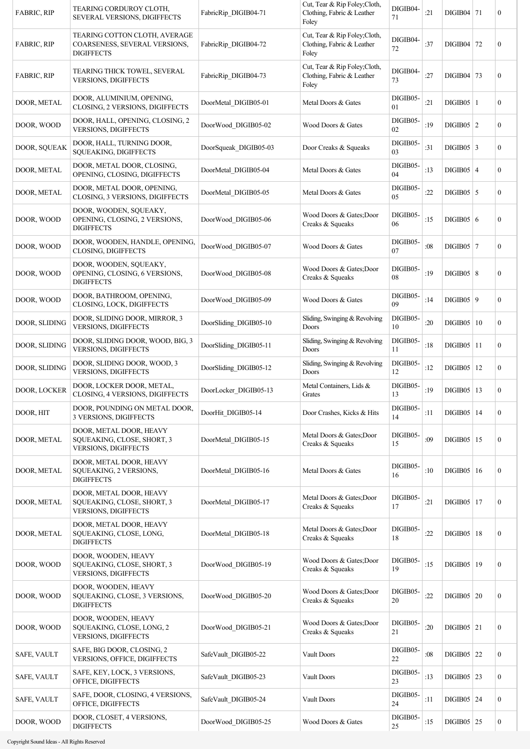| <b>FABRIC, RIP</b>  | TEARING CORDUROY CLOTH,<br><b>SEVERAL VERSIONS, DIGIFFECTS</b>                       | FabricRip DIGIB04-71   | Cut, Tear & Rip Foley; Cloth,<br>Clothing, Fabric & Leather<br>Foley | DIGIB04-<br>71 | :21 | $DIGIB04$   71 |    | 0                |
|---------------------|--------------------------------------------------------------------------------------|------------------------|----------------------------------------------------------------------|----------------|-----|----------------|----|------------------|
| <b>FABRIC, RIP</b>  | TEARING COTTON CLOTH, AVERAGE<br>COARSENESS, SEVERAL VERSIONS,<br><b>DIGIFFECTS</b>  | FabricRip DIGIB04-72   | Cut, Tear & Rip Foley;Cloth,<br>Clothing, Fabric & Leather<br>Foley  | DIGIB04-<br>72 | :37 | DIGIB04   72   |    | 0                |
| FABRIC, RIP         | TEARING THICK TOWEL, SEVERAL<br><b>VERSIONS, DIGIFFECTS</b>                          | FabricRip DIGIB04-73   | Cut, Tear & Rip Foley; Cloth,<br>Clothing, Fabric & Leather<br>Foley | DIGIB04-<br>73 | :27 | DIGIB04 73     |    | 0                |
| DOOR, METAL         | DOOR, ALUMINIUM, OPENING,<br>CLOSING, 2 VERSIONS, DIGIFFECTS                         | DoorMetal DIGIB05-01   | Metal Doors & Gates                                                  | DIGIB05-<br>01 | :21 | $DIGIB05$   1  |    | $\overline{0}$   |
| DOOR, WOOD          | DOOR, HALL, OPENING, CLOSING, 2<br>VERSIONS, DIGIFFECTS                              | DoorWood DIGIB05-02    | Wood Doors & Gates                                                   | DIGIB05-<br>02 | :19 | $DIGIB05$   2  |    | 0                |
| DOOR, SQUEAK        | DOOR, HALL, TURNING DOOR,<br>SQUEAKING, DIGIFFECTS                                   | DoorSqueak DIGIB05-03  | Door Creaks & Squeaks                                                | DIGIB05-<br>03 | :31 | $DIGIB05$ 3    |    | 0                |
| DOOR, METAL         | DOOR, METAL DOOR, CLOSING,<br>OPENING, CLOSING, DIGIFFECTS                           | DoorMetal DIGIB05-04   | Metal Doors & Gates                                                  | DIGIB05-<br>04 | :13 | $DIGIB05$   4  |    | 0                |
| DOOR, METAL         | DOOR, METAL DOOR, OPENING,<br>CLOSING, 3 VERSIONS, DIGIFFECTS                        | DoorMetal DIGIB05-05   | Metal Doors & Gates                                                  | DIGIB05-<br>05 | :22 | $DIGIB05$ 5    |    | 0                |
| DOOR, WOOD          | DOOR, WOODEN, SOUEAKY,<br>OPENING, CLOSING, 2 VERSIONS,<br><b>DIGIFFECTS</b>         | DoorWood DIGIB05-06    | Wood Doors & Gates; Door<br>Creaks & Squeaks                         | DIGIB05-<br>06 | :15 | DIGIB05 6      |    | 0                |
| DOOR, WOOD          | DOOR, WOODEN, HANDLE, OPENING,<br><b>CLOSING, DIGIFFECTS</b>                         | DoorWood_DIGIB05-07    | Wood Doors & Gates                                                   | DIGIB05-<br>07 | :08 | $DIGIB05$   7  |    | 0                |
| DOOR, WOOD          | DOOR, WOODEN, SQUEAKY,<br>OPENING, CLOSING, 6 VERSIONS,<br><b>DIGIFFECTS</b>         | DoorWood DIGIB05-08    | Wood Doors & Gates; Door<br>Creaks & Squeaks                         | DIGIB05-<br>08 | :19 | DIGIB05   8    |    | $\overline{0}$   |
| DOOR, WOOD          | DOOR, BATHROOM, OPENING,<br>CLOSING, LOCK, DIGIFFECTS                                | DoorWood DIGIB05-09    | Wood Doors & Gates                                                   | DIGIB05-<br>09 | :14 | DIGIB05   9    |    | $\overline{0}$   |
| DOOR, SLIDING       | DOOR, SLIDING DOOR, MIRROR, 3<br><b>VERSIONS, DIGIFFECTS</b>                         | DoorSliding DIGIB05-10 | Sliding, Swinging & Revolving<br>Doors                               | DIGIB05-<br>10 | :20 | DIGIB05        | 10 | 0                |
| DOOR, SLIDING       | DOOR, SLIDING DOOR, WOOD, BIG, 3<br>VERSIONS, DIGIFFECTS                             | DoorSliding DIGIB05-11 | Sliding, Swinging & Revolving<br>Doors                               | DIGIB05-<br>11 | :18 | $DIGIB05$   11 |    | $\boldsymbol{0}$ |
| DOOR, SLIDING       | DOOR, SLIDING DOOR, WOOD, 3<br>VERSIONS, DIGIFFECTS                                  | DoorSliding DIGIB05-12 | Sliding, Swinging & Revolving<br>Doors                               | DIGIB05-<br>12 | :12 | $DIGIB05$   12 |    | 0                |
| <b>DOOR, LOCKER</b> | DOOR, LOCKER DOOR, METAL,<br>CLOSING, 4 VERSIONS, DIGIFFECTS                         | DoorLocker DIGIB05-13  | Metal Containers, Lids &<br>Grates                                   | DIGIB05-<br>13 | :19 | $DIGIB05$   13 |    | $\boldsymbol{0}$ |
| DOOR, HIT           | DOOR, POUNDING ON METAL DOOR,<br>3 VERSIONS, DIGIFFECTS                              | DoorHit_DIGIB05-14     | Door Crashes, Kicks & Hits                                           | DIGIB05-<br>14 | :11 | $DIGIB05$   14 |    | 0                |
| DOOR, METAL         | DOOR, METAL DOOR, HEAVY<br>SQUEAKING, CLOSE, SHORT, 3<br><b>VERSIONS, DIGIFFECTS</b> | DoorMetal DIGIB05-15   | Metal Doors & Gates; Door<br>Creaks & Squeaks                        | DIGIB05-<br>15 | :09 | $DIGIB05$   15 |    | $\boldsymbol{0}$ |
| DOOR, METAL         | DOOR, METAL DOOR, HEAVY<br>SQUEAKING, 2 VERSIONS,<br><b>DIGIFFECTS</b>               | DoorMetal DIGIB05-16   | Metal Doors & Gates                                                  | DIGIB05-<br>16 | :10 | $DIGIB05$   16 |    | $\boldsymbol{0}$ |
| DOOR, METAL         | DOOR, METAL DOOR, HEAVY<br>SQUEAKING, CLOSE, SHORT, 3<br><b>VERSIONS, DIGIFFECTS</b> | DoorMetal DIGIB05-17   | Metal Doors & Gates; Door<br>Creaks & Squeaks                        | DIGIB05-<br>17 | :21 | $DIGIB05$   17 |    | $\boldsymbol{0}$ |
| DOOR, METAL         | DOOR, METAL DOOR, HEAVY<br>SQUEAKING, CLOSE, LONG,<br><b>DIGIFFECTS</b>              | DoorMetal DIGIB05-18   | Metal Doors & Gates; Door<br>Creaks & Squeaks                        | DIGIB05-<br>18 | :22 | $DIGIB05$   18 |    | 0                |
| DOOR, WOOD          | DOOR, WOODEN, HEAVY<br>SQUEAKING, CLOSE, SHORT, 3<br>VERSIONS, DIGIFFECTS            | DoorWood DIGIB05-19    | Wood Doors & Gates; Door<br>Creaks & Squeaks                         | DIGIB05-<br>19 | :15 | $DIGIB05$   19 |    | $\boldsymbol{0}$ |
| DOOR, WOOD          | DOOR, WOODEN, HEAVY<br>SQUEAKING, CLOSE, 3 VERSIONS,<br><b>DIGIFFECTS</b>            | DoorWood DIGIB05-20    | Wood Doors & Gates; Door<br>Creaks & Squeaks                         | DIGIB05-<br>20 | :22 | $DIGIB05$ 20   |    | 0                |
| DOOR, WOOD          | DOOR, WOODEN, HEAVY<br>SQUEAKING, CLOSE, LONG, 2<br>VERSIONS, DIGIFFECTS             | DoorWood DIGIB05-21    | Wood Doors & Gates; Door<br>Creaks & Squeaks                         | DIGIB05-<br>21 | :20 | $DIGIB05$ 21   |    | $\boldsymbol{0}$ |
| <b>SAFE, VAULT</b>  | SAFE, BIG DOOR, CLOSING, 2<br>VERSIONS, OFFICE, DIGIFFECTS                           | SafeVault DIGIB05-22   | Vault Doors                                                          | DIGIB05-<br>22 | :08 | DIGIB05 $ 22$  |    | $\boldsymbol{0}$ |
| SAFE, VAULT         | SAFE, KEY, LOCK, 3 VERSIONS,<br>OFFICE, DIGIFFECTS                                   | SafeVault DIGIB05-23   | Vault Doors                                                          | DIGIB05-<br>23 | :13 | $DIGIB05$ 23   |    | 0                |
| SAFE, VAULT         | SAFE, DOOR, CLOSING, 4 VERSIONS,<br>OFFICE, DIGIFFECTS                               | SafeVault_DIGIB05-24   | Vault Doors                                                          | DIGIB05-<br>24 | :11 | $DIGIB05$ 24   |    | 0                |
| DOOR, WOOD          | DOOR, CLOSET, 4 VERSIONS,<br><b>DIGIFFECTS</b>                                       | DoorWood DIGIB05-25    | Wood Doors & Gates                                                   | DIGIB05-<br>25 | :15 | $DIGIB05$ 25   |    | 0                |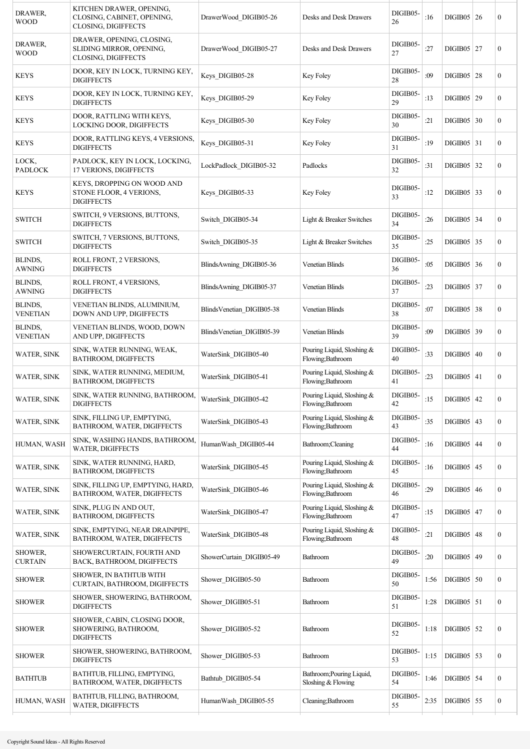| DRAWER,<br><b>WOOD</b>     | KITCHEN DRAWER, OPENING,<br>CLOSING, CABINET, OPENING,<br>CLOSING, DIGIFFECTS | DrawerWood DIGIB05-26     | Desks and Desk Drawers                          | DIGIB05-<br>26 | :16  | $DIGIB05$ 26   | $\boldsymbol{0}$ |
|----------------------------|-------------------------------------------------------------------------------|---------------------------|-------------------------------------------------|----------------|------|----------------|------------------|
| DRAWER,<br><b>WOOD</b>     | DRAWER, OPENING, CLOSING,<br>SLIDING MIRROR, OPENING,<br>CLOSING, DIGIFFECTS  | DrawerWood_DIGIB05-27     | Desks and Desk Drawers                          | DIGIB05-<br>27 | :27  | $DIGIB05$ 27   | $\boldsymbol{0}$ |
| <b>KEYS</b>                | DOOR, KEY IN LOCK, TURNING KEY,<br><b>DIGIFFECTS</b>                          | Keys DIGIB05-28           | Key Foley                                       | DIGIB05-<br>28 | :09  | $DIGIB05$   28 | $\boldsymbol{0}$ |
| <b>KEYS</b>                | DOOR, KEY IN LOCK, TURNING KEY,<br><b>DIGIFFECTS</b>                          | Keys DIGIB05-29           | Key Foley                                       | DIGIB05-<br>29 | :13  | $DIGIB05$   29 | $\boldsymbol{0}$ |
| <b>KEYS</b>                | DOOR, RATTLING WITH KEYS,<br>LOCKING DOOR, DIGIFFECTS                         | Keys DIGIB05-30           | Key Foley                                       | DIGIB05-<br>30 | :21  | $DIGIB05$ 30   | $\mathbf{0}$     |
| <b>KEYS</b>                | DOOR, RATTLING KEYS, 4 VERSIONS,<br><b>DIGIFFECTS</b>                         | Keys DIGIB05-31           | Key Foley                                       | DIGIB05-<br>31 | :19  | $DIGIB05$ 31   | $\mathbf{0}$     |
| LOCK,<br><b>PADLOCK</b>    | PADLOCK, KEY IN LOCK, LOCKING,<br>17 VERIONS, DIGIFFECTS                      | LockPadlock DIGIB05-32    | Padlocks                                        | DIGIB05-<br>32 | :31  | $DIGIB05$ 32   | $\boldsymbol{0}$ |
| <b>KEYS</b>                | KEYS, DROPPING ON WOOD AND<br>STONE FLOOR, 4 VERIONS,<br><b>DIGIFFECTS</b>    | Keys DIGIB05-33           | Key Foley                                       | DIGIB05-<br>33 | :12  | $DIGIB05$ 33   | $\boldsymbol{0}$ |
| <b>SWITCH</b>              | SWITCH, 9 VERSIONS, BUTTONS,<br><b>DIGIFFECTS</b>                             | Switch DIGIB05-34         | Light & Breaker Switches                        | DIGIB05-<br>34 | :26  | $DIGIB05$ 34   | $\boldsymbol{0}$ |
| <b>SWITCH</b>              | SWITCH, 7 VERSIONS, BUTTONS,<br><b>DIGIFFECTS</b>                             | Switch DIGIB05-35         | Light & Breaker Switches                        | DIGIB05-<br>35 | :25  | $DIGIB05$ 35   | $\boldsymbol{0}$ |
| BLINDS,<br><b>AWNING</b>   | ROLL FRONT, 2 VERSIONS,<br><b>DIGIFFECTS</b>                                  | BlindsAwning DIGIB05-36   | <b>Venetian Blinds</b>                          | DIGIB05-<br>36 | :05  | $DIGIB05$ 36   | $\boldsymbol{0}$ |
| BLINDS.<br><b>AWNING</b>   | ROLL FRONT, 4 VERSIONS,<br><b>DIGIFFECTS</b>                                  | BlindsAwning DIGIB05-37   | <b>Venetian Blinds</b>                          | DIGIB05-<br>37 | :23  | $DIGIB05$ 37   | $\boldsymbol{0}$ |
| BLINDS,<br><b>VENETIAN</b> | VENETIAN BLINDS, ALUMINIUM,<br>DOWN AND UPP, DIGIFFECTS                       | BlindsVenetian DIGIB05-38 | <b>Venetian Blinds</b>                          | DIGIB05-<br>38 | :07  | $DIGIB05$ 38   | $\boldsymbol{0}$ |
| BLINDS,<br><b>VENETIAN</b> | VENETIAN BLINDS, WOOD, DOWN<br>AND UPP, DIGIFFECTS                            | BlindsVenetian DIGIB05-39 | <b>Venetian Blinds</b>                          | DIGIB05-<br>39 | :09  | DIGIB05 39     | $\boldsymbol{0}$ |
| <b>WATER, SINK</b>         | SINK, WATER RUNNING, WEAK,<br>BATHROOM, DIGIFFECTS                            | WaterSink DIGIB05-40      | Pouring Liquid, Sloshing &<br>Flowing;Bathroom  | DIGIB05-<br>40 | :33  | DIGIB05   40   | $\boldsymbol{0}$ |
| <b>WATER, SINK</b>         | SINK, WATER RUNNING, MEDIUM,<br>BATHROOM, DIGIFFECTS                          | WaterSink DIGIB05-41      | Pouring Liquid, Sloshing &<br>Flowing;Bathroom  | DIGIB05-<br>41 | :23  | $DIGIB05$ 41   | $\boldsymbol{0}$ |
| WATER, SINK                | SINK, WATER RUNNING, BATHROOM,<br>DIGIFFECTS                                  | WaterSink DIGIB05-42      | Pouring Liquid, Sloshing &<br>Flowing;Bathroom  | DIGIB05-<br>42 | :15  | $DIGIB05$ 42   | $\mathbf{0}$     |
| WATER, SINK                | SINK, FILLING UP, EMPTYING,<br>BATHROOM, WATER, DIGIFFECTS                    | WaterSink DIGIB05-43      | Pouring Liquid, Sloshing &<br>Flowing;Bathroom  | DIGIB05-<br>43 | :35  | $DIGIB05$   43 | $\boldsymbol{0}$ |
| HUMAN, WASH                | SINK, WASHING HANDS, BATHROOM,<br>WATER, DIGIFFECTS                           | HumanWash_DIGIB05-44      | Bathroom;Cleaning                               | DIGIB05-<br>44 | :16  | $DIGIB05$ 44   | $\boldsymbol{0}$ |
| <b>WATER, SINK</b>         | SINK, WATER RUNNING, HARD,<br>BATHROOM, DIGIFFECTS                            | WaterSink_DIGIB05-45      | Pouring Liquid, Sloshing &<br>Flowing;Bathroom  | DIGIB05-<br>45 | :16  | $DIGIB05$   45 | $\boldsymbol{0}$ |
| <b>WATER, SINK</b>         | SINK, FILLING UP, EMPTYING, HARD,<br>BATHROOM, WATER, DIGIFFECTS              | WaterSink DIGIB05-46      | Pouring Liquid, Sloshing &<br>Flowing;Bathroom  | DIGIB05-<br>46 | :29  | $DIGIB05$ 46   | $\boldsymbol{0}$ |
| WATER, SINK                | SINK, PLUG IN AND OUT,<br>BATHROOM, DIGIFFECTS                                | WaterSink DIGIB05-47      | Pouring Liquid, Sloshing &<br>Flowing;Bathroom  | DIGIB05-<br>47 | :15  | $DIGIB05$ 47   | $\boldsymbol{0}$ |
| <b>WATER, SINK</b>         | SINK, EMPTYING, NEAR DRAINPIPE,<br>BATHROOM, WATER, DIGIFFECTS                | WaterSink DIGIB05-48      | Pouring Liquid, Sloshing &<br>Flowing;Bathroom  | DIGIB05-<br>48 | :21  | $DIGIB05$ 48   | $\boldsymbol{0}$ |
| <b>SHOWER,</b><br>CURTAIN  | SHOWERCURTAIN, FOURTH AND<br>BACK, BATHROOM, DIGIFFECTS                       | ShowerCurtain DIGIB05-49  | Bathroom                                        | DIGIB05-<br>49 | :20  | $DIGIB05$ 49   | $\mathbf{0}$     |
| <b>SHOWER</b>              | SHOWER, IN BATHTUB WITH<br>CURTAIN, BATHROOM, DIGIFFECTS                      | Shower DIGIB05-50         | Bathroom                                        | DIGIB05-<br>50 | 1:56 | $DIGIB05$ 50   | $\boldsymbol{0}$ |
| <b>SHOWER</b>              | SHOWER, SHOWERING, BATHROOM,<br><b>DIGIFFECTS</b>                             | Shower DIGIB05-51         | Bathroom                                        | DIGIB05-<br>51 | 1:28 | $DIGIB05$ 51   | $\boldsymbol{0}$ |
| <b>SHOWER</b>              | SHOWER, CABIN, CLOSING DOOR,<br>SHOWERING, BATHROOM,<br><b>DIGIFFECTS</b>     | Shower DIGIB05-52         | Bathroom                                        | DIGIB05-<br>52 | 1:18 | $DIGIB05$ 52   | $\boldsymbol{0}$ |
| <b>SHOWER</b>              | SHOWER, SHOWERING, BATHROOM,<br><b>DIGIFFECTS</b>                             | Shower_DIGIB05-53         | Bathroom                                        | DIGIB05-<br>53 | 1:15 | $DIGIB05$ 53   | $\boldsymbol{0}$ |
| <b>BATHTUB</b>             | BATHTUB, FILLING, EMPTYING,<br>BATHROOM, WATER, DIGIFFECTS                    | Bathtub DIGIB05-54        | Bathroom; Pouring Liquid,<br>Sloshing & Flowing | DIGIB05-<br>54 | 1:46 | $DIGIB05$ 54   | $\boldsymbol{0}$ |
| HUMAN, WASH                | BATHTUB, FILLING, BATHROOM,<br>WATER, DIGIFFECTS                              | HumanWash DIGIB05-55      | Cleaning;Bathroom                               | DIGIB05-<br>55 | 2:35 | $DIGIB05$ 55   | $\boldsymbol{0}$ |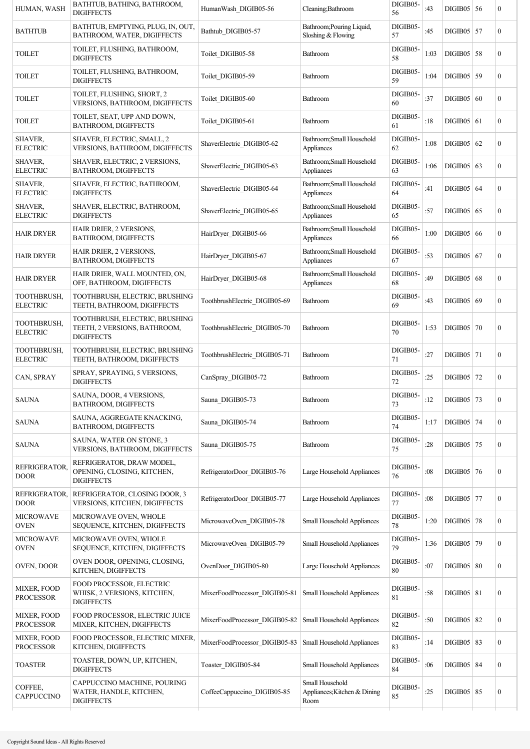| HUMAN, WASH                       | BATHTUB, BATHING, BATHROOM,<br><b>DIGIFFECTS</b>                                    | HumanWash DIGIB05-56          | Cleaning; Bathroom                                      | DIGIB05-<br>56 | :43  | $DIGIB05$ 56       |    | $\boldsymbol{0}$ |
|-----------------------------------|-------------------------------------------------------------------------------------|-------------------------------|---------------------------------------------------------|----------------|------|--------------------|----|------------------|
| <b>BATHTUB</b>                    | BATHTUB, EMPTYING, PLUG, IN, OUT,<br>BATHROOM, WATER, DIGIFFECTS                    | Bathtub DIGIB05-57            | Bathroom; Pouring Liquid,<br>Sloshing & Flowing         | DIGIB05-<br>57 | :45  | $DIGIB05$   57     |    | $\mathbf{0}$     |
| TOILET                            | TOILET, FLUSHING, BATHROOM,<br><b>DIGIFFECTS</b>                                    | Toilet DIGIB05-58             | Bathroom                                                | DIGIB05-<br>58 | 1:03 | $DIGIB05$ 58       |    | $\mathbf{0}$     |
| TOILET                            | TOILET, FLUSHING, BATHROOM,<br><b>DIGIFFECTS</b>                                    | Toilet DIGIB05-59             | Bathroom                                                | DIGIB05-<br>59 | 1:04 | $DIGIB05$   59     |    | $\mathbf{0}$     |
| TOILET                            | TOILET, FLUSHING, SHORT, 2<br><b>VERSIONS, BATHROOM, DIGIFFECTS</b>                 | Toilet DIGIB05-60             | <b>Bathroom</b>                                         | DIGIB05-<br>60 | :37  | DIGIB05            | 60 | $\boldsymbol{0}$ |
| <b>TOILET</b>                     | TOILET, SEAT, UPP AND DOWN,<br><b>BATHROOM, DIGIFFECTS</b>                          | Toilet DIGIB05-61             | Bathroom                                                | DIGIB05-<br>61 | :18  | $DIGIB05$ 61       |    | $\boldsymbol{0}$ |
| SHAVER,<br><b>ELECTRIC</b>        | SHAVER, ELECTRIC, SMALL, 2<br>VERSIONS, BATHROOM, DIGIFFECTS                        | ShaverElectric DIGIB05-62     | Bathroom; Small Household<br>Appliances                 | DIGIB05-<br>62 | 1:08 | DIGIB05 $\vert$ 62 |    | $\mathbf{0}$     |
| <b>SHAVER,</b><br><b>ELECTRIC</b> | SHAVER, ELECTRIC, 2 VERSIONS,<br><b>BATHROOM, DIGIFFECTS</b>                        | ShaverElectric DIGIB05-63     | Bathroom; Small Household<br>Appliances                 | DIGIB05-<br>63 | 1:06 | $DIGIB05$ 63       |    | $\mathbf{0}$     |
| SHAVER,<br><b>ELECTRIC</b>        | SHAVER, ELECTRIC, BATHROOM,<br><b>DIGIFFECTS</b>                                    | ShaverElectric DIGIB05-64     | Bathroom; Small Household<br>Appliances                 | DIGIB05-<br>64 | :41  | $DIGIB05$ 64       |    | $\mathbf{0}$     |
| <b>SHAVER.</b><br><b>ELECTRIC</b> | SHAVER, ELECTRIC, BATHROOM,<br><b>DIGIFFECTS</b>                                    | ShaverElectric DIGIB05-65     | Bathroom; Small Household<br>Appliances                 | DIGIB05-<br>65 | :57  | $DIGIB05$ 65       |    | $\boldsymbol{0}$ |
| <b>HAIR DRYER</b>                 | HAIR DRIER, 2 VERSIONS,<br>BATHROOM, DIGIFFECTS                                     | HairDryer DIGIB05-66          | Bathroom; Small Household<br>Appliances                 | DIGIB05-<br>66 | 1:00 | DIGIB05   66       |    | $\mathbf{0}$     |
| HAIR DRYER                        | HAIR DRIER, 2 VERSIONS,<br>BATHROOM, DIGIFFECTS                                     | HairDryer DIGIB05-67          | Bathroom; Small Household<br>Appliances                 | DIGIB05-<br>67 | :53  | $DIGIB05$ 67       |    | $\boldsymbol{0}$ |
| <b>HAIR DRYER</b>                 | HAIR DRIER, WALL MOUNTED, ON,<br>OFF, BATHROOM, DIGIFFECTS                          | HairDryer DIGIB05-68          | Bathroom; Small Household<br>Appliances                 | DIGIB05-<br>68 | :49  | DIGIB05   68       |    | $\mathbf{0}$     |
| TOOTHBRUSH,<br><b>ELECTRIC</b>    | TOOTHBRUSH, ELECTRIC, BRUSHING<br>TEETH, BATHROOM, DIGIFFECTS                       | ToothbrushElectric_DIGIB05-69 | Bathroom                                                | DIGIB05-<br>69 | :43  | DIGIB05   69       |    | $\mathbf{0}$     |
| TOOTHBRUSH,<br><b>ELECTRIC</b>    | TOOTHBRUSH, ELECTRIC, BRUSHING<br>TEETH, 2 VERSIONS, BATHROOM,<br><b>DIGIFFECTS</b> | ToothbrushElectric DIGIB05-70 | Bathroom                                                | DIGIB05-<br>70 | 1:53 | DIGIB05   70       |    | $\boldsymbol{0}$ |
| TOOTHBRUSH,<br><b>ELECTRIC</b>    | TOOTHBRUSH, ELECTRIC, BRUSHING<br>TEETH, BATHROOM, DIGIFFECTS                       | ToothbrushElectric DIGIB05-71 | Bathroom                                                | DIGIB05-<br>71 | :27  | $DIGIB05$ 71       |    | $\boldsymbol{0}$ |
| CAN, SPRAY                        | SPRAY, SPRAYING, 5 VERSIONS,<br><b>DIGIFFECTS</b>                                   | CanSpray DIGIB05-72           | Bathroom                                                | DIGIB05-<br>72 | :25  | DIGIB05 72         |    | $\mathbf{0}$     |
| <b>SAUNA</b>                      | SAUNA, DOOR, 4 VERSIONS,<br><b>BATHROOM, DIGIFFECTS</b>                             | Sauna_DIGIB05-73              | Bathroom                                                | DIGIB05-<br>73 | :12  | $DIGIB05$ 73       |    | $\mathbf{0}$     |
| <b>SAUNA</b>                      | SAUNA, AGGREGATE KNACKING,<br>BATHROOM, DIGIFFECTS                                  | Sauna DIGIB05-74              | Bathroom                                                | DIGIB05-<br>74 | 1:17 | $DIGIB05$ 74       |    | $\boldsymbol{0}$ |
| <b>SAUNA</b>                      | SAUNA, WATER ON STONE, 3<br>VERSIONS, BATHROOM, DIGIFFECTS                          | Sauna DIGIB05-75              | Bathroom                                                | DIGIB05-<br>75 | :28  | $DIGIB05$   75     |    | $\boldsymbol{0}$ |
| REFRIGERATOR.<br>DOOR             | REFRIGERATOR, DRAW MODEL,<br>OPENING, CLOSING, KITCHEN,<br>DIGIFFECTS               | RefrigeratorDoor DIGIB05-76   | Large Household Appliances                              | DIGIB05-<br>76 | :08  | $DIGIB05$ 76       |    | $\boldsymbol{0}$ |
| REFRIGERATOR,<br>DOOR             | REFRIGERATOR, CLOSING DOOR, 3<br>VERSIONS, KITCHEN, DIGIFFECTS                      | RefrigeratorDoor_DIGIB05-77   | Large Household Appliances                              | DIGIB05-<br>77 | :08  | $DIGIB05$ 77       |    | $\boldsymbol{0}$ |
| MICROWAVE<br><b>OVEN</b>          | MICROWAVE OVEN, WHOLE<br>SEQUENCE, KITCHEN, DIGIFFECTS                              | MicrowaveOven_DIGIB05-78      | Small Household Appliances                              | DIGIB05-<br>78 | 1:20 | $DIGIB05$ 78       |    | $\boldsymbol{0}$ |
| MICROWAVE<br>OVEN                 | MICROWAVE OVEN, WHOLE<br>SEQUENCE, KITCHEN, DIGIFFECTS                              | MicrowaveOven_DIGIB05-79      | Small Household Appliances                              | DIGIB05-<br>79 | 1:36 | DIGIB05 79         |    | $\boldsymbol{0}$ |
| OVEN, DOOR                        | OVEN DOOR, OPENING, CLOSING,<br>KITCHEN, DIGIFFECTS                                 | OvenDoor_DIGIB05-80           | Large Household Appliances                              | DIGIB05-<br>80 | :07  | $DIGIB05$ 80       |    | $\mathbf{0}$     |
| MIXER, FOOD<br><b>PROCESSOR</b>   | FOOD PROCESSOR, ELECTRIC<br>WHISK, 2 VERSIONS, KITCHEN,<br><b>DIGIFFECTS</b>        | MixerFoodProcessor_DIGIB05-81 | <b>Small Household Appliances</b>                       | DIGIB05-<br>81 | :58  | $DIGIB05$ 81       |    | $\boldsymbol{0}$ |
| MIXER, FOOD<br><b>PROCESSOR</b>   | FOOD PROCESSOR, ELECTRIC JUICE<br>MIXER, KITCHEN, DIGIFFECTS                        | MixerFoodProcessor_DIGIB05-82 | Small Household Appliances                              | DIGIB05-<br>82 | :50  | $DIGIB05$ 82       |    | $\boldsymbol{0}$ |
| MIXER, FOOD<br><b>PROCESSOR</b>   | FOOD PROCESSOR, ELECTRIC MIXER,<br>KITCHEN, DIGIFFECTS                              | MixerFoodProcessor_DIGIB05-83 | Small Household Appliances                              | DIGIB05-<br>83 | :14  | $DIGIB05$ 83       |    | $\boldsymbol{0}$ |
| <b>TOASTER</b>                    | TOASTER, DOWN, UP, KITCHEN,<br><b>DIGIFFECTS</b>                                    | Toaster_DIGIB05-84            | Small Household Appliances                              | DIGIB05-<br>84 | :06  | <b>DIGIB05 84</b>  |    | $\boldsymbol{0}$ |
| COFFEE,<br>CAPPUCCINO             | CAPPUCCINO MACHINE, POURING<br>WATER, HANDLE, KITCHEN,<br><b>DIGIFFECTS</b>         | CoffeeCappuccino DIGIB05-85   | Small Household<br>Appliances; Kitchen & Dining<br>Room | DIGIB05-<br>85 | :25  | $DIGIB05$ 85       |    | $\boldsymbol{0}$ |
|                                   |                                                                                     |                               |                                                         |                |      |                    |    |                  |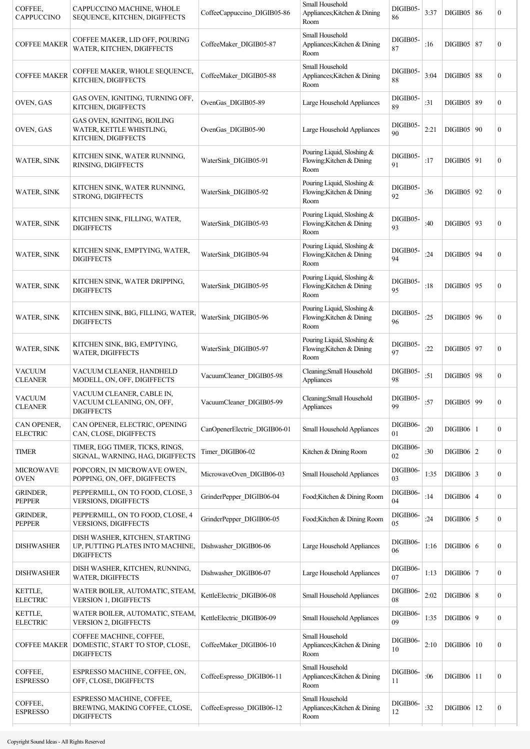| COFFEE,<br><b>CAPPUCCINO</b>     | CAPPUCCINO MACHINE, WHOLE<br>SEQUENCE, KITCHEN, DIGIFFECTS                              | CoffeeCappuccino DIGIB05-86  | Small Household<br>Appliances; Kitchen & Dining<br>Room         | DIGIB05-<br>86 | 3:37 | DIGIB05   86      | $\boldsymbol{0}$ |
|----------------------------------|-----------------------------------------------------------------------------------------|------------------------------|-----------------------------------------------------------------|----------------|------|-------------------|------------------|
| <b>COFFEE MAKER</b>              | COFFEE MAKER, LID OFF, POURING<br>WATER, KITCHEN, DIGIFFECTS                            | CoffeeMaker_DIGIB05-87       | Small Household<br>Appliances; Kitchen & Dining<br>Room         | DIGIB05-<br>87 | :16  | $DIGIB05$   87    | $\boldsymbol{0}$ |
| <b>COFFEE MAKER</b>              | COFFEE MAKER, WHOLE SEQUENCE,<br>KITCHEN, DIGIFFECTS                                    | CoffeeMaker DIGIB05-88       | Small Household<br>Appliances; Kitchen & Dining<br>Room         | DIGIB05-<br>88 | 3:04 | DIGIB05   88      | $\boldsymbol{0}$ |
| OVEN, GAS                        | GAS OVEN, IGNITING, TURNING OFF,<br>KITCHEN, DIGIFFECTS                                 | OvenGas DIGIB05-89           | Large Household Appliances                                      | DIGIB05-<br>89 | :31  | DIGIB05   89      | $\boldsymbol{0}$ |
| OVEN, GAS                        | GAS OVEN, IGNITING, BOILING<br>WATER, KETTLE WHISTLING,<br>KITCHEN, DIGIFFECTS          | OvenGas DIGIB05-90           | Large Household Appliances                                      | DIGIB05-<br>90 | 2:21 | DIGIB05   90      | $\boldsymbol{0}$ |
| <b>WATER, SINK</b>               | KITCHEN SINK, WATER RUNNING,<br>RINSING, DIGIFFECTS                                     | WaterSink DIGIB05-91         | Pouring Liquid, Sloshing &<br>Flowing; Kitchen & Dining<br>Room | DIGIB05-<br>91 | :17  | $DIGIB05$   91    | $\boldsymbol{0}$ |
| <b>WATER, SINK</b>               | KITCHEN SINK, WATER RUNNING,<br>STRONG, DIGIFFECTS                                      | WaterSink DIGIB05-92         | Pouring Liquid, Sloshing &<br>Flowing; Kitchen & Dining<br>Room | DIGIB05-<br>92 | :36  | DIGIB05   92      | $\boldsymbol{0}$ |
| WATER, SINK                      | KITCHEN SINK, FILLING, WATER,<br><b>DIGIFFECTS</b>                                      | WaterSink_DIGIB05-93         | Pouring Liquid, Sloshing &<br>Flowing; Kitchen & Dining<br>Room | DIGIB05-<br>93 | :40  | DIGIB05   93      | $\boldsymbol{0}$ |
| <b>WATER, SINK</b>               | KITCHEN SINK, EMPTYING, WATER,<br><b>DIGIFFECTS</b>                                     | WaterSink DIGIB05-94         | Pouring Liquid, Sloshing &<br>Flowing; Kitchen & Dining<br>Room | DIGIB05-<br>94 | :24  | DIGIB05   94      | $\boldsymbol{0}$ |
| <b>WATER, SINK</b>               | KITCHEN SINK, WATER DRIPPING,<br><b>DIGIFFECTS</b>                                      | WaterSink DIGIB05-95         | Pouring Liquid, Sloshing &<br>Flowing; Kitchen & Dining<br>Room | DIGIB05-<br>95 | :18  | $DIGIB05$   95    | $\boldsymbol{0}$ |
| <b>WATER, SINK</b>               | KITCHEN SINK, BIG, FILLING, WATER,<br><b>DIGIFFECTS</b>                                 | WaterSink DIGIB05-96         | Pouring Liquid, Sloshing &<br>Flowing; Kitchen & Dining<br>Room | DIGIB05-<br>96 | :25  | <b>DIGIB05 96</b> | $\boldsymbol{0}$ |
| WATER, SINK                      | KITCHEN SINK, BIG, EMPTYING,<br>WATER, DIGIFFECTS                                       | WaterSink DIGIB05-97         | Pouring Liquid, Sloshing &<br>Flowing; Kitchen & Dining<br>Room | DIGIB05-<br>97 | :22  | <b>DIGIB05 97</b> | $\boldsymbol{0}$ |
| <b>VACUUM</b><br><b>CLEANER</b>  | VACUUM CLEANER, HANDHELD<br>MODELL, ON, OFF, DIGIFFECTS                                 | VacuumCleaner_DIGIB05-98     | Cleaning; Small Household<br>Appliances                         | DIGIB05-<br>98 | :51  | $DIGIB05$   98    | $\boldsymbol{0}$ |
| <b>VACUUM</b><br><b>CLEANER</b>  | VACUUM CLEANER, CABLE IN,<br>VACUUM CLEANING, ON, OFF,<br><b>DIGIFFECTS</b>             | VacuumCleaner DIGIB05-99     | Cleaning: Small Household<br>Appliances                         | DIGIB05-<br>99 | :57  | DIGIB05   99      | 0                |
| CAN OPENER.<br><b>ELECTRIC</b>   | CAN OPENER, ELECTRIC, OPENING<br>CAN, CLOSE, DIGIFFECTS                                 | CanOpenerElectric_DIGIB06-01 | <b>Small Household Appliances</b>                               | DIGIB06-<br>01 | :20  | $DIGIB06 \mid 1$  | $\boldsymbol{0}$ |
| <b>TIMER</b>                     | TIMER, EGG TIMER, TICKS, RINGS,<br>SIGNAL, WARNING, HAG, DIGIFFECTS                     | Timer DIGIB06-02             | Kitchen & Dining Room                                           | DIGIB06-<br>02 | :30  | $DIGIB06$ 2       | $\boldsymbol{0}$ |
| <b>MICROWAVE</b><br><b>OVEN</b>  | POPCORN, IN MICROWAVE OWEN,<br>POPPING, ON, OFF, DIGIFFECTS                             | MicrowaveOven DIGIB06-03     | <b>Small Household Appliances</b>                               | DIGIB06-<br>03 | 1:35 | $DIGIB06$ 3       | $\boldsymbol{0}$ |
| <b>GRINDER,</b><br><b>PEPPER</b> | PEPPERMILL, ON TO FOOD, CLOSE, 3<br><b>VERSIONS, DIGIFFECTS</b>                         | GrinderPepper_DIGIB06-04     | Food;Kitchen & Dining Room                                      | DIGIB06-<br>04 | :14  | $DIGIB06$   4     | $\boldsymbol{0}$ |
| <b>GRINDER,</b><br>PEPPER        | PEPPERMILL, ON TO FOOD, CLOSE, 4<br>VERSIONS, DIGIFFECTS                                | GrinderPepper_DIGIB06-05     | Food;Kitchen & Dining Room                                      | DIGIB06-<br>05 | :24  | $DIGIB06$ 5       | $\boldsymbol{0}$ |
| <b>DISHWASHER</b>                | DISH WASHER, KITCHEN, STARTING<br>UP, PUTTING PLATES INTO MACHINE,<br><b>DIGIFFECTS</b> | Dishwasher DIGIB06-06        | Large Household Appliances                                      | DIGIB06-<br>06 | 1:16 | DIGIB06 6         | $\boldsymbol{0}$ |
| <b>DISHWASHER</b>                | DISH WASHER, KITCHEN, RUNNING,<br>WATER, DIGIFFECTS                                     | Dishwasher DIGIB06-07        | Large Household Appliances                                      | DIGIB06-<br>07 | 1:13 | $DIGIB06$   7     | $\boldsymbol{0}$ |
| KETTLE,<br><b>ELECTRIC</b>       | WATER BOILER, AUTOMATIC, STEAM,<br>VERSION 1, DIGIFFECTS                                | KettleElectric_DIGIB06-08    | Small Household Appliances                                      | DIGIB06-<br>08 | 2:02 | $DIGIB06$ 8       | $\boldsymbol{0}$ |
| KETTLE,<br><b>ELECTRIC</b>       | WATER BOILER, AUTOMATIC, STEAM,<br><b>VERSION 2, DIGIFFECTS</b>                         | KettleElectric DIGIB06-09    | Small Household Appliances                                      | DIGIB06-<br>09 | 1:35 | $DIGIB06$   9     | $\boldsymbol{0}$ |
| <b>COFFEE MAKER</b>              | COFFEE MACHINE, COFFEE,<br>DOMESTIC, START TO STOP, CLOSE,<br><b>DIGIFFECTS</b>         | CoffeeMaker DIGIB06-10       | Small Household<br>Appliances; Kitchen & Dining<br>Room         | DIGIB06-<br>10 | 2:10 | DIGIB06   10      | $\boldsymbol{0}$ |
| COFFEE,<br><b>ESPRESSO</b>       | ESPRESSO MACHINE, COFFEE, ON,<br>OFF, CLOSE, DIGIFFECTS                                 | CoffeeEspresso DIGIB06-11    | Small Household<br>Appliances; Kitchen & Dining<br>Room         | DIGIB06-<br>11 | :06  | $DIGIB06$  11     | $\boldsymbol{0}$ |
| COFFEE,<br><b>ESPRESSO</b>       | ESPRESSO MACHINE, COFFEE,<br>BREWING, MAKING COFFEE, CLOSE,<br><b>DIGIFFECTS</b>        | CoffeeEspresso DIGIB06-12    | Small Household<br>Appliances; Kitchen & Dining<br>Room         | DIGIB06-<br>12 | :32  | $DIGIB06$   12    | $\boldsymbol{0}$ |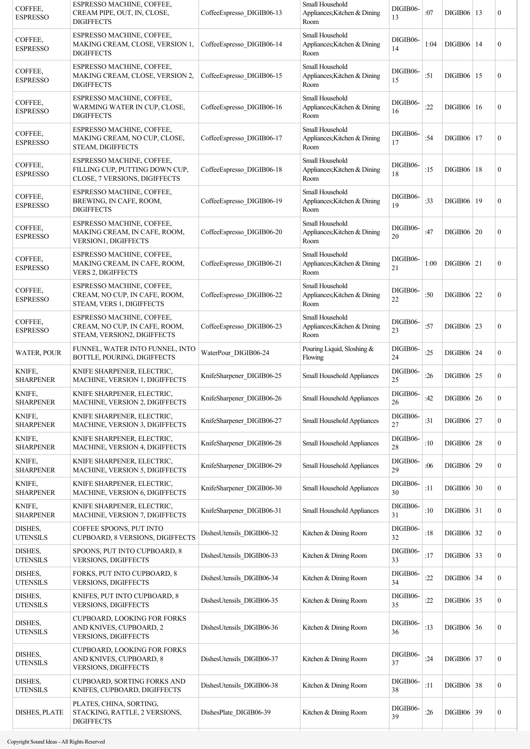| COFFEE,<br><b>ESPRESSO</b> | ESPRESSO MACHINE, COFFEE,<br>CREAM PIPE, OUT, IN, CLOSE,<br><b>DIGIFFECTS</b>                | CoffeeEspresso DIGIB06-13 | Small Household<br>Appliances; Kitchen & Dining<br>Room | DIGIB06-<br>13 | :07  | $DIGIB06 \mid 13$   | $\boldsymbol{0}$ |
|----------------------------|----------------------------------------------------------------------------------------------|---------------------------|---------------------------------------------------------|----------------|------|---------------------|------------------|
| COFFEE,<br><b>ESPRESSO</b> | ESPRESSO MACHINE, COFFEE,<br>MAKING CREAM, CLOSE, VERSION 1,<br><b>DIGIFFECTS</b>            | CoffeeEspresso_DIGIB06-14 | Small Household<br>Appliances; Kitchen & Dining<br>Room | DIGIB06-<br>14 | 1:04 | $DIGIB06$   14      | $\boldsymbol{0}$ |
| COFFEE,<br><b>ESPRESSO</b> | ESPRESSO MACHINE, COFFEE,<br>MAKING CREAM, CLOSE, VERSION 2,<br><b>DIGIFFECTS</b>            | CoffeeEspresso DIGIB06-15 | Small Household<br>Appliances; Kitchen & Dining<br>Room | DIGIB06-<br>15 | :51  | $DIGIB06$   15      | $\boldsymbol{0}$ |
| COFFEE,<br><b>ESPRESSO</b> | ESPRESSO MACHINE, COFFEE,<br>WARMING WATER IN CUP, CLOSE,<br><b>DIGIFFECTS</b>               | CoffeeEspresso DIGIB06-16 | Small Household<br>Appliances; Kitchen & Dining<br>Room | DIGIB06-<br>16 | :22  | $DIGIB06$  16       | $\boldsymbol{0}$ |
| COFFEE,<br><b>ESPRESSO</b> | ESPRESSO MACHINE, COFFEE,<br>MAKING CREAM, NO CUP, CLOSE,<br>STEAM, DIGIFFECTS               | CoffeeEspresso DIGIB06-17 | Small Household<br>Appliances; Kitchen & Dining<br>Room | DIGIB06-<br>17 | :54  | $DIGIB06$  17       | $\boldsymbol{0}$ |
| COFFEE,<br><b>ESPRESSO</b> | ESPRESSO MACHINE, COFFEE,<br>FILLING CUP, PUTTING DOWN CUP,<br>CLOSE, 7 VERSIONS, DIGIFFECTS | CoffeeEspresso DIGIB06-18 | Small Household<br>Appliances; Kitchen & Dining<br>Room | DIGIB06-<br>18 | :15  | <b>DIGIB06</b>   18 | $\boldsymbol{0}$ |
| COFFEE,<br><b>ESPRESSO</b> | ESPRESSO MACHINE, COFFEE,<br>BREWING, IN CAFE, ROOM,<br><b>DIGIFFECTS</b>                    | CoffeeEspresso DIGIB06-19 | Small Household<br>Appliances; Kitchen & Dining<br>Room | DIGIB06-<br>19 | :33  | DIGIB06   19        | $\boldsymbol{0}$ |
| COFFEE,<br><b>ESPRESSO</b> | ESPRESSO MACHINE, COFFEE,<br>MAKING CREAM, IN CAFE, ROOM,<br>VERSION1, DIGIFFECTS            | CoffeeEspresso DIGIB06-20 | Small Household<br>Appliances; Kitchen & Dining<br>Room | DIGIB06-<br>20 | :47  | <b>DIGIB06</b>   20 | $\overline{0}$   |
| COFFEE.<br><b>ESPRESSO</b> | ESPRESSO MACHINE, COFFEE,<br>MAKING CREAM, IN CAFE, ROOM,<br>VERS 2, DIGIFFECTS              | CoffeeEspresso DIGIB06-21 | Small Household<br>Appliances; Kitchen & Dining<br>Room | DIGIB06-<br>21 | 1:00 | $DIGIB06$   21      | $\boldsymbol{0}$ |
| COFFEE,<br><b>ESPRESSO</b> | ESPRESSO MACHINE, COFFEE,<br>CREAM, NO CUP, IN CAFE, ROOM,<br>STEAM, VERS 1, DIGIFFECTS      | CoffeeEspresso DIGIB06-22 | Small Household<br>Appliances; Kitchen & Dining<br>Room | DIGIB06-<br>22 | :50  | $DIGIB06$   22      | $\boldsymbol{0}$ |
| COFFEE,<br><b>ESPRESSO</b> | ESPRESSO MACHINE, COFFEE,<br>CREAM, NO CUP, IN CAFE, ROOM,<br>STEAM, VERSION2, DIGIFFECTS    | CoffeeEspresso DIGIB06-23 | Small Household<br>Appliances; Kitchen & Dining<br>Room | DIGIB06-<br>23 | :57  | $DIGIB06$   23      | $\mathbf{0}$     |
| <b>WATER, POUR</b>         | FUNNEL, WATER INTO FUNNEL, INTO<br>BOTTLE, POURING, DIGIFFECTS                               | WaterPour DIGIB06-24      | Pouring Liquid, Sloshing &<br>Flowing                   | DIGIB06-<br>24 | :25  | $DIGIB06$   24      | $\boldsymbol{0}$ |
| KNIFE,<br><b>SHARPENER</b> | KNIFE SHARPENER, ELECTRIC,<br>MACHINE, VERSION 1, DIGIFFECTS                                 | KnifeSharpener DIGIB06-25 | Small Household Appliances                              | DIGIB06-<br>25 | :26  | DIGIB06   25        | $\overline{0}$   |
| KNIFE,<br>SHARPENER        | KNIFE SHARPENER, ELECTRIC,<br>MACHINE, VERSION 2, DIGIFFECTS                                 | KnifeSharpener_DIGIB06-26 | Small Household Appliances                              | DIGIB06-<br>26 | :42  | DIGIB06   26        | $\overline{0}$   |
| KNIFE,<br><b>SHARPENER</b> | KNIFE SHARPENER, ELECTRIC,<br>MACHINE, VERSION 3, DIGIFFECTS                                 | KnifeSharpener DIGIB06-27 | Small Household Appliances                              | DIGIB06-<br>27 | :31  | $DIGIB06$ 27        | $\boldsymbol{0}$ |
| KNIFE,<br><b>SHARPENER</b> | KNIFE SHARPENER, ELECTRIC,<br>MACHINE, VERSION 4, DIGIFFECTS                                 | KnifeSharpener_DIGIB06-28 | Small Household Appliances                              | DIGIB06-<br>28 | :10  | $DIGIB06$ 28        | $\boldsymbol{0}$ |
| KNIFE,<br><b>SHARPENER</b> | KNIFE SHARPENER, ELECTRIC,<br>MACHINE, VERSION 5, DIGIFFECTS                                 | KnifeSharpener_DIGIB06-29 | Small Household Appliances                              | DIGIB06-<br>29 | :06  | $DIGIB06$ 29        | $\boldsymbol{0}$ |
| KNIFE,<br><b>SHARPENER</b> | KNIFE SHARPENER, ELECTRIC,<br>MACHINE, VERSION 6, DIGIFFECTS                                 | KnifeSharpener DIGIB06-30 | Small Household Appliances                              | DIGIB06-<br>30 | :11  | DIGIB06 30          | $\boldsymbol{0}$ |
| KNIFE,<br>SHARPENER        | KNIFE SHARPENER, ELECTRIC,<br>MACHINE, VERSION 7, DIGIFFECTS                                 | KnifeSharpener DIGIB06-31 | Small Household Appliances                              | DIGIB06-<br>31 | :10  | $DIGIB06$ 31        | $\boldsymbol{0}$ |
| DISHES,<br><b>UTENSILS</b> | COFFEE SPOONS, PUT INTO<br>CUPBOARD, 8 VERSIONS, DIGIFFECTS                                  | DishesUtensils DIGIB06-32 | Kitchen & Dining Room                                   | DIGIB06-<br>32 | :18  | $DIGIB06$ 32        | $\boldsymbol{0}$ |
| DISHES,<br><b>UTENSILS</b> | SPOONS, PUT INTO CUPBOARD, 8<br><b>VERSIONS, DIGIFFECTS</b>                                  | DishesUtensils_DIGIB06-33 | Kitchen & Dining Room                                   | DIGIB06-<br>33 | :17  | $DIGIB06$ 33        | $\boldsymbol{0}$ |
| DISHES,<br><b>UTENSILS</b> | FORKS, PUT INTO CUPBOARD, 8<br><b>VERSIONS, DIGIFFECTS</b>                                   | DishesUtensils_DIGIB06-34 | Kitchen & Dining Room                                   | DIGIB06-<br>34 | :22  | $DIGIB06$ 34        | $\boldsymbol{0}$ |
| DISHES,<br><b>UTENSILS</b> | KNIFES, PUT INTO CUPBOARD, 8<br><b>VERSIONS, DIGIFFECTS</b>                                  | DishesUtensils_DIGIB06-35 | Kitchen & Dining Room                                   | DIGIB06-<br>35 | :22  | $DIGIB06$ 35        | $\boldsymbol{0}$ |
| DISHES,<br><b>UTENSILS</b> | <b>CUPBOARD, LOOKING FOR FORKS</b><br>AND KNIVES, CUPBOARD, 2<br><b>VERSIONS, DIGIFFECTS</b> | DishesUtensils_DIGIB06-36 | Kitchen & Dining Room                                   | DIGIB06-<br>36 | :13  | DIGIB06 36          | $\boldsymbol{0}$ |
| DISHES,<br><b>UTENSILS</b> | <b>CUPBOARD, LOOKING FOR FORKS</b><br>AND KNIVES, CUPBOARD, 8<br>VERSIONS, DIGIFFECTS        | DishesUtensils DIGIB06-37 | Kitchen & Dining Room                                   | DIGIB06-<br>37 | :24  | $DIGIB06$ 37        | $\boldsymbol{0}$ |
| DISHES,<br><b>UTENSILS</b> | CUPBOARD, SORTING FORKS AND<br>KNIFES, CUPBOARD, DIGIFFECTS                                  | DishesUtensils_DIGIB06-38 | Kitchen & Dining Room                                   | DIGIB06-<br>38 | :11  | $DIGIB06$ 38        | $\boldsymbol{0}$ |
| DISHES, PLATE              | PLATES, CHINA, SORTING,<br>STACKING, RATTLE, 2 VERSIONS,<br><b>DIGIFFECTS</b>                | DishesPlate DIGIB06-39    | Kitchen & Dining Room                                   | DIGIB06-<br>39 | :26  | $DIGIB06$ 39        | $\boldsymbol{0}$ |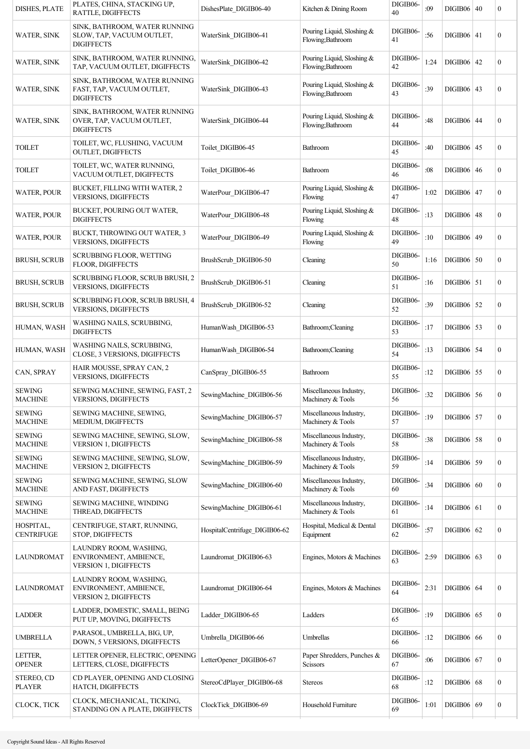| <b>DISHES, PLATE</b>            | PLATES, CHINA, STACKING UP,<br>RATTLE, DIGIFFECTS                                | DishesPlate DIGIB06-40        | Kitchen & Dining Room                           | DIGIB06-<br>40 | :09  | <b>DIGIB06 40</b>   | $\boldsymbol{0}$ |
|---------------------------------|----------------------------------------------------------------------------------|-------------------------------|-------------------------------------------------|----------------|------|---------------------|------------------|
| <b>WATER, SINK</b>              | SINK, BATHROOM, WATER RUNNING<br>SLOW, TAP, VACUUM OUTLET,<br><b>DIGIFFECTS</b>  | WaterSink_DIGIB06-41          | Pouring Liquid, Sloshing &<br>Flowing;Bathroom  | DIGIB06-<br>41 | :56  | $DIGIB06$ 41        | $\overline{0}$   |
| WATER, SINK                     | SINK, BATHROOM, WATER RUNNING,<br>TAP, VACUUM OUTLET, DIGIFFECTS                 | WaterSink DIGIB06-42          | Pouring Liquid, Sloshing &<br>Flowing;Bathroom  | DIGIB06-<br>42 | 1:24 | $DIGIB06$   42      | $\boldsymbol{0}$ |
| <b>WATER, SINK</b>              | SINK, BATHROOM, WATER RUNNING<br>FAST, TAP, VACUUM OUTLET,<br><b>DIGIFFECTS</b>  | WaterSink DIGIB06-43          | Pouring Liquid, Sloshing &<br>Flowing; Bathroom | DIGIB06-<br>43 | :39  | DIGIB06   43        | $\boldsymbol{0}$ |
| <b>WATER, SINK</b>              | SINK, BATHROOM, WATER RUNNING<br>OVER, TAP, VACUUM OUTLET,<br><b>DIGIFFECTS</b>  | WaterSink DIGIB06-44          | Pouring Liquid, Sloshing &<br>Flowing;Bathroom  | DIGIB06-<br>44 | :48  | $DIGIB06$ 44        | $\boldsymbol{0}$ |
| <b>TOILET</b>                   | TOILET, WC, FLUSHING, VACUUM<br><b>OUTLET, DIGIFFECTS</b>                        | Toilet DIGIB06-45             | Bathroom                                        | DIGIB06-<br>45 | :40  | <b>DIGIB06 45</b>   | $\boldsymbol{0}$ |
| <b>TOILET</b>                   | TOILET, WC, WATER RUNNING,<br>VACUUM OUTLET, DIGIFFECTS                          | Toilet DIGIB06-46             | Bathroom                                        | DIGIB06-<br>46 | :08  | $DIGIB06 \mid 46$   | $\overline{0}$   |
| <b>WATER, POUR</b>              | BUCKET, FILLING WITH WATER, 2<br>VERSIONS, DIGIFFECTS                            | WaterPour DIGIB06-47          | Pouring Liquid, Sloshing $&$<br>Flowing         | DIGIB06-<br>47 | 1:02 | $DIGIB06 \mid 47$   | $\boldsymbol{0}$ |
| <b>WATER, POUR</b>              | BUCKET, POURING OUT WATER,<br><b>DIGIFFECTS</b>                                  | WaterPour DIGIB06-48          | Pouring Liquid, Sloshing &<br>Flowing           | DIGIB06-<br>48 | :13  | <b>DIGIB06 48</b>   | $\boldsymbol{0}$ |
| <b>WATER, POUR</b>              | BUCKT, THROWING OUT WATER, 3<br><b>VERSIONS, DIGIFFECTS</b>                      | WaterPour DIGIB06-49          | Pouring Liquid, Sloshing &<br>Flowing           | DIGIB06-<br>49 | :10  | DIGIB06   49        | $\boldsymbol{0}$ |
| <b>BRUSH, SCRUB</b>             | <b>SCRUBBING FLOOR, WETTING</b><br>FLOOR, DIGIFFECTS                             | BrushScrub DIGIB06-50         | Cleaning                                        | DIGIB06-<br>50 | 1:16 | DIGIB06   50        | $\boldsymbol{0}$ |
| <b>BRUSH, SCRUB</b>             | SCRUBBING FLOOR, SCRUB BRUSH, 2<br><b>VERSIONS, DIGIFFECTS</b>                   | BrushScrub DIGIB06-51         | Cleaning                                        | DIGIB06-<br>51 | :16  | $DIGIB06$   51      | $\overline{0}$   |
| <b>BRUSH, SCRUB</b>             | SCRUBBING FLOOR, SCRUB BRUSH, 4<br><b>VERSIONS, DIGIFFECTS</b>                   | BrushScrub DIGIB06-52         | Cleaning                                        | DIGIB06-<br>52 | :39  | <b>DIGIB06</b> 52   | $\overline{0}$   |
| HUMAN, WASH                     | WASHING NAILS, SCRUBBING,<br><b>DIGIFFECTS</b>                                   | HumanWash DIGIB06-53          | Bathroom;Cleaning                               | DIGIB06-<br>53 | :17  | $DIGIB06$ 53        | $\overline{0}$   |
| HUMAN, WASH                     | WASHING NAILS, SCRUBBING,<br>CLOSE, 3 VERSIONS, DIGIFFECTS                       | HumanWash DIGIB06-54          | Bathroom;Cleaning                               | DIGIB06-<br>54 | :13  | <b>DIGIB06 54</b>   | $\boldsymbol{0}$ |
| CAN, SPRAY                      | HAIR MOUSSE, SPRAY CAN, 2<br><b>VERSIONS, DIGIFFECTS</b>                         | CanSpray_DIGIB06-55           | Bathroom                                        | DIGIB06-<br>55 | :12  | $DIGIB06$   55      | $\boldsymbol{0}$ |
| <b>SEWING</b><br><b>MACHINE</b> | SEWING MACHINE, SEWING, FAST, 2<br>VERSIONS, DIGIFFECTS                          | SewingMachine DIGIB06-56      | Miscellaneous Industry,<br>Machinery & Tools    | DIGIB06-<br>56 | :32  | $DIGIB06$ 56        | $\boldsymbol{0}$ |
| <b>SEWING</b><br><b>MACHINE</b> | SEWING MACHINE, SEWING,<br>MEDIUM, DIGIFFECTS                                    | SewingMachine DIGIB06-57      | Miscellaneous Industry,<br>Machinery & Tools    | DIGIB06-<br>57 | :19  | $DIGIB06$ 57        | $\boldsymbol{0}$ |
| <b>SEWING</b><br><b>MACHINE</b> | SEWING MACHINE, SEWING, SLOW,<br><b>VERSION 1, DIGIFFECTS</b>                    | SewingMachine DIGIB06-58      | Miscellaneous Industry,<br>Machinery & Tools    | DIGIB06-<br>58 | :38  | <b>DIGIB06</b> 58   | $\boldsymbol{0}$ |
| <b>SEWING</b><br><b>MACHINE</b> | SEWING MACHINE, SEWING, SLOW,<br><b>VERSION 2, DIGIFFECTS</b>                    | SewingMachine_DIGIB06-59      | Miscellaneous Industry,<br>Machinery & Tools    | DIGIB06-<br>59 | :14  | DIGIB06 59          | $\boldsymbol{0}$ |
| <b>SEWING</b><br><b>MACHINE</b> | SEWING MACHINE, SEWING, SLOW<br>AND FAST, DIGIFFECTS                             | SewingMachine_DIGIB06-60      | Miscellaneous Industry,<br>Machinery & Tools    | DIGIB06-<br>60 | :34  | DIGIB06   60        | $\boldsymbol{0}$ |
| <b>SEWING</b><br><b>MACHINE</b> | SEWING MACHINE, WINDING<br>THREAD, DIGIFFECTS                                    | SewingMachine_DIGIB06-61      | Miscellaneous Industry,<br>Machinery & Tools    | DIGIB06-<br>61 | :14  | $DIGIB06$ 61        | $\boldsymbol{0}$ |
| HOSPITAL,<br><b>CENTRIFUGE</b>  | CENTRIFUGE, START, RUNNING,<br>STOP, DIGIFFECTS                                  | HospitalCentrifuge_DIGIB06-62 | Hospital, Medical & Dental<br>Equipment         | DIGIB06-<br>62 | :57  | $DIGIB06 \mid 62$   | $\boldsymbol{0}$ |
| LAUNDROMAT                      | LAUNDRY ROOM, WASHING,<br>ENVIRONMENT, AMBIENCE,<br>VERSION 1, DIGIFFECTS        | Laundromat DIGIB06-63         | Engines, Motors & Machines                      | DIGIB06-<br>63 | 2:59 | $DIGIB06$ 63        | $\boldsymbol{0}$ |
| LAUNDROMAT                      | LAUNDRY ROOM, WASHING,<br>ENVIRONMENT, AMBIENCE,<br><b>VERSION 2, DIGIFFECTS</b> | Laundromat DIGIB06-64         | Engines, Motors & Machines                      | DIGIB06-<br>64 | 2:31 | $DIGIB06$ 64        | $\boldsymbol{0}$ |
| <b>LADDER</b>                   | LADDER, DOMESTIC, SMALL, BEING<br>PUT UP, MOVING, DIGIFFECTS                     | Ladder DIGIB06-65             | Ladders                                         | DIGIB06-<br>65 | :19  | $DIGIB06$ 65        | $\boldsymbol{0}$ |
| <b>UMBRELLA</b>                 | PARASOL, UMBRELLA, BIG, UP,<br>DOWN, 5 VERSIONS, DIGIFFECTS                      | Umbrella DIGIB06-66           | Umbrellas                                       | DIGIB06-<br>66 | :12  | <b>DIGIB06</b> 66   | $\boldsymbol{0}$ |
| LETTER,<br><b>OPENER</b>        | LETTER OPENER, ELECTRIC, OPENING<br>LETTERS, CLOSE, DIGIFFECTS                   | LetterOpener DIGIB06-67       | Paper Shredders, Punches &<br>Scissors          | DIGIB06-<br>67 | :06  | <b>DIGIB06</b>   67 | $\boldsymbol{0}$ |
| STEREO, CD<br><b>PLAYER</b>     | CD PLAYER, OPENING AND CLOSING<br>HATCH, DIGIFFECTS                              | StereoCdPlayer_DIGIB06-68     | <b>Stereos</b>                                  | DIGIB06-<br>68 | :12  | $DIGIB06$ 68        | $\boldsymbol{0}$ |
| CLOCK, TICK                     | CLOCK, MECHANICAL, TICKING,<br>STANDING ON A PLATE, DIGIFFECTS                   | ClockTick DIGIB06-69          | Household Furniture                             | DIGIB06-<br>69 | 1:01 | $DIGIB06$ 69        | $\boldsymbol{0}$ |
|                                 |                                                                                  |                               |                                                 |                |      |                     |                  |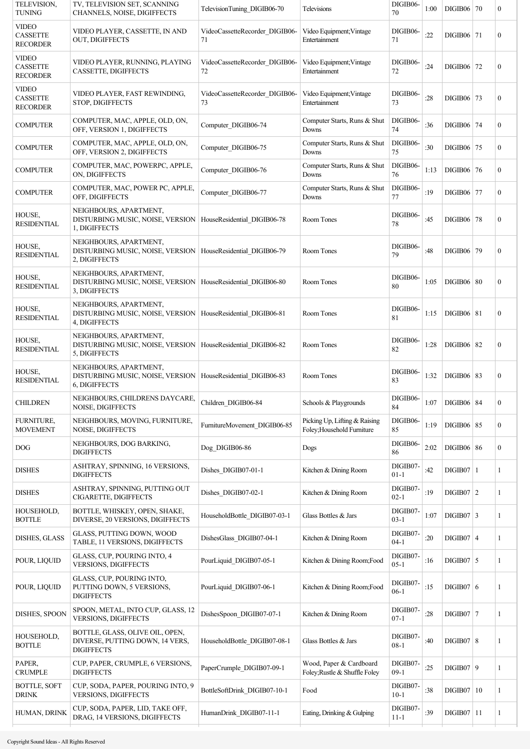| TELEVISION.<br><b>TUNING</b>                       | TV, TELEVISION SET, SCANNING<br>CHANNELS, NOISE, DIGIFFECTS                                               | TelevisionTuning DIGIB06-70          | Televisions                                                 | DIGIB06-<br>70       | 1:00 | DIGIB06   70      | $\boldsymbol{0}$ |
|----------------------------------------------------|-----------------------------------------------------------------------------------------------------------|--------------------------------------|-------------------------------------------------------------|----------------------|------|-------------------|------------------|
| <b>VIDEO</b><br><b>CASSETTE</b><br><b>RECORDER</b> | VIDEO PLAYER, CASSETTE, IN AND<br>OUT, DIGIFFECTS                                                         | VideoCassetteRecorder DIGIB06-<br>71 | Video Equipment; Vintage<br>Entertainment                   | DIGIB06-<br>71       | :22  | DIGIB06   71      | $\boldsymbol{0}$ |
| <b>VIDEO</b><br><b>CASSETTE</b><br><b>RECORDER</b> | VIDEO PLAYER, RUNNING, PLAYING<br>CASSETTE, DIGIFFECTS                                                    | VideoCassetteRecorder DIGIB06-<br>72 | Video Equipment; Vintage<br>Entertainment                   | DIGIB06-<br>72       | :24  | DIGIB06   72      | $\boldsymbol{0}$ |
| <b>VIDEO</b><br><b>CASSETTE</b><br><b>RECORDER</b> | VIDEO PLAYER, FAST REWINDING,<br>STOP, DIGIFFECTS                                                         | VideoCassetteRecorder DIGIB06-<br>73 | Video Equipment; Vintage<br>Entertainment                   | DIGIB06-<br>73       | :28  | DIGIB06 73        | $\boldsymbol{0}$ |
| <b>COMPUTER</b>                                    | COMPUTER, MAC, APPLE, OLD, ON,<br>OFF, VERSION 1, DIGIFFECTS                                              | Computer DIGIB06-74                  | Computer Starts, Runs & Shut<br>Downs                       | DIGIB06-<br>74       | :36  | DIGIB06   74      | $\boldsymbol{0}$ |
| <b>COMPUTER</b>                                    | COMPUTER, MAC, APPLE, OLD, ON,<br>OFF, VERSION 2, DIGIFFECTS                                              | Computer_DIGIB06-75                  | Computer Starts, Runs & Shut<br>Downs                       | DIGIB06-<br>75       | :30  | DIGIB06 75        | $\mathbf{0}$     |
| <b>COMPUTER</b>                                    | COMPUTER, MAC, POWERPC, APPLE,<br>ON, DIGIFFECTS                                                          | Computer_DIGIB06-76                  | Computer Starts, Runs & Shut<br>Downs                       | DIGIB06-<br>76       | 1:13 | DIGIB06 76        | $\boldsymbol{0}$ |
| <b>COMPUTER</b>                                    | COMPUTER, MAC, POWER PC, APPLE,<br>OFF, DIGIFFECTS                                                        | Computer DIGIB06-77                  | Computer Starts, Runs & Shut<br>Downs                       | DIGIB06-<br>77       | :19  | DIGIB06 77        | $\boldsymbol{0}$ |
| HOUSE,<br><b>RESIDENTIAL</b>                       | NEIGHBOURS, APARTMENT,<br>DISTURBING MUSIC, NOISE, VERSION   HouseResidential_DIGIB06-78<br>1, DIGIFFECTS |                                      | Room Tones                                                  | DIGIB06-<br>78       | :45  | <b>DIGIB06 78</b> | $\boldsymbol{0}$ |
| HOUSE,<br><b>RESIDENTIAL</b>                       | NEIGHBOURS, APARTMENT,<br>DISTURBING MUSIC, NOISE, VERSION   HouseResidential DIGIB06-79<br>2, DIGIFFECTS |                                      | Room Tones                                                  | DIGIB06-<br>79       | :48  | DIGIB06 79        | $\boldsymbol{0}$ |
| HOUSE,<br><b>RESIDENTIAL</b>                       | NEIGHBOURS, APARTMENT,<br>DISTURBING MUSIC, NOISE, VERSION   HouseResidential_DIGIB06-80<br>3, DIGIFFECTS |                                      | Room Tones                                                  | DIGIB06-<br>80       | 1:05 | <b>DIGIB06 80</b> | $\boldsymbol{0}$ |
| HOUSE,<br><b>RESIDENTIAL</b>                       | NEIGHBOURS, APARTMENT,<br>DISTURBING MUSIC, NOISE, VERSION   HouseResidential_DIGIB06-81<br>4, DIGIFFECTS |                                      | Room Tones                                                  | DIGIB06-<br>81       | 1:15 | $DIGIB06$ 81      | $\boldsymbol{0}$ |
| HOUSE,<br><b>RESIDENTIAL</b>                       | NEIGHBOURS, APARTMENT,<br>DISTURBING MUSIC, NOISE, VERSION   HouseResidential DIGIB06-82<br>5, DIGIFFECTS |                                      | Room Tones                                                  | DIGIB06-<br>82       | 1:28 | $DIGIB06$ 82      | $\boldsymbol{0}$ |
| HOUSE,<br><b>RESIDENTIAL</b>                       | NEIGHBOURS, APARTMENT,<br>DISTURBING MUSIC, NOISE, VERSION   HouseResidential DIGIB06-83<br>6, DIGIFFECTS |                                      | Room Tones                                                  | DIGIB06-<br>83       | 1:32 | $DIGIB06$ 83      | $\boldsymbol{0}$ |
| CHILDREN                                           | NEIGHBOURS, CHILDRENS DAYCARE,<br>NOISE, DIGIFFECTS                                                       | Children_DIGIB06-84                  | Schools & Playgrounds                                       | DIGIB06-<br>84       | 1:07 | <b>DIGIB06</b> 84 | $\bf{0}$         |
| FURNITURE,<br><b>MOVEMENT</b>                      | NEIGHBOURS, MOVING, FURNITURE,<br>NOISE, DIGIFFECTS                                                       | FurnitureMovement_DIGIB06-85         | Picking Up, Lifting & Raising<br>Foley; Household Furniture | DIGIB06-<br>85       | 1:19 | <b>DIGIB06</b> 85 | $\boldsymbol{0}$ |
| DOG                                                | NEIGHBOURS, DOG BARKING,<br><b>DIGIFFECTS</b>                                                             | Dog_DIGIB06-86                       | Dogs                                                        | DIGIB06-<br>86       | 2:02 | <b>DIGIB06</b> 86 | $\boldsymbol{0}$ |
| <b>DISHES</b>                                      | ASHTRAY, SPINNING, 16 VERSIONS,<br><b>DIGIFFECTS</b>                                                      | Dishes_DIGIB07-01-1                  | Kitchen & Dining Room                                       | DIGIB07-<br>$01 - 1$ | :42  | $DIGIB07$   1     | 1                |
| <b>DISHES</b>                                      | ASHTRAY, SPINNING, PUTTING OUT<br>CIGARETTE, DIGIFFECTS                                                   | Dishes_DIGIB07-02-1                  | Kitchen & Dining Room                                       | DIGIB07-<br>$02 - 1$ | :19  | $DIGIB07$ 2       | 1                |
| HOUSEHOLD,<br><b>BOTTLE</b>                        | BOTTLE, WHISKEY, OPEN, SHAKE,<br>DIVERSE, 20 VERSIONS, DIGIFFECTS                                         | HouseholdBottle DIGIB07-03-1         | Glass Bottles & Jars                                        | DIGIB07-<br>$03 - 1$ | 1:07 | $DIGIB07$ 3       | 1                |
| DISHES, GLASS                                      | GLASS, PUTTING DOWN, WOOD<br>TABLE, 11 VERSIONS, DIGIFFECTS                                               | DishesGlass DIGIB07-04-1             | Kitchen & Dining Room                                       | DIGIB07-<br>$04-1$   | :20  | $DIGIB07$ 4       | 1                |
| POUR, LIQUID                                       | GLASS, CUP, POURING INTO, 4<br><b>VERSIONS, DIGIFFECTS</b>                                                | PourLiquid DIGIB07-05-1              | Kitchen & Dining Room; Food                                 | DIGIB07-<br>$05 - 1$ | :16  | $DIGIB07$ 5       | 1                |
| POUR, LIQUID                                       | GLASS, CUP, POURING INTO,<br>PUTTING DOWN, 5 VERSIONS,<br><b>DIGIFFECTS</b>                               | PourLiquid DIGIB07-06-1              | Kitchen & Dining Room; Food                                 | DIGIB07-<br>$06-1$   | :15  | DIGIB07 6         | 1                |
| DISHES, SPOON                                      | SPOON, METAL, INTO CUP, GLASS, 12<br><b>VERSIONS, DIGIFFECTS</b>                                          | DishesSpoon_DIGIB07-07-1             | Kitchen & Dining Room                                       | DIGIB07-<br>$07-1$   | :28  | $DIGIB07$   7     | 1                |
| HOUSEHOLD,<br><b>BOTTLE</b>                        | BOTTLE, GLASS, OLIVE OIL, OPEN,<br>DIVERSE, PUTTING DOWN, 14 VERS,<br><b>DIGIFFECTS</b>                   | HouseholdBottle DIGIB07-08-1         | Glass Bottles & Jars                                        | DIGIB07-<br>$08-1$   | :40  | DIGIB07   8       | 1                |
| PAPER,<br><b>CRUMPLE</b>                           | CUP, PAPER, CRUMPLE, 6 VERSIONS,<br><b>DIGIFFECTS</b>                                                     | PaperCrumple_DIGIB07-09-1            | Wood, Paper & Cardboard<br>Foley; Rustle & Shuffle Foley    | DIGIB07-<br>$09-1$   | :25  | DIGIB07 9         | 1                |
| <b>BOTTLE, SOFT</b><br><b>DRINK</b>                | CUP, SODA, PAPER, POURING INTO, 9<br><b>VERSIONS, DIGIFFECTS</b>                                          | BottleSoftDrink DIGIB07-10-1         | Food                                                        | DIGIB07-<br>$10-1$   | :38  | $DIGIB07$   10    | 1                |
| HUMAN, DRINK                                       | CUP, SODA, PAPER, LID, TAKE OFF,<br>DRAG, 14 VERSIONS, DIGIFFECTS                                         | HumanDrink DIGIB07-11-1              | Eating, Drinking & Gulping                                  | DIGIB07-<br>$11 - 1$ | :39  | $DIGIB07$   11    | 1                |
|                                                    |                                                                                                           |                                      |                                                             |                      |      |                   |                  |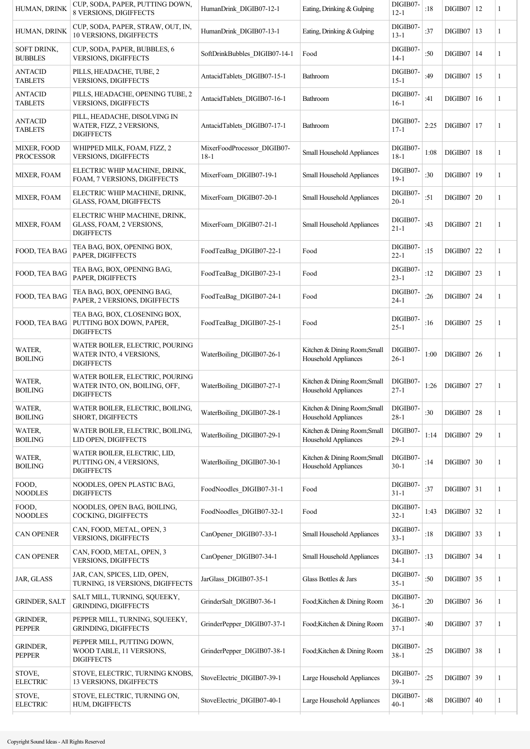| HUMAN, DRINK                     | CUP, SODA, PAPER, PUTTING DOWN,<br>8 VERSIONS, DIGIFFECTS                             | HumanDrink DIGIB07-12-1               | Eating, Drinking & Gulping                                  | DIGIB07-<br>$12 - 1$ | :18  | $DIGIB07$   12 | 1 |
|----------------------------------|---------------------------------------------------------------------------------------|---------------------------------------|-------------------------------------------------------------|----------------------|------|----------------|---|
| HUMAN, DRINK                     | CUP, SODA, PAPER, STRAW, OUT, IN,<br>10 VERSIONS, DIGIFFECTS                          | HumanDrink DIGIB07-13-1               | Eating, Drinking & Gulping                                  | DIGIB07-<br>$13 - 1$ | :37  | $DIGIB07$  13  | 1 |
| SOFT DRINK,<br><b>BUBBLES</b>    | CUP, SODA, PAPER, BUBBLES, 6<br><b>VERSIONS, DIGIFFECTS</b>                           | SoftDrinkBubbles DIGIB07-14-1         | Food                                                        | DIGIB07-<br>$14-1$   | :50  | DIGIB07 14     | 1 |
| ANTACID<br>TABLETS               | PILLS, HEADACHE, TUBE, 2<br><b>VERSIONS, DIGIFFECTS</b>                               | AntacidTablets DIGIB07-15-1           | Bathroom                                                    | DIGIB07-<br>$15 - 1$ | :49  | $DIGIB07$   15 | 1 |
| <b>ANTACID</b><br><b>TABLETS</b> | PILLS, HEADACHE, OPENING TUBE, 2<br><b>VERSIONS, DIGIFFECTS</b>                       | AntacidTablets DIGIB07-16-1           | Bathroom                                                    | DIGIB07-<br>$16-1$   | :41  | $DIGIB07$   16 | 1 |
| <b>ANTACID</b><br><b>TABLETS</b> | PILL, HEADACHE, DISOLVING IN<br>WATER, FIZZ, 2 VERSIONS,<br><b>DIGIFFECTS</b>         | AntacidTablets DIGIB07-17-1           | Bathroom                                                    | DIGIB07-<br>$17 - 1$ | 2:25 | $DIGIB07$   17 | 1 |
| MIXER, FOOD<br><b>PROCESSOR</b>  | WHIPPED MILK, FOAM, FIZZ, 2<br><b>VERSIONS, DIGIFFECTS</b>                            | MixerFoodProcessor_DIGIB07-<br>$18-1$ | Small Household Appliances                                  | DIGIB07-<br>$18-1$   | 1:08 | DIGIB07 18     | 1 |
| <b>MIXER, FOAM</b>               | ELECTRIC WHIP MACHINE, DRINK,<br>FOAM, 7 VERSIONS, DIGIFFECTS                         | MixerFoam DIGIB07-19-1                | Small Household Appliances                                  | DIGIB07-<br>$19-1$   | :30  | DIGIB07   19   | 1 |
| MIXER, FOAM                      | ELECTRIC WHIP MACHINE, DRINK,<br>GLASS, FOAM, DIGIFFECTS                              | MixerFoam DIGIB07-20-1                | Small Household Appliances                                  | DIGIB07-<br>$20 - 1$ | :51  | DIGIB07   20   | 1 |
| MIXER, FOAM                      | ELECTRIC WHIP MACHINE, DRINK,<br>GLASS, FOAM, 2 VERSIONS,<br><b>DIGIFFECTS</b>        | MixerFoam DIGIB07-21-1                | <b>Small Household Appliances</b>                           | DIGIB07-<br>$21 - 1$ | :43  | $DIGIB07$ 21   | 1 |
| FOOD, TEA BAG                    | TEA BAG, BOX, OPENING BOX,<br>PAPER, DIGIFFECTS                                       | FoodTeaBag DIGIB07-22-1               | Food                                                        | DIGIB07-<br>$22 - 1$ | :15  | DIGIB07   22   | 1 |
| FOOD, TEA BAG                    | TEA BAG, BOX, OPENING BAG,<br>PAPER, DIGIFFECTS                                       | FoodTeaBag DIGIB07-23-1               | Food                                                        | DIGIB07-<br>$23 - 1$ | :12  | $DIGIB07$ 23   | 1 |
| FOOD, TEA BAG                    | TEA BAG, BOX, OPENING BAG,<br>PAPER, 2 VERSIONS, DIGIFFECTS                           | FoodTeaBag DIGIB07-24-1               | Food                                                        | DIGIB07-<br>$24 - 1$ | :26  | $DIGIB07$ 24   | 1 |
| FOOD, TEA BAG                    | TEA BAG, BOX, CLOSENING BOX,<br>PUTTING BOX DOWN, PAPER,<br>DIGIFFECTS                | FoodTeaBag DIGIB07-25-1               | Food                                                        | DIGIB07-<br>$25 - 1$ | :16  | $DIGIB07$   25 | 1 |
| WATER,<br><b>BOILING</b>         | WATER BOILER, ELECTRIC, POURING<br>WATER INTO, 4 VERSIONS,<br><b>DIGIFFECTS</b>       | WaterBoiling DIGIB07-26-1             | Kitchen & Dining Room; Small<br>Household Appliances        | DIGIB07-<br>$26-1$   | 1:00 | $DIGIB07$ 26   | 1 |
| WATER,<br><b>BOILING</b>         | WATER BOILER, ELECTRIC, POURING<br>WATER INTO, ON, BOILING, OFF,<br><b>DIGIFFECTS</b> | WaterBoiling DIGIB07-27-1             | Kitchen & Dining Room; Small<br>Household Appliances        | DIGIB07-<br>$27 - 1$ | 1:26 | $DIGIB07$   27 | 1 |
| WATER,<br><b>BOILING</b>         | WATER BOILER, ELECTRIC, BOILING,<br>SHORT, DIGIFFECTS                                 | WaterBoiling_DIGIB07-28-1             | Kitchen & Dining Room; Small<br>Household Appliances        | DIGIB07-<br>$28 - 1$ | :30  | DIGIB07   28   | 1 |
| WATER,<br><b>BOILING</b>         | WATER BOILER, ELECTRIC, BOILING,<br>LID OPEN, DIGIFFECTS                              | WaterBoiling_DIGIB07-29-1             | Kitchen & Dining Room; Small<br>Household Appliances        | DIGIB07-<br>$29-1$   | 1:14 | $DIGIB07$ 29   | 1 |
| WATER,<br><b>BOILING</b>         | WATER BOILER, ELECTRIC, LID,<br>PUTTING ON, 4 VERSIONS,<br><b>DIGIFFECTS</b>          | WaterBoiling DIGIB07-30-1             | Kitchen & Dining Room; Small<br><b>Household Appliances</b> | DIGIB07-<br>$30-1$   | :14  | $DIGIB07$ 30   | 1 |
| FOOD,<br><b>NOODLES</b>          | NOODLES, OPEN PLASTIC BAG,<br><b>DIGIFFECTS</b>                                       | FoodNoodles DIGIB07-31-1              | Food                                                        | DIGIB07-<br>$31 - 1$ | :37  | $DIGIB07$ 31   | 1 |
| FOOD,<br><b>NOODLES</b>          | NOODLES, OPEN BAG, BOILING,<br>COCKING, DIGIFFECTS                                    | FoodNoodles_DIGIB07-32-1              | Food                                                        | DIGIB07-<br>$32 - 1$ | 1:43 | $DIGIB07$ 32   | 1 |
| <b>CAN OPENER</b>                | CAN, FOOD, METAL, OPEN, 3<br>VERSIONS, DIGIFFECTS                                     | CanOpener_DIGIB07-33-1                | Small Household Appliances                                  | DIGIB07-<br>$33 - 1$ | :18  | $DIGIB07$ 33   | 1 |
| <b>CAN OPENER</b>                | CAN, FOOD, METAL, OPEN, 3<br>VERSIONS, DIGIFFECTS                                     | CanOpener DIGIB07-34-1                | Small Household Appliances                                  | DIGIB07-<br>$34-1$   | :13  | $DIGIB07$ 34   | 1 |
| JAR, GLASS                       | JAR, CAN, SPICES, LID, OPEN,<br>TURNING, 18 VERSIONS, DIGIFFECTS                      | JarGlass DIGIB07-35-1                 | Glass Bottles & Jars                                        | DIGIB07-<br>$35 - 1$ | :50  | $DIGIB07$ 35   | 1 |
| <b>GRINDER, SALT</b>             | SALT MILL, TURNING, SQUEEKY,<br><b>GRINDING, DIGIFFECTS</b>                           | GrinderSalt DIGIB07-36-1              | Food; Kitchen & Dining Room                                 | DIGIB07-<br>$36-1$   | :20  | $DIGIB07$ 36   | 1 |
| <b>GRINDER,</b><br><b>PEPPER</b> | PEPPER MILL, TURNING, SQUEEKY,<br>GRINDING, DIGIFFECTS                                | GrinderPepper_DIGIB07-37-1            | Food;Kitchen & Dining Room                                  | DIGIB07-<br>$37 - 1$ | :40  | $DIGIB07$ 37   | 1 |
| <b>GRINDER,</b><br><b>PEPPER</b> | PEPPER MILL, PUTTING DOWN,<br>WOOD TABLE, 11 VERSIONS,<br><b>DIGIFFECTS</b>           | GrinderPepper DIGIB07-38-1            | Food; Kitchen & Dining Room                                 | DIGIB07-<br>$38 - 1$ | :25  | $DIGIB07$ 38   | 1 |
| STOVE,<br><b>ELECTRIC</b>        | STOVE, ELECTRIC, TURNING KNOBS,<br>13 VERSIONS, DIGIFFECTS                            | StoveElectric_DIGIB07-39-1            | Large Household Appliances                                  | DIGIB07-<br>$39-1$   | :25  | DIGIB07 39     | 1 |
| STOVE,<br><b>ELECTRIC</b>        | STOVE, ELECTRIC, TURNING ON,<br>HUM, DIGIFFECTS                                       | StoveElectric DIGIB07-40-1            | Large Household Appliances                                  | DIGIB07-<br>$40-1$   | :48  | $DIGIB07$ 40   | 1 |
|                                  |                                                                                       |                                       |                                                             |                      |      |                |   |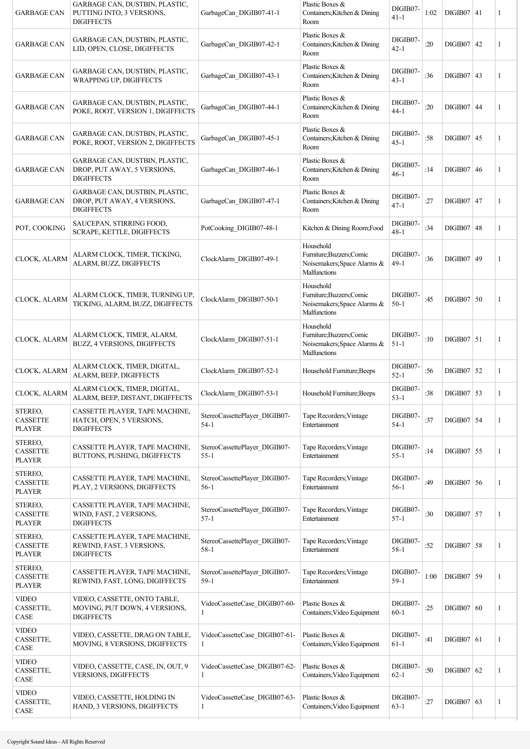| <b>GARBAGE CAN</b>                          | GARBAGE CAN, DUSTBIN, PLASTIC,<br>PUTTING INTO, 3 VERSIONS,<br><b>DIGIFFECTS</b>   | GarbageCan DIGIB07-41-1                       | Plastic Boxes &<br>Containers; Kitchen & Dining<br>Room                               | DIGIB07-<br>41-1     | 1:02 | DIGIB07 41     |    | 1 |
|---------------------------------------------|------------------------------------------------------------------------------------|-----------------------------------------------|---------------------------------------------------------------------------------------|----------------------|------|----------------|----|---|
| <b>GARBAGE CAN</b>                          | GARBAGE CAN, DUSTBIN, PLASTIC,<br>LID, OPEN, CLOSE, DIGIFFECTS                     | GarbageCan DIGIB07-42-1                       | Plastic Boxes &<br>Containers; Kitchen & Dining<br>Room                               | DIGIB07-<br>$42 - 1$ | :20  | DIGIB07   42   |    | 1 |
| <b>GARBAGE CAN</b>                          | GARBAGE CAN, DUSTBIN, PLASTIC,<br><b>WRAPPING UP, DIGIFFECTS</b>                   | GarbageCan DIGIB07-43-1                       | Plastic Boxes &<br>Containers; Kitchen & Dining<br>Room                               | DIGIB07-<br>43-1     | :36  | $DIGIB07$ 43   |    | 1 |
| <b>GARBAGE CAN</b>                          | GARBAGE CAN, DUSTBIN, PLASTIC,<br>POKE, ROOT, VERSION 1, DIGIFFECTS                | GarbageCan_DIGIB07-44-1                       | Plastic Boxes &<br>Containers; Kitchen & Dining<br>Room                               | DIGIB07-<br>44-1     | :20  | DIGIB07   44   |    | 1 |
| <b>GARBAGE CAN</b>                          | GARBAGE CAN, DUSTBIN, PLASTIC,<br>POKE, ROOT, VERSION 2, DIGIFFECTS                | GarbageCan DIGIB07-45-1                       | Plastic Boxes &<br>Containers; Kitchen & Dining<br>Room                               | DIGIB07-<br>$45-1$   | :58  | $DIGIB07$ 45   |    | 1 |
| <b>GARBAGE CAN</b>                          | GARBAGE CAN, DUSTBIN, PLASTIC,<br>DROP, PUT AWAY, 5 VERSIONS,<br><b>DIGIFFECTS</b> | GarbageCan DIGIB07-46-1                       | Plastic Boxes &<br>Containers; Kitchen & Dining<br>Room                               | DIGIB07-<br>$46-1$   | :14  | DIGIB07   46   |    | 1 |
| <b>GARBAGE CAN</b>                          | GARBAGE CAN, DUSTBIN, PLASTIC,<br>DROP, PUT AWAY, 4 VERSIONS,<br><b>DIGIFFECTS</b> | GarbageCan DIGIB07-47-1                       | Plastic Boxes &<br>Containers; Kitchen & Dining<br>Room                               | DIGIB07-<br>$47 - 1$ | :27  | $DIGIB07$   47 |    | 1 |
| POT, COOKING                                | SAUCEPAN, STIRRING FOOD,<br>SCRAPE, KETTLE, DIGIFFECTS                             | PotCooking DIGIB07-48-1                       | Kitchen & Dining Room; Food                                                           | DIGIB07-<br>48-1     | :34  | DIGIB07        | 48 | 1 |
| CLOCK, ALARM                                | ALARM CLOCK, TIMER, TICKING,<br>ALARM, BUZZ, DIGIFFECTS                            | ClockAlarm DIGIB07-49-1                       | Household<br>Furniture; Buzzers; Comic<br>Noisemakers; Space Alarms &<br>Malfunctions | DIGIB07-<br>49-1     | :36  | DIGIB07   49   |    | 1 |
| CLOCK, ALARM                                | ALARM CLOCK, TIMER, TURNING UP,<br>TICKING, ALARM, BUZZ, DIGIFFECTS                | ClockAlarm DIGIB07-50-1                       | Household<br>Furniture; Buzzers; Comic<br>Noisemakers; Space Alarms &<br>Malfunctions | DIGIB07-<br>$50-1$   | :45  | DIGIB07   50   |    | 1 |
| CLOCK, ALARM                                | ALARM CLOCK, TIMER, ALARM,<br>BUZZ, 4 VERSIONS, DIGIFFECTS                         | ClockAlarm DIGIB07-51-1                       | Household<br>Furniture; Buzzers; Comic<br>Noisemakers; Space Alarms &<br>Malfunctions | DIGIB07-<br>$51 - 1$ | :10  | $DIGIB07$ 51   |    | 1 |
| CLOCK, ALARM                                | ALARM CLOCK, TIMER, DIGITAL,<br>ALARM, BEEP, DIGIFFECTS                            | ClockAlarm DIGIB07-52-1                       | Household Furniture; Beeps                                                            | DIGIB07-<br>$52 - 1$ | :56  | $DIGIB07$ 52   |    | 1 |
| CLOCK, ALARM                                | ALARM CLOCK, TIMER, DIGITAL,<br>ALARM, BEEP, DISTANT, DIGIFFECTS                   | ClockAlarm DIGIB07-53-1                       | Household Furniture; Beeps                                                            | DIGIB07-<br>$53 - 1$ | :38  | $DIGIB07$ 53   |    | 1 |
| STEREO,<br><b>CASSETTE</b><br><b>PLAYER</b> | CASSETTE PLAYER, TAPE MACHINE,<br>HATCH, OPEN, 5 VERSIONS,<br><b>DIGIFFECTS</b>    | StereoCassettePlayer_DIGIB07-<br>$54-1$       | Tape Recorders; Vintage<br>Entertainment                                              | DIGIB07-<br>54-1     | :37  | $DIGIB07$ 54   |    | 1 |
| STEREO,<br><b>CASSETTE</b><br><b>PLAYER</b> | CASSETTE PLAYER, TAPE MACHINE,<br>BUTTONS, PUSHING, DIGIFFECTS                     | StereoCassettePlayer DIGIB07-<br>$55 - 1$     | Tape Recorders; Vintage<br>Entertainment                                              | DIGIB07-<br>$55 - 1$ | :14  | $DIGIB07$ 55   |    | 1 |
| STEREO,<br><b>CASSETTE</b><br><b>PLAYER</b> | CASSETTE PLAYER, TAPE MACHINE,<br>PLAY, 2 VERSIONS, DIGIFFECTS                     | StereoCassettePlayer_DIGIB07-<br>$56-1$       | Tape Recorders; Vintage<br>Entertainment                                              | DIGIB07-<br>$56-1$   | :49  | $DIGIB07$ 56   |    | 1 |
| STEREO,<br><b>CASSETTE</b><br><b>PLAYER</b> | CASSETTE PLAYER, TAPE MACHINE,<br>WIND, FAST, 2 VERSIONS,<br><b>DIGIFFECTS</b>     | StereoCassettePlayer_DIGIB07-<br>$57-1$       | Tape Recorders; Vintage<br>Entertainment                                              | DIGIB07-<br>$57 - 1$ | :30  | $DIGIB07$ 57   |    | 1 |
| STEREO,<br><b>CASSETTE</b><br><b>PLAYER</b> | CASSETTE PLAYER, TAPE MACHINE,<br>REWIND, FAST, 3 VERSIONS,<br><b>DIGIFFECTS</b>   | StereoCassettePlayer DIGIB07-<br>$58-1$       | Tape Recorders; Vintage<br>Entertainment                                              | DIGIB07-<br>$58 - 1$ | :52  | $DIGIB07$ 58   |    | 1 |
| STEREO,<br><b>CASSETTE</b><br><b>PLAYER</b> | CASSETTE PLAYER, TAPE MACHINE,<br>REWIND, FAST, LONG, DIGIFFECTS                   | StereoCassettePlayer_DIGIB07-<br>$59-1$       | Tape Recorders; Vintage<br>Entertainment                                              | DIGIB07-<br>$59-1$   | 1:00 | $DIGIB07$ 59   |    | 1 |
| <b>VIDEO</b><br>CASSETTE,<br>CASE           | VIDEO, CASSETTE, ONTO TABLE,<br>MOVING, PUT DOWN, 4 VERSIONS,<br><b>DIGIFFECTS</b> | VideoCassetteCase_DIGIB07-60-<br>1            | Plastic Boxes &<br>Containers; Video Equipment                                        | DIGIB07-<br>$60 - 1$ | :25  | $DIGIB07$      | 60 | 1 |
| <b>VIDEO</b><br>CASSETTE,<br>CASE           | VIDEO, CASSETTE, DRAG ON TABLE,<br>MOVING, 8 VERSIONS, DIGIFFECTS                  | VideoCassetteCase_DIGIB07-61-<br>$\mathbf{1}$ | Plastic Boxes &<br>Containers; Video Equipment                                        | DIGIB07-<br>$61 - 1$ | :41  | $DIGIB07$ 61   |    | 1 |
| <b>VIDEO</b><br>CASSETTE,<br>CASE           | VIDEO, CASSETTE, CASE, IN, OUT, 9<br>VERSIONS, DIGIFFECTS                          | VideoCassetteCase_DIGIB07-62-<br>$\mathbf{1}$ | Plastic Boxes &<br>Containers; Video Equipment                                        | DIGIB07-<br>$62 - 1$ | :50  | $DIGIB07$ 62   |    | 1 |
| <b>VIDEO</b><br>CASSETTE,<br>CASE           | VIDEO, CASSETTE, HOLDING IN<br>HAND, 3 VERSIONS, DIGIFFECTS                        | VideoCassetteCase_DIGIB07-63-<br>1            | Plastic Boxes &<br>Containers; Video Equipment                                        | DIGIB07-<br>$63 - 1$ | :27  | $DIGIB07$ 63   |    | 1 |
|                                             |                                                                                    |                                               |                                                                                       |                      |      |                |    |   |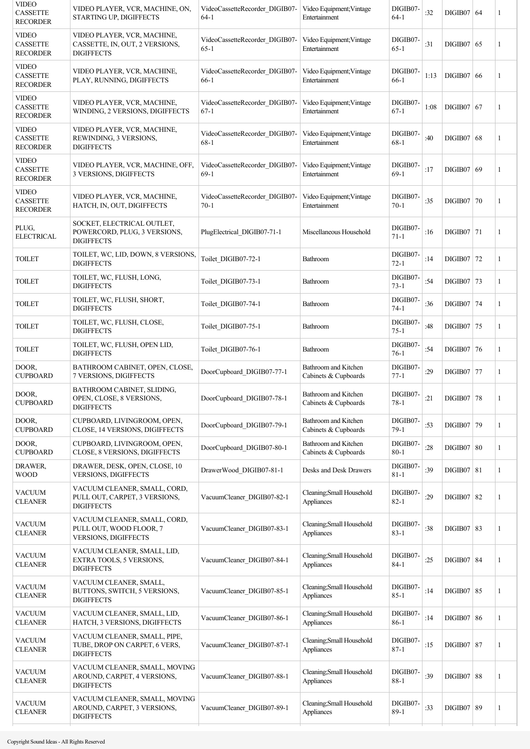| <b>VIDEO</b><br><b>CASSETTE</b><br><b>RECORDER</b> | VIDEO PLAYER, VCR, MACHINE, ON,<br>STARTING UP, DIGIFFECTS                         | VideoCassetteRecorder DIGIB07-<br>$64 - 1$ | Video Equipment; Vintage<br>Entertainment    | DIGIB07-<br>$64-1$   | :32  | DIGIB07   64      | 1            |
|----------------------------------------------------|------------------------------------------------------------------------------------|--------------------------------------------|----------------------------------------------|----------------------|------|-------------------|--------------|
| <b>VIDEO</b><br><b>CASSETTE</b><br><b>RECORDER</b> | VIDEO PLAYER, VCR, MACHINE,<br>CASSETTE, IN, OUT, 2 VERSIONS,<br><b>DIGIFFECTS</b> | VideoCassetteRecorder DIGIB07-<br>$65-1$   | Video Equipment; Vintage<br>Entertainment    | DIGIB07-<br>$65-1$   | :31  | DIGIB07   65      | 1            |
| VIDEO<br><b>CASSETTE</b><br>RECORDER               | VIDEO PLAYER, VCR, MACHINE,<br>PLAY, RUNNING, DIGIFFECTS                           | VideoCassetteRecorder DIGIB07-<br>$66-1$   | Video Equipment; Vintage<br>Entertainment    | DIGIB07-<br>$66-1$   | 1:13 | DIGIB07   66      | 1            |
| <b>VIDEO</b><br><b>CASSETTE</b><br><b>RECORDER</b> | VIDEO PLAYER, VCR, MACHINE,<br>WINDING, 2 VERSIONS, DIGIFFECTS                     | VideoCassetteRecorder_DIGIB07-<br>$67-1$   | Video Equipment; Vintage<br>Entertainment    | DIGIB07-<br>$67 - 1$ | 1:08 | DIGIB07 67        | 1            |
| <b>VIDEO</b><br><b>CASSETTE</b><br><b>RECORDER</b> | VIDEO PLAYER, VCR, MACHINE,<br>REWINDING, 3 VERSIONS,<br><b>DIGIFFECTS</b>         | VideoCassetteRecorder DIGIB07-<br>$68 - 1$ | Video Equipment; Vintage<br>Entertainment    | DIGIB07-<br>$68 - 1$ | :40  | DIGIB07   68      | 1            |
| <b>VIDEO</b><br><b>CASSETTE</b><br><b>RECORDER</b> | VIDEO PLAYER, VCR, MACHINE, OFF,<br>3 VERSIONS, DIGIFFECTS                         | VideoCassetteRecorder_DIGIB07-<br>$69-1$   | Video Equipment; Vintage<br>Entertainment    | DIGIB07-<br>$69-1$   | :17  | DIGIB07   69      | 1            |
| <b>VIDEO</b><br><b>CASSETTE</b><br><b>RECORDER</b> | VIDEO PLAYER, VCR, MACHINE,<br>HATCH, IN, OUT, DIGIFFECTS                          | VideoCassetteRecorder DIGIB07-<br>$70-1$   | Video Equipment; Vintage<br>Entertainment    | DIGIB07-<br>$70-1$   | :35  | DIGIB07   70      | 1            |
| PLUG,<br><b>ELECTRICAL</b>                         | SOCKET, ELECTRICAL OUTLET,<br>POWERCORD, PLUG, 3 VERSIONS,<br><b>DIGIFFECTS</b>    | PlugElectrical DIGIB07-71-1                | Miscellaneous Household                      | DIGIB07-<br>$71 - 1$ | :16  | $DIGIB07$ 71      | $\mathbf{1}$ |
| TOILET                                             | TOILET, WC, LID, DOWN, 8 VERSIONS,<br><b>DIGIFFECTS</b>                            | Toilet DIGIB07-72-1                        | <b>Bathroom</b>                              | DIGIB07-<br>$72 - 1$ | :14  | $DIGIB07$   72    | $\mathbf{1}$ |
| <b>TOILET</b>                                      | TOILET, WC, FLUSH, LONG,<br><b>DIGIFFECTS</b>                                      | Toilet DIGIB07-73-1                        | <b>Bathroom</b>                              | DIGIB07-<br>$73 - 1$ | :54  | DIGIB07   73      | 1            |
| <b>TOILET</b>                                      | TOILET, WC, FLUSH, SHORT,<br><b>DIGIFFECTS</b>                                     | Toilet DIGIB07-74-1                        | Bathroom                                     | DIGIB07-<br>$74 - 1$ | :36  | DIGIB07   74      | 1            |
| <b>TOILET</b>                                      | TOILET, WC, FLUSH, CLOSE,<br><b>DIGIFFECTS</b>                                     | Toilet DIGIB07-75-1                        | Bathroom                                     | DIGIB07-<br>$75 - 1$ | :48  | DIGIB07   75      | 1            |
| TOILET                                             | TOILET, WC, FLUSH, OPEN LID,<br><b>DIGIFFECTS</b>                                  | Toilet_DIGIB07-76-1                        | Bathroom                                     | DIGIB07-<br>$76-1$   | :54  | DIGIB07 76        | 1            |
| DOOR,<br><b>CUPBOARD</b>                           | BATHROOM CABINET, OPEN, CLOSE,<br>7 VERSIONS, DIGIFFECTS                           | DoorCupboard DIGIB07-77-1                  | Bathroom and Kitchen<br>Cabinets & Cupboards | DIGIB07-<br>$77 - 1$ | :29  | $DIGIB07$   77    | 1            |
| DOOR.<br><b>CUPBOARD</b>                           | BATHROOM CABINET, SLIDING,<br>OPEN, CLOSE, 8 VERSIONS.<br><b>DIGIFFECTS</b>        | DoorCupboard DIGIB07-78-1                  | Bathroom and Kitchen<br>Cabinets & Cupboards | DIGIB07-<br>78-1     | :21  | <b>DIGIB07</b> 78 |              |
| DOOR.<br><b>CUPBOARD</b>                           | CUPBOARD, LIVINGROOM, OPEN,<br>CLOSE, 14 VERSIONS, DIGIFFECTS                      | DoorCupboard DIGIB07-79-1                  | Bathroom and Kitchen<br>Cabinets & Cupboards | DIGIB07-<br>$79-1$   | :53  | DIGIB07   79      | $\mathbf{1}$ |
| DOOR,<br><b>CUPBOARD</b>                           | CUPBOARD, LIVINGROOM, OPEN,<br>CLOSE, 8 VERSIONS, DIGIFFECTS                       | DoorCupboard DIGIB07-80-1                  | Bathroom and Kitchen<br>Cabinets & Cupboards | DIGIB07-<br>$80 - 1$ | :28  | <b>DIGIB07 80</b> | 1            |
| DRAWER,<br><b>WOOD</b>                             | DRAWER, DESK, OPEN, CLOSE, 10<br>VERSIONS, DIGIFFECTS                              | DrawerWood_DIGIB07-81-1                    | Desks and Desk Drawers                       | DIGIB07-<br>$81 - 1$ | :39  | DIGIB07   81      | 1            |
| <b>VACUUM</b><br><b>CLEANER</b>                    | VACUUM CLEANER, SMALL, CORD,<br>PULL OUT, CARPET, 3 VERSIONS,<br><b>DIGIFFECTS</b> | VacuumCleaner_DIGIB07-82-1                 | Cleaning; Small Household<br>Appliances      | DIGIB07-<br>$82 - 1$ | :29  | $DIGIB07$ 82      | $\mathbf{1}$ |
| VACUUM<br><b>CLEANER</b>                           | VACUUM CLEANER, SMALL, CORD,<br>PULL OUT, WOOD FLOOR, 7<br>VERSIONS, DIGIFFECTS    | VacuumCleaner_DIGIB07-83-1                 | Cleaning; Small Household<br>Appliances      | DIGIB07-<br>$83 - 1$ | :38  | DIGIB07   83      | 1            |
| <b>VACUUM</b><br><b>CLEANER</b>                    | VACUUM CLEANER, SMALL, LID,<br>EXTRA TOOLS, 5 VERSIONS,<br><b>DIGIFFECTS</b>       | VacuumCleaner DIGIB07-84-1                 | Cleaning; Small Household<br>Appliances      | DIGIB07-<br>$84 - 1$ | :25  | <b>DIGIB07 84</b> | 1            |
| <b>VACUUM</b><br><b>CLEANER</b>                    | VACUUM CLEANER, SMALL,<br>BUTTONS, SWITCH, 5 VERSIONS,<br><b>DIGIFFECTS</b>        | VacuumCleaner_DIGIB07-85-1                 | Cleaning; Small Household<br>Appliances      | DIGIB07-<br>$85 - 1$ | :14  | $DIGIB07$ 85      | 1            |
| <b>VACUUM</b><br><b>CLEANER</b>                    | VACUUM CLEANER, SMALL, LID,<br>HATCH, 3 VERSIONS, DIGIFFECTS                       | VacuumCleaner DIGIB07-86-1                 | Cleaning; Small Household<br>Appliances      | DIGIB07-<br>$86-1$   | :14  | $DIGIB07$ 86      | 1            |
| <b>VACUUM</b><br><b>CLEANER</b>                    | VACUUM CLEANER, SMALL, PIPE,<br>TUBE, DROP ON CARPET, 6 VERS,<br><b>DIGIFFECTS</b> | VacuumCleaner DIGIB07-87-1                 | Cleaning; Small Household<br>Appliances      | DIGIB07-<br>$87 - 1$ | :15  | $DIGIB07$   87    | 1            |
| <b>VACUUM</b><br><b>CLEANER</b>                    | VACUUM CLEANER, SMALL, MOVING<br>AROUND, CARPET, 4 VERSIONS,<br><b>DIGIFFECTS</b>  | VacuumCleaner_DIGIB07-88-1                 | Cleaning; Small Household<br>Appliances      | DIGIB07-<br>$88 - 1$ | :39  | <b>DIGIB07 88</b> | $\mathbf{1}$ |
| <b>VACUUM</b><br><b>CLEANER</b>                    | VACUUM CLEANER, SMALL, MOVING<br>AROUND, CARPET, 3 VERSIONS,<br><b>DIGIFFECTS</b>  | VacuumCleaner DIGIB07-89-1                 | Cleaning; Small Household<br>Appliances      | DIGIB07-<br>$89-1$   | :33  | DIGIB07   89      | 1            |
|                                                    |                                                                                    |                                            |                                              |                      |      |                   |              |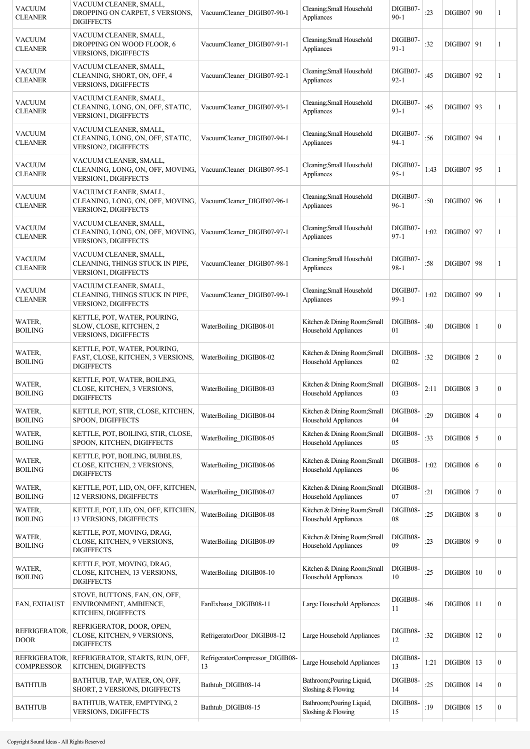| VACUUM<br><b>CLEANER</b>           | VACUUM CLEANER, SMALL,<br>DROPPING ON CARPET, 5 VERSIONS,<br><b>DIGIFFECTS</b>                                | VacuumCleaner DIGIB07-90-1            | Cleaning; Small Household<br>Appliances              | DIGIB07-<br>$90 - 1$ | :23  | DIGIB07   90        | 1                |
|------------------------------------|---------------------------------------------------------------------------------------------------------------|---------------------------------------|------------------------------------------------------|----------------------|------|---------------------|------------------|
| VACUUM<br><b>CLEANER</b>           | VACUUM CLEANER, SMALL,<br>DROPPING ON WOOD FLOOR, 6<br><b>VERSIONS, DIGIFFECTS</b>                            | VacuumCleaner DIGIB07-91-1            | Cleaning; Small Household<br>Appliances              | DIGIB07-<br>$91 - 1$ | :32  | DIGIB07   91        | 1                |
| VACUUM<br><b>CLEANER</b>           | VACUUM CLEANER, SMALL,<br>CLEANING, SHORT, ON, OFF, 4<br><b>VERSIONS, DIGIFFECTS</b>                          | VacuumCleaner DIGIB07-92-1            | Cleaning; Small Household<br>Appliances              | DIGIB07-<br>$92 - 1$ | :45  | DIGIB07   92        | 1                |
| VACUUM<br><b>CLEANER</b>           | VACUUM CLEANER, SMALL,<br>CLEANING, LONG, ON, OFF, STATIC,<br>VERSION1, DIGIFFECTS                            | VacuumCleaner_DIGIB07-93-1            | Cleaning; Small Household<br>Appliances              | DIGIB07-<br>$93 - 1$ | :45  | DIGIB07   93        | 1                |
| VACUUM<br><b>CLEANER</b>           | VACUUM CLEANER, SMALL,<br>CLEANING, LONG, ON, OFF, STATIC,<br>VERSION2, DIGIFFECTS                            | VacuumCleaner DIGIB07-94-1            | Cleaning; Small Household<br>Appliances              | DIGIB07-<br>$94 - 1$ | :56  | $DIGIB07$   94      | 1                |
| <b>VACUUM</b><br><b>CLEANER</b>    | VACUUM CLEANER, SMALL,<br>CLEANING, LONG, ON, OFF, MOVING, VacuumCleaner_DIGIB07-95-1<br>VERSION1, DIGIFFECTS |                                       | Cleaning; Small Household<br>Appliances              | DIGIB07-<br>$95 - 1$ | 1:43 | DIGIB07   95        | 1                |
| <b>VACUUM</b><br><b>CLEANER</b>    | VACUUM CLEANER, SMALL,<br>CLEANING, LONG, ON, OFF, MOVING, VacuumCleaner_DIGIB07-96-1<br>VERSION2, DIGIFFECTS |                                       | Cleaning; Small Household<br>Appliances              | DIGIB07-<br>$96-1$   | :50  | DIGIB07   96        | 1                |
| VACUUM<br><b>CLEANER</b>           | VACUUM CLEANER, SMALL,<br>CLEANING, LONG, ON, OFF, MOVING, VacuumCleaner_DIGIB07-97-1<br>VERSION3, DIGIFFECTS |                                       | Cleaning; Small Household<br>Appliances              | DIGIB07-<br>$97 - 1$ | 1:02 | DIGIB07 97          | 1                |
| VACUUM<br><b>CLEANER</b>           | VACUUM CLEANER, SMALL,<br>CLEANING, THINGS STUCK IN PIPE,<br><b>VERSION1, DIGIFFECTS</b>                      | VacuumCleaner_DIGIB07-98-1            | Cleaning; Small Household<br>Appliances              | DIGIB07-<br>$98 - 1$ | :58  | DIGIB07 98          | 1                |
| VACUUM<br><b>CLEANER</b>           | VACUUM CLEANER, SMALL,<br>CLEANING, THINGS STUCK IN PIPE,<br>VERSION2, DIGIFFECTS                             | VacuumCleaner_DIGIB07-99-1            | Cleaning; Small Household<br>Appliances              | DIGIB07-<br>$99-1$   | 1:02 | DIGIB07   99        | 1                |
| WATER,<br><b>BOILING</b>           | KETTLE, POT, WATER, POURING,<br>SLOW, CLOSE, KITCHEN, 2<br><b>VERSIONS, DIGIFFECTS</b>                        | WaterBoiling DIGIB08-01               | Kitchen & Dining Room; Small<br>Household Appliances | DIGIB08-<br>01       | :40  | $DIGIB08$   1       | $\boldsymbol{0}$ |
| WATER,<br><b>BOILING</b>           | KETTLE, POT, WATER, POURING,<br>FAST, CLOSE, KITCHEN, 3 VERSIONS,<br><b>DIGIFFECTS</b>                        | WaterBoiling DIGIB08-02               | Kitchen & Dining Room; Small<br>Household Appliances | DIGIB08-<br>02       | :32  | $DIGIB08$   2       | $\boldsymbol{0}$ |
| WATER,<br><b>BOILING</b>           | KETTLE, POT, WATER, BOILING,<br>CLOSE, KITCHEN, 3 VERSIONS,<br>DIGIFFECTS                                     | WaterBoiling DIGIB08-03               | Kitchen & Dining Room; Small<br>Household Appliances | DIGIB08-<br>03       | 2:11 | $DIGIB08$ 3         | $\boldsymbol{0}$ |
| WATER,<br><b>BOILING</b>           | KETTLE, POT, STIR, CLOSE, KITCHEN,<br>SPOON, DIGIFFECTS                                                       | WaterBoiling_DIGIB08-04               | Kitchen & Dining Room;Small<br>Household Appliances  | DIGIB08-<br>04       | :29  | $DIGIB08$   4       | $\boldsymbol{0}$ |
| WATER,<br><b>BOILING</b>           | KETTLE, POT, BOILING, STIR, CLOSE,<br>SPOON, KITCHEN, DIGIFFECTS                                              | WaterBoiling_DIGIB08-05               | Kitchen & Dining Room; Small<br>Household Appliances | DIGIB08-<br>05       | :33  | $DIGIB08$ 5         | $\boldsymbol{0}$ |
| WATER,<br><b>BOILING</b>           | KETTLE, POT, BOILING, BUBBLES,<br>CLOSE, KITCHEN, 2 VERSIONS,<br><b>DIGIFFECTS</b>                            | WaterBoiling DIGIB08-06               | Kitchen & Dining Room; Small<br>Household Appliances | DIGIB08-<br>06       | 1:02 | $DIGIB08$ 6         | $\boldsymbol{0}$ |
| WATER,<br><b>BOILING</b>           | KETTLE, POT, LID, ON, OFF, KITCHEN,<br>12 VERSIONS, DIGIFFECTS                                                | WaterBoiling_DIGIB08-07               | Kitchen & Dining Room; Small<br>Household Appliances | DIGIB08-<br>07       | :21  | $DIGIB08$   7       | $\boldsymbol{0}$ |
| WATER,<br><b>BOILING</b>           | KETTLE, POT, LID, ON, OFF, KITCHEN,<br>13 VERSIONS, DIGIFFECTS                                                | WaterBoiling DIGIB08-08               | Kitchen & Dining Room; Small<br>Household Appliances | DIGIB08-<br>08       | :25  | $DIGIB08$ 8         | $\boldsymbol{0}$ |
| WATER,<br><b>BOILING</b>           | KETTLE, POT, MOVING, DRAG,<br>CLOSE, KITCHEN, 9 VERSIONS,<br><b>DIGIFFECTS</b>                                | WaterBoiling DIGIB08-09               | Kitchen & Dining Room; Small<br>Household Appliances | DIGIB08-<br>09       | :23  | $DIGIB08$   9       | $\boldsymbol{0}$ |
| WATER,<br><b>BOILING</b>           | KETTLE, POT, MOVING, DRAG,<br>CLOSE, KITCHEN, 13 VERSIONS,<br><b>DIGIFFECTS</b>                               | WaterBoiling_DIGIB08-10               | Kitchen & Dining Room; Small<br>Household Appliances | DIGIB08-<br>10       | :25  | <b>DIGIB08   10</b> | $\boldsymbol{0}$ |
| FAN, EXHAUST                       | STOVE, BUTTONS, FAN, ON, OFF,<br>ENVIRONMENT, AMBIENCE,<br>KITCHEN, DIGIFFECTS                                | FanExhaust DIGIB08-11                 | Large Household Appliances                           | DIGIB08-<br>11       | :46  | $DIGIB08$   11      | $\boldsymbol{0}$ |
| REFRIGERATOR.<br><b>DOOR</b>       | REFRIGERATOR, DOOR, OPEN,<br>CLOSE, KITCHEN, 9 VERSIONS,<br><b>DIGIFFECTS</b>                                 | RefrigeratorDoor DIGIB08-12           | Large Household Appliances                           | DIGIB08-<br>12       | :32  | DIGIB08   12        | $\boldsymbol{0}$ |
| REFRIGERATOR,<br><b>COMPRESSOR</b> | REFRIGERATOR, STARTS, RUN, OFF,<br>KITCHEN, DIGIFFECTS                                                        | RefrigeratorCompressor_DIGIB08-<br>13 | Large Household Appliances                           | DIGIB08-<br>13       | 1:21 | $DIGIB08$   13      | $\boldsymbol{0}$ |
| BATHTUB                            | BATHTUB, TAP, WATER, ON, OFF,<br>SHORT, 2 VERSIONS, DIGIFFECTS                                                | Bathtub DIGIB08-14                    | Bathroom; Pouring Liquid,<br>Sloshing & Flowing      | DIGIB08-<br>14       | :25  | $DIGIB08$   14      | $\boldsymbol{0}$ |
| <b>BATHTUB</b>                     | BATHTUB, WATER, EMPTYING, 2<br>VERSIONS, DIGIFFECTS                                                           | Bathtub DIGIB08-15                    | Bathroom; Pouring Liquid,<br>Sloshing & Flowing      | DIGIB08-<br>15       | :19  | $DIGIB08$   15      | $\boldsymbol{0}$ |
|                                    |                                                                                                               |                                       |                                                      |                      |      |                     |                  |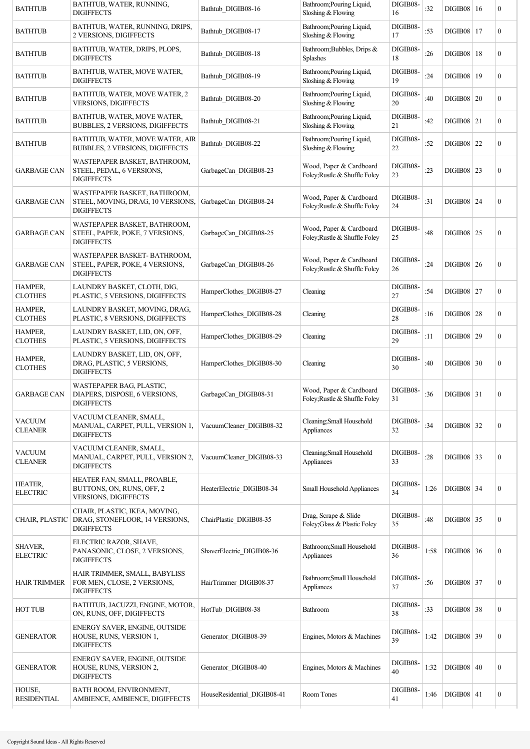| <b>BATHTUB</b>                    | BATHTUB, WATER, RUNNING,<br><b>DIGIFFECTS</b>                                           | Bathtub DIGIB08-16          | Bathroom; Pouring Liquid,<br>Sloshing & Flowing          | DIGIB08-<br>16 | :32  | $DIGIB08$   16      | $\overline{0}$   |
|-----------------------------------|-----------------------------------------------------------------------------------------|-----------------------------|----------------------------------------------------------|----------------|------|---------------------|------------------|
| <b>BATHTUB</b>                    | BATHTUB, WATER, RUNNING, DRIPS,<br>2 VERSIONS, DIGIFFECTS                               | Bathtub DIGIB08-17          | Bathroom; Pouring Liquid,<br>Sloshing & Flowing          | DIGIB08-<br>17 | :53  | <b>DIGIB08   17</b> | $\overline{0}$   |
| <b>BATHTUB</b>                    | BATHTUB, WATER, DRIPS, PLOPS,<br><b>DIGIFFECTS</b>                                      | Bathtub DIGIB08-18          | Bathroom; Bubbles, Drips &<br><b>Splashes</b>            | DIGIB08-<br>18 | :26  | <b>DIGIB08   18</b> | $\overline{0}$   |
| <b>BATHTUB</b>                    | BATHTUB, WATER, MOVE WATER,<br><b>DIGIFFECTS</b>                                        | Bathtub DIGIB08-19          | Bathroom; Pouring Liquid,<br>Sloshing & Flowing          | DIGIB08-<br>19 | :24  | DIGIB08   19        | $\boldsymbol{0}$ |
| <b>BATHTUB</b>                    | BATHTUB, WATER, MOVE WATER, 2<br>VERSIONS, DIGIFFECTS                                   | Bathtub DIGIB08-20          | Bathroom; Pouring Liquid,<br>Sloshing & Flowing          | DIGIB08-<br>20 | :40  | <b>DIGIB08 20</b>   | $\boldsymbol{0}$ |
| <b>BATHTUB</b>                    | BATHTUB, WATER, MOVE WATER,<br><b>BUBBLES, 2 VERSIONS, DIGIFFECTS</b>                   | Bathtub DIGIB08-21          | Bathroom; Pouring Liquid,<br>Sloshing & Flowing          | DIGIB08-<br>21 | :42  | $DIGIB08$   21      | $\boldsymbol{0}$ |
| <b>BATHTUB</b>                    | BATHTUB, WATER, MOVE WATER, AIR<br>BUBBLES, 2 VERSIONS, DIGIFFECTS                      | Bathtub DIGIB08-22          | Bathroom; Pouring Liquid,<br>Sloshing & Flowing          | DIGIB08-<br>22 | :52  | $DIGIB08$ 22        | $\boldsymbol{0}$ |
| <b>GARBAGE CAN</b>                | WASTEPAPER BASKET, BATHROOM,<br>STEEL, PEDAL, 6 VERSIONS,<br><b>DIGIFFECTS</b>          | GarbageCan DIGIB08-23       | Wood, Paper & Cardboard<br>Foley; Rustle & Shuffle Foley | DIGIB08-<br>23 | :23  | <b>DIGIB08 23</b>   | $\boldsymbol{0}$ |
| <b>GARBAGE CAN</b>                | WASTEPAPER BASKET, BATHROOM,<br>STEEL, MOVING, DRAG, 10 VERSIONS,<br><b>DIGIFFECTS</b>  | GarbageCan DIGIB08-24       | Wood, Paper & Cardboard<br>Foley; Rustle & Shuffle Foley | DIGIB08-<br>24 | :31  | $DIGIB08$   24      | $\boldsymbol{0}$ |
| <b>GARBAGE CAN</b>                | WASTEPAPER BASKET, BATHROOM,<br>STEEL, PAPER, POKE, 7 VERSIONS,<br><b>DIGIFFECTS</b>    | GarbageCan DIGIB08-25       | Wood, Paper & Cardboard<br>Foley; Rustle & Shuffle Foley | DIGIB08-<br>25 | :48  | $DIGIB08$ 25        | $\boldsymbol{0}$ |
| <b>GARBAGE CAN</b>                | WASTEPAPER BASKET-BATHROOM,<br>STEEL, PAPER, POKE, 4 VERSIONS,<br><b>DIGIFFECTS</b>     | GarbageCan DIGIB08-26       | Wood, Paper & Cardboard<br>Foley; Rustle & Shuffle Foley | DIGIB08-<br>26 | :24  | <b>DIGIB08 26</b>   | $\boldsymbol{0}$ |
| HAMPER,<br><b>CLOTHES</b>         | LAUNDRY BASKET, CLOTH, DIG,<br>PLASTIC, 5 VERSIONS, DIGIFFECTS                          | HamperClothes DIGIB08-27    | Cleaning                                                 | DIGIB08-<br>27 | :54  | <b>DIGIB08 27</b>   | $\boldsymbol{0}$ |
| HAMPER,<br><b>CLOTHES</b>         | LAUNDRY BASKET, MOVING, DRAG,<br>PLASTIC, 8 VERSIONS, DIGIFFECTS                        | HamperClothes DIGIB08-28    | Cleaning                                                 | DIGIB08-<br>28 | :16  | <b>DIGIB08 28</b>   | $\overline{0}$   |
| HAMPER,<br><b>CLOTHES</b>         | LAUNDRY BASKET, LID, ON, OFF,<br>PLASTIC, 5 VERSIONS, DIGIFFECTS                        | HamperClothes DIGIB08-29    | Cleaning                                                 | DIGIB08-<br>29 | :11  | <b>DIGIB08 29</b>   | $\overline{0}$   |
| HAMPER,<br><b>CLOTHES</b>         | LAUNDRY BASKET, LID, ON, OFF,<br>DRAG, PLASTIC, 5 VERSIONS,<br><b>DIGIFFECTS</b>        | HamperClothes DIGIB08-30    | Cleaning                                                 | DIGIB08-<br>30 | :40  | <b>DIGIB08 30</b>   | $\boldsymbol{0}$ |
| <b>GARBAGE CAN</b>                | WASTEPAPER BAG, PLASTIC,<br>DIAPERS, DISPOSE, 6 VERSIONS,<br><b>DIGIFFECTS</b>          | GarbageCan DIGIB08-31       | Wood, Paper & Cardboard<br>Foley; Rustle & Shuffle Foley | DIGIB08-<br>31 | :36  | $DIGIB08$ 31        | $\boldsymbol{0}$ |
| <b>VACUUM</b><br><b>CLEANER</b>   | VACUUM CLEANER, SMALL,<br>MANUAL, CARPET, PULL, VERSION 1,<br><b>DIGIFFECTS</b>         | VacuumCleaner_DIGIB08-32    | Cleaning; Small Household<br>Appliances                  | DIGIB08-<br>32 | :34  | DIGIB08 32          | $\boldsymbol{0}$ |
| <b>VACUUM</b><br><b>CLEANER</b>   | VACUUM CLEANER, SMALL,<br>MANUAL, CARPET, PULL, VERSION 2,<br><b>DIGIFFECTS</b>         | VacuumCleaner_DIGIB08-33    | Cleaning; Small Household<br>Appliances                  | DIGIB08-<br>33 | :28  | <b>DIGIB08 33</b>   | $\boldsymbol{0}$ |
| <b>HEATER,</b><br><b>ELECTRIC</b> | HEATER FAN, SMALL, PROABLE,<br>BUTTONS, ON, RUNS, OFF, 2<br><b>VERSIONS, DIGIFFECTS</b> | HeaterElectric DIGIB08-34   | Small Household Appliances                               | DIGIB08-<br>34 | 1:26 | $DIGIB08$ 34        | $\boldsymbol{0}$ |
| CHAIR, PLASTIC                    | CHAIR, PLASTIC, IKEA, MOVING,<br>DRAG, STONEFLOOR, 14 VERSIONS,<br><b>DIGIFFECTS</b>    | ChairPlastic DIGIB08-35     | Drag, Scrape & Slide<br>Foley; Glass & Plastic Foley     | DIGIB08-<br>35 | :48  | $DIGIB08$ 35        | $\boldsymbol{0}$ |
| SHAVER,<br><b>ELECTRIC</b>        | ELECTRIC RAZOR, SHAVE,<br>PANASONIC, CLOSE, 2 VERSIONS,<br><b>DIGIFFECTS</b>            | ShaverElectric DIGIB08-36   | Bathroom; Small Household<br>Appliances                  | DIGIB08-<br>36 | 1:58 | $DIGIB08$ 36        | $\boldsymbol{0}$ |
| <b>HAIR TRIMMER</b>               | HAIR TRIMMER, SMALL, BABYLISS<br>FOR MEN, CLOSE, 2 VERSIONS,<br><b>DIGIFFECTS</b>       | HairTrimmer DIGIB08-37      | Bathroom; Small Household<br>Appliances                  | DIGIB08-<br>37 | :56  | <b>DIGIB08</b> 37   | $\boldsymbol{0}$ |
| <b>HOT TUB</b>                    | BATHTUB, JACUZZI, ENGINE, MOTOR,<br>ON, RUNS, OFF, DIGIFFECTS                           | HotTub DIGIB08-38           | Bathroom                                                 | DIGIB08-<br>38 | :33  | <b>DIGIB08</b> 38   | $\boldsymbol{0}$ |
| <b>GENERATOR</b>                  | ENERGY SAVER, ENGINE, OUTSIDE<br>HOUSE, RUNS, VERSION 1,<br><b>DIGIFFECTS</b>           | Generator DIGIB08-39        | Engines, Motors & Machines                               | DIGIB08-<br>39 | 1:42 | DIGIB08 39          | $\boldsymbol{0}$ |
| <b>GENERATOR</b>                  | ENERGY SAVER, ENGINE, OUTSIDE<br>HOUSE, RUNS, VERSION 2,<br><b>DIGIFFECTS</b>           | Generator DIGIB08-40        | Engines, Motors & Machines                               | DIGIB08-<br>40 | 1:32 | $DIGIB08$ 40        | $\boldsymbol{0}$ |
| HOUSE,<br><b>RESIDENTIAL</b>      | BATH ROOM, ENVIRONMENT,<br>AMBIENCE, AMBIENCE, DIGIFFECTS                               | HouseResidential DIGIB08-41 | Room Tones                                               | DIGIB08-<br>41 | 1:46 | $DIGIB08$ 41        | $\boldsymbol{0}$ |
|                                   |                                                                                         |                             |                                                          |                |      |                     |                  |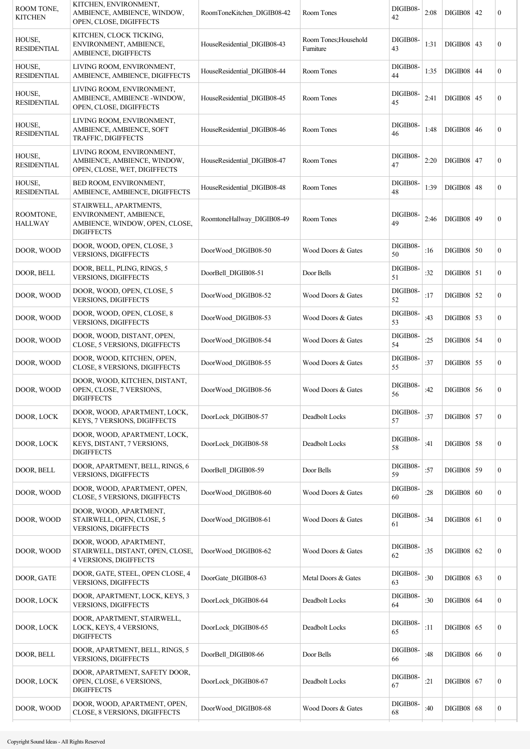| ROOM TONE.<br><b>KITCHEN</b> | KITCHEN, ENVIRONMENT,<br>AMBIENCE, AMBIENCE, WINDOW,<br>OPEN, CLOSE, DIGIFFECTS                         | RoomToneKitchen DIGIB08-42  | Room Tones                         | DIGIB08-<br>42 | 2:08 | <b>DIGIB08   42</b> |    | $\boldsymbol{0}$ |
|------------------------------|---------------------------------------------------------------------------------------------------------|-----------------------------|------------------------------------|----------------|------|---------------------|----|------------------|
| HOUSE,<br><b>RESIDENTIAL</b> | KITCHEN, CLOCK TICKING,<br>ENVIRONMENT, AMBIENCE,<br>AMBIENCE, DIGIFFECTS                               | HouseResidential DIGIB08-43 | Room Tones; Household<br>Furniture | DIGIB08-<br>43 | 1:31 | $DIGIB08$   43      |    | $\boldsymbol{0}$ |
| HOUSE,<br><b>RESIDENTIAL</b> | LIVING ROOM, ENVIRONMENT,<br>AMBIENCE, AMBIENCE, DIGIFFECTS                                             | HouseResidential DIGIB08-44 | Room Tones                         | DIGIB08-<br>44 | 1:35 | <b>DIGIB08   44</b> |    | $\boldsymbol{0}$ |
| HOUSE,<br><b>RESIDENTIAL</b> | LIVING ROOM, ENVIRONMENT,<br>AMBIENCE, AMBIENCE -WINDOW,<br>OPEN, CLOSE, DIGIFFECTS                     | HouseResidential DIGIB08-45 | Room Tones                         | DIGIB08-<br>45 | 2:41 | <b>DIGIB08 45</b>   |    | $\boldsymbol{0}$ |
| HOUSE,<br><b>RESIDENTIAL</b> | LIVING ROOM, ENVIRONMENT,<br>AMBIENCE, AMBIENCE, SOFT<br>TRAFFIC, DIGIFFECTS                            | HouseResidential DIGIB08-46 | Room Tones                         | DIGIB08-<br>46 | 1:48 | <b>DIGIB08 46</b>   |    | $\boldsymbol{0}$ |
| HOUSE,<br><b>RESIDENTIAL</b> | LIVING ROOM, ENVIRONMENT,<br>AMBIENCE, AMBIENCE, WINDOW,<br>OPEN, CLOSE, WET, DIGIFFECTS                | HouseResidential DIGIB08-47 | Room Tones                         | DIGIB08-<br>47 | 2:20 | <b>DIGIB08 47</b>   |    | $\boldsymbol{0}$ |
| HOUSE,<br><b>RESIDENTIAL</b> | BED ROOM, ENVIRONMENT,<br>AMBIENCE, AMBIENCE, DIGIFFECTS                                                | HouseResidential DIGIB08-48 | Room Tones                         | DIGIB08-<br>48 | 1:39 | DIGIB08             | 48 | $\mathbf{0}$     |
| ROOMTONE,<br><b>HALLWAY</b>  | STAIRWELL, APARTMENTS,<br>ENVIRONMENT, AMBIENCE,<br>AMBIENCE, WINDOW, OPEN, CLOSE,<br><b>DIGIFFECTS</b> | RoomtoneHallway DIGIB08-49  | Room Tones                         | DIGIB08-<br>49 | 2:46 | $DIGIB08$   49      |    | $\boldsymbol{0}$ |
| DOOR, WOOD                   | DOOR, WOOD, OPEN, CLOSE, 3<br>VERSIONS, DIGIFFECTS                                                      | DoorWood DIGIB08-50         | Wood Doors & Gates                 | DIGIB08-<br>50 | :16  | <b>DIGIB08 50</b>   |    | $\boldsymbol{0}$ |
| DOOR, BELL                   | DOOR, BELL, PLING, RINGS, 5<br>VERSIONS, DIGIFFECTS                                                     | DoorBell DIGIB08-51         | Door Bells                         | DIGIB08-<br>51 | :32  | $DIGIB08$   51      |    | $\boldsymbol{0}$ |
| DOOR, WOOD                   | DOOR, WOOD, OPEN, CLOSE, 5<br><b>VERSIONS, DIGIFFECTS</b>                                               | DoorWood DIGIB08-52         | Wood Doors & Gates                 | DIGIB08-<br>52 | :17  | <b>DIGIB08 52</b>   |    | $\boldsymbol{0}$ |
| DOOR, WOOD                   | DOOR, WOOD, OPEN, CLOSE, 8<br><b>VERSIONS, DIGIFFECTS</b>                                               | DoorWood DIGIB08-53         | Wood Doors & Gates                 | DIGIB08-<br>53 | :43  | <b>DIGIB08</b> 53   |    | $\boldsymbol{0}$ |
| DOOR, WOOD                   | DOOR, WOOD, DISTANT, OPEN,<br>CLOSE, 5 VERSIONS, DIGIFFECTS                                             | DoorWood DIGIB08-54         | Wood Doors & Gates                 | DIGIB08-<br>54 | :25  | <b>DIGIB08 54</b>   |    | $\boldsymbol{0}$ |
| DOOR, WOOD                   | DOOR, WOOD, KITCHEN, OPEN,<br>CLOSE, 8 VERSIONS, DIGIFFECTS                                             | DoorWood DIGIB08-55         | Wood Doors & Gates                 | DIGIB08-<br>55 | :37  | DIGIB08             | 55 | $\boldsymbol{0}$ |
| DOOR, WOOD                   | DOOR, WOOD, KITCHEN, DISTANT,<br>OPEN, CLOSE, 7 VERSIONS,<br><b>DIGIFFECTS</b>                          | DoorWood DIGIB08-56         | Wood Doors & Gates                 | DIGIB08-<br>56 | :42  | <b>DIGIB08 56</b>   |    | $\boldsymbol{0}$ |
| DOOR, LOCK                   | DOOR, WOOD, APARTMENT, LOCK,<br>KEYS, 7 VERSIONS, DIGIFFECTS                                            | DoorLock DIGIB08-57         | Deadbolt Locks                     | DIGIB08-<br>57 | :37  | <b>DIGIB08 57</b>   |    | $\boldsymbol{0}$ |
| DOOR, LOCK                   | DOOR, WOOD, APARTMENT, LOCK,<br>KEYS, DISTANT, 7 VERSIONS,<br><b>DIGIFFECTS</b>                         | DoorLock DIGIB08-58         | Deadbolt Locks                     | DIGIB08-<br>58 | :41  | <b>DIGIB08 58</b>   |    | $\boldsymbol{0}$ |
| DOOR, BELL                   | DOOR, APARTMENT, BELL, RINGS, 6<br><b>VERSIONS, DIGIFFECTS</b>                                          | DoorBell DIGIB08-59         | Door Bells                         | DIGIB08-<br>59 | :57  | <b>DIGIB08 59</b>   |    | $\mathbf{0}$     |
| DOOR, WOOD                   | DOOR, WOOD, APARTMENT, OPEN,<br>CLOSE, 5 VERSIONS, DIGIFFECTS                                           | DoorWood DIGIB08-60         | Wood Doors & Gates                 | DIGIB08-<br>60 | :28  | $DIGIB08$ 60        |    | $\boldsymbol{0}$ |
| DOOR, WOOD                   | DOOR, WOOD, APARTMENT,<br>STAIRWELL, OPEN, CLOSE, 5<br>VERSIONS, DIGIFFECTS                             | DoorWood DIGIB08-61         | Wood Doors & Gates                 | DIGIB08-<br>61 | :34  | $DIGIB08$ 61        |    | $\boldsymbol{0}$ |
| DOOR, WOOD                   | DOOR, WOOD, APARTMENT,<br>STAIRWELL, DISTANT, OPEN, CLOSE,<br>4 VERSIONS, DIGIFFECTS                    | DoorWood DIGIB08-62         | Wood Doors & Gates                 | DIGIB08-<br>62 | :35  | <b>DIGIB08 62</b>   |    | $\boldsymbol{0}$ |
| DOOR, GATE                   | DOOR, GATE, STEEL, OPEN CLOSE, 4<br><b>VERSIONS, DIGIFFECTS</b>                                         | DoorGate DIGIB08-63         | Metal Doors & Gates                | DIGIB08-<br>63 | :30  | DIGIB08   63        |    | $\boldsymbol{0}$ |
| DOOR, LOCK                   | DOOR, APARTMENT, LOCK, KEYS, 3<br>VERSIONS, DIGIFFECTS                                                  | DoorLock_DIGIB08-64         | Deadbolt Locks                     | DIGIB08-<br>64 | :30  | $DIGIB08$ 64        |    | $\mathbf{0}$     |
| DOOR, LOCK                   | DOOR, APARTMENT, STAIRWELL,<br>LOCK, KEYS, 4 VERSIONS,<br><b>DIGIFFECTS</b>                             | DoorLock DIGIB08-65         | Deadbolt Locks                     | DIGIB08-<br>65 | :11  | $DIGIB08$ 65        |    | $\boldsymbol{0}$ |
| DOOR, BELL                   | DOOR, APARTMENT, BELL, RINGS, 5<br><b>VERSIONS, DIGIFFECTS</b>                                          | DoorBell_DIGIB08-66         | Door Bells                         | DIGIB08-<br>66 | :48  | $DIGIB08$ 66        |    | $\boldsymbol{0}$ |
| DOOR, LOCK                   | DOOR, APARTMENT, SAFETY DOOR,<br>OPEN, CLOSE, 6 VERSIONS,<br><b>DIGIFFECTS</b>                          | DoorLock DIGIB08-67         | Deadbolt Locks                     | DIGIB08-<br>67 | :21  | $DIGIB08$   67      |    | $\mathbf{0}$     |
| DOOR, WOOD                   | DOOR, WOOD, APARTMENT, OPEN,<br>CLOSE, 8 VERSIONS, DIGIFFECTS                                           | DoorWood DIGIB08-68         | Wood Doors & Gates                 | DIGIB08-<br>68 | :40  | $DIGIB08$ 68        |    | $\boldsymbol{0}$ |